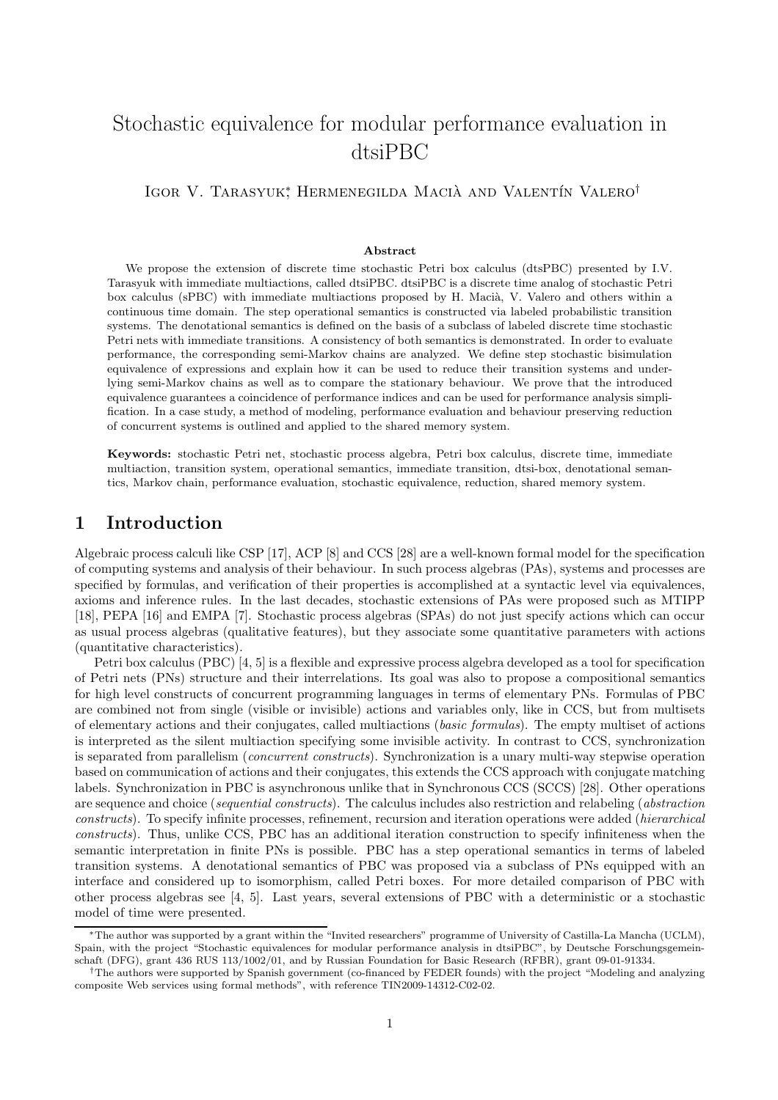# Stochastic equivalence for modular performance evaluation in dtsiPBC

IGOR V. TARASYUK<sup>\*</sup>, HERMENEGILDA MACIÀ AND VALENTÍN VALERO<sup>†</sup>

#### Abstract

We propose the extension of discrete time stochastic Petri box calculus (dtsPBC) presented by I.V. Tarasyuk with immediate multiactions, called dtsiPBC. dtsiPBC is a discrete time analog of stochastic Petri box calculus (sPBC) with immediate multiactions proposed by H. Macià, V. Valero and others within a continuous time domain. The step operational semantics is constructed via labeled probabilistic transition systems. The denotational semantics is defined on the basis of a subclass of labeled discrete time stochastic Petri nets with immediate transitions. A consistency of both semantics is demonstrated. In order to evaluate performance, the corresponding semi-Markov chains are analyzed. We define step stochastic bisimulation equivalence of expressions and explain how it can be used to reduce their transition systems and underlying semi-Markov chains as well as to compare the stationary behaviour. We prove that the introduced equivalence guarantees a coincidence of performance indices and can be used for performance analysis simplification. In a case study, a method of modeling, performance evaluation and behaviour preserving reduction of concurrent systems is outlined and applied to the shared memory system.

Keywords: stochastic Petri net, stochastic process algebra, Petri box calculus, discrete time, immediate multiaction, transition system, operational semantics, immediate transition, dtsi-box, denotational semantics, Markov chain, performance evaluation, stochastic equivalence, reduction, shared memory system.

### 1 Introduction

Algebraic process calculi like CSP [17], ACP [8] and CCS [28] are a well-known formal model for the specification of computing systems and analysis of their behaviour. In such process algebras (PAs), systems and processes are specified by formulas, and verification of their properties is accomplished at a syntactic level via equivalences, axioms and inference rules. In the last decades, stochastic extensions of PAs were proposed such as MTIPP [18], PEPA [16] and EMPA [7]. Stochastic process algebras (SPAs) do not just specify actions which can occur as usual process algebras (qualitative features), but they associate some quantitative parameters with actions (quantitative characteristics).

Petri box calculus (PBC) [4, 5] is a flexible and expressive process algebra developed as a tool for specification of Petri nets (PNs) structure and their interrelations. Its goal was also to propose a compositional semantics for high level constructs of concurrent programming languages in terms of elementary PNs. Formulas of PBC are combined not from single (visible or invisible) actions and variables only, like in CCS, but from multisets of elementary actions and their conjugates, called multiactions (basic formulas). The empty multiset of actions is interpreted as the silent multiaction specifying some invisible activity. In contrast to CCS, synchronization is separated from parallelism (*concurrent constructs*). Synchronization is a unary multi-way stepwise operation based on communication of actions and their conjugates, this extends the CCS approach with conjugate matching labels. Synchronization in PBC is asynchronous unlike that in Synchronous CCS (SCCS) [28]. Other operations are sequence and choice (sequential constructs). The calculus includes also restriction and relabeling (abstraction constructs). To specify infinite processes, refinement, recursion and iteration operations were added (hierarchical constructs). Thus, unlike CCS, PBC has an additional iteration construction to specify infiniteness when the semantic interpretation in finite PNs is possible. PBC has a step operational semantics in terms of labeled transition systems. A denotational semantics of PBC was proposed via a subclass of PNs equipped with an interface and considered up to isomorphism, called Petri boxes. For more detailed comparison of PBC with other process algebras see [4, 5]. Last years, several extensions of PBC with a deterministic or a stochastic model of time were presented.

<sup>∗</sup>The author was supported by a grant within the "Invited researchers" programme of University of Castilla-La Mancha (UCLM), Spain, with the project "Stochastic equivalences for modular performance analysis in dtsiPBC", by Deutsche Forschungsgemeinschaft (DFG), grant 436 RUS 113/1002/01, and by Russian Foundation for Basic Research (RFBR), grant 09-01-91334.

<sup>†</sup>The authors were supported by Spanish government (co-financed by FEDER founds) with the project "Modeling and analyzing composite Web services using formal methods", with reference TIN2009-14312-C02-02.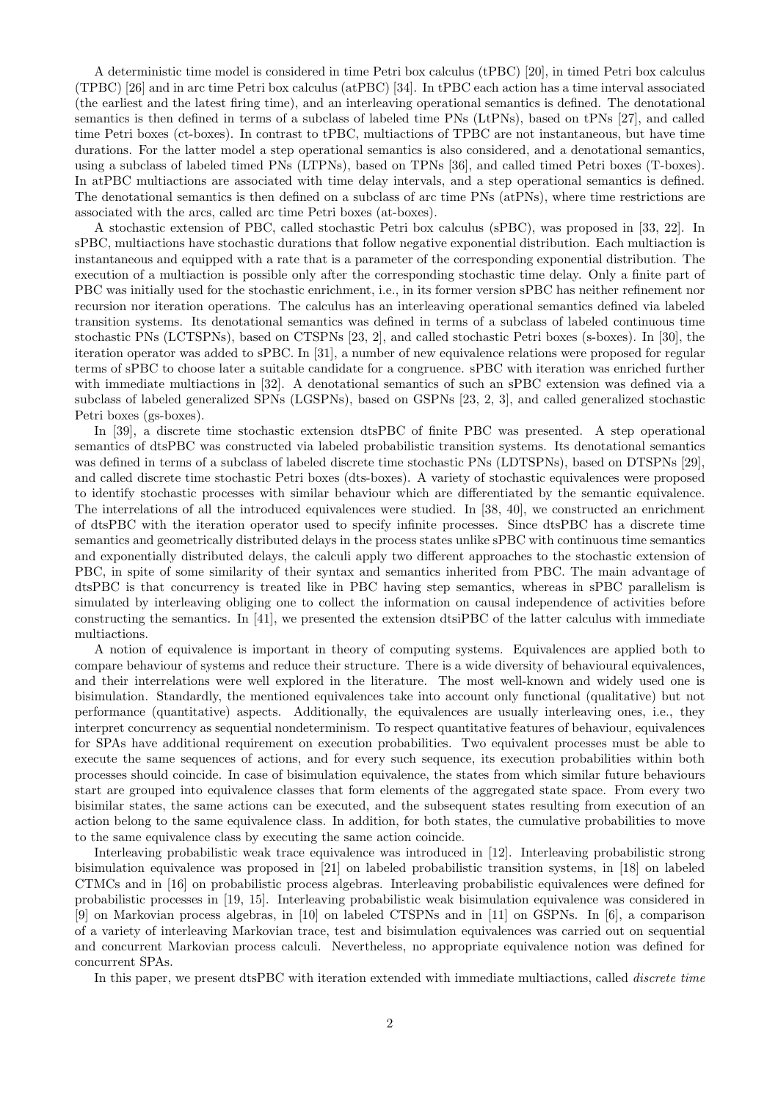A deterministic time model is considered in time Petri box calculus (tPBC) [20], in timed Petri box calculus (TPBC) [26] and in arc time Petri box calculus (atPBC) [34]. In tPBC each action has a time interval associated (the earliest and the latest firing time), and an interleaving operational semantics is defined. The denotational semantics is then defined in terms of a subclass of labeled time PNs (LtPNs), based on tPNs [27], and called time Petri boxes (ct-boxes). In contrast to tPBC, multiactions of TPBC are not instantaneous, but have time durations. For the latter model a step operational semantics is also considered, and a denotational semantics, using a subclass of labeled timed PNs (LTPNs), based on TPNs [36], and called timed Petri boxes (T-boxes). In atPBC multiactions are associated with time delay intervals, and a step operational semantics is defined. The denotational semantics is then defined on a subclass of arc time PNs (atPNs), where time restrictions are associated with the arcs, called arc time Petri boxes (at-boxes).

A stochastic extension of PBC, called stochastic Petri box calculus (sPBC), was proposed in [33, 22]. In sPBC, multiactions have stochastic durations that follow negative exponential distribution. Each multiaction is instantaneous and equipped with a rate that is a parameter of the corresponding exponential distribution. The execution of a multiaction is possible only after the corresponding stochastic time delay. Only a finite part of PBC was initially used for the stochastic enrichment, i.e., in its former version sPBC has neither refinement nor recursion nor iteration operations. The calculus has an interleaving operational semantics defined via labeled transition systems. Its denotational semantics was defined in terms of a subclass of labeled continuous time stochastic PNs (LCTSPNs), based on CTSPNs [23, 2], and called stochastic Petri boxes (s-boxes). In [30], the iteration operator was added to sPBC. In [31], a number of new equivalence relations were proposed for regular terms of sPBC to choose later a suitable candidate for a congruence. sPBC with iteration was enriched further with immediate multiactions in [32]. A denotational semantics of such an sPBC extension was defined via a subclass of labeled generalized SPNs (LGSPNs), based on GSPNs [23, 2, 3], and called generalized stochastic Petri boxes (gs-boxes).

In [39], a discrete time stochastic extension dtsPBC of finite PBC was presented. A step operational semantics of dtsPBC was constructed via labeled probabilistic transition systems. Its denotational semantics was defined in terms of a subclass of labeled discrete time stochastic PNs (LDTSPNs), based on DTSPNs [29], and called discrete time stochastic Petri boxes (dts-boxes). A variety of stochastic equivalences were proposed to identify stochastic processes with similar behaviour which are differentiated by the semantic equivalence. The interrelations of all the introduced equivalences were studied. In [38, 40], we constructed an enrichment of dtsPBC with the iteration operator used to specify infinite processes. Since dtsPBC has a discrete time semantics and geometrically distributed delays in the process states unlike sPBC with continuous time semantics and exponentially distributed delays, the calculi apply two different approaches to the stochastic extension of PBC, in spite of some similarity of their syntax and semantics inherited from PBC. The main advantage of dtsPBC is that concurrency is treated like in PBC having step semantics, whereas in sPBC parallelism is simulated by interleaving obliging one to collect the information on causal independence of activities before constructing the semantics. In [41], we presented the extension dtsiPBC of the latter calculus with immediate multiactions.

A notion of equivalence is important in theory of computing systems. Equivalences are applied both to compare behaviour of systems and reduce their structure. There is a wide diversity of behavioural equivalences, and their interrelations were well explored in the literature. The most well-known and widely used one is bisimulation. Standardly, the mentioned equivalences take into account only functional (qualitative) but not performance (quantitative) aspects. Additionally, the equivalences are usually interleaving ones, i.e., they interpret concurrency as sequential nondeterminism. To respect quantitative features of behaviour, equivalences for SPAs have additional requirement on execution probabilities. Two equivalent processes must be able to execute the same sequences of actions, and for every such sequence, its execution probabilities within both processes should coincide. In case of bisimulation equivalence, the states from which similar future behaviours start are grouped into equivalence classes that form elements of the aggregated state space. From every two bisimilar states, the same actions can be executed, and the subsequent states resulting from execution of an action belong to the same equivalence class. In addition, for both states, the cumulative probabilities to move to the same equivalence class by executing the same action coincide.

Interleaving probabilistic weak trace equivalence was introduced in [12]. Interleaving probabilistic strong bisimulation equivalence was proposed in [21] on labeled probabilistic transition systems, in [18] on labeled CTMCs and in [16] on probabilistic process algebras. Interleaving probabilistic equivalences were defined for probabilistic processes in [19, 15]. Interleaving probabilistic weak bisimulation equivalence was considered in [9] on Markovian process algebras, in [10] on labeled CTSPNs and in [11] on GSPNs. In [6], a comparison of a variety of interleaving Markovian trace, test and bisimulation equivalences was carried out on sequential and concurrent Markovian process calculi. Nevertheless, no appropriate equivalence notion was defined for concurrent SPAs.

In this paper, we present dtsPBC with iteration extended with immediate multiactions, called *discrete time*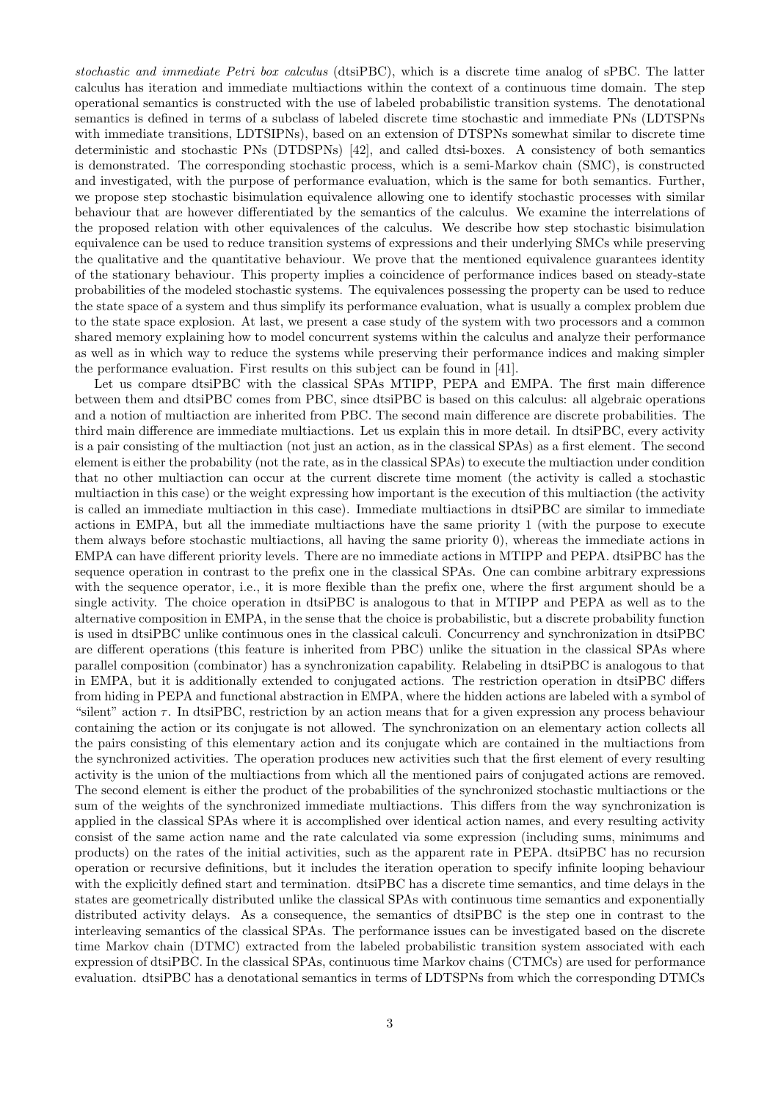stochastic and immediate Petri box calculus (dtsiPBC), which is a discrete time analog of sPBC. The latter calculus has iteration and immediate multiactions within the context of a continuous time domain. The step operational semantics is constructed with the use of labeled probabilistic transition systems. The denotational semantics is defined in terms of a subclass of labeled discrete time stochastic and immediate PNs (LDTSPNs with immediate transitions, LDTSIPNs), based on an extension of DTSPNs somewhat similar to discrete time deterministic and stochastic PNs (DTDSPNs) [42], and called dtsi-boxes. A consistency of both semantics is demonstrated. The corresponding stochastic process, which is a semi-Markov chain (SMC), is constructed and investigated, with the purpose of performance evaluation, which is the same for both semantics. Further, we propose step stochastic bisimulation equivalence allowing one to identify stochastic processes with similar behaviour that are however differentiated by the semantics of the calculus. We examine the interrelations of the proposed relation with other equivalences of the calculus. We describe how step stochastic bisimulation equivalence can be used to reduce transition systems of expressions and their underlying SMCs while preserving the qualitative and the quantitative behaviour. We prove that the mentioned equivalence guarantees identity of the stationary behaviour. This property implies a coincidence of performance indices based on steady-state probabilities of the modeled stochastic systems. The equivalences possessing the property can be used to reduce the state space of a system and thus simplify its performance evaluation, what is usually a complex problem due to the state space explosion. At last, we present a case study of the system with two processors and a common shared memory explaining how to model concurrent systems within the calculus and analyze their performance as well as in which way to reduce the systems while preserving their performance indices and making simpler the performance evaluation. First results on this subject can be found in [41].

Let us compare dtsiPBC with the classical SPAs MTIPP, PEPA and EMPA. The first main difference between them and dtsiPBC comes from PBC, since dtsiPBC is based on this calculus: all algebraic operations and a notion of multiaction are inherited from PBC. The second main difference are discrete probabilities. The third main difference are immediate multiactions. Let us explain this in more detail. In dtsiPBC, every activity is a pair consisting of the multiaction (not just an action, as in the classical SPAs) as a first element. The second element is either the probability (not the rate, as in the classical SPAs) to execute the multiaction under condition that no other multiaction can occur at the current discrete time moment (the activity is called a stochastic multiaction in this case) or the weight expressing how important is the execution of this multiaction (the activity is called an immediate multiaction in this case). Immediate multiactions in dtsiPBC are similar to immediate actions in EMPA, but all the immediate multiactions have the same priority 1 (with the purpose to execute them always before stochastic multiactions, all having the same priority 0), whereas the immediate actions in EMPA can have different priority levels. There are no immediate actions in MTIPP and PEPA. dtsiPBC has the sequence operation in contrast to the prefix one in the classical SPAs. One can combine arbitrary expressions with the sequence operator, i.e., it is more flexible than the prefix one, where the first argument should be a single activity. The choice operation in dtsiPBC is analogous to that in MTIPP and PEPA as well as to the alternative composition in EMPA, in the sense that the choice is probabilistic, but a discrete probability function is used in dtsiPBC unlike continuous ones in the classical calculi. Concurrency and synchronization in dtsiPBC are different operations (this feature is inherited from PBC) unlike the situation in the classical SPAs where parallel composition (combinator) has a synchronization capability. Relabeling in dtsiPBC is analogous to that in EMPA, but it is additionally extended to conjugated actions. The restriction operation in dtsiPBC differs from hiding in PEPA and functional abstraction in EMPA, where the hidden actions are labeled with a symbol of "silent" action  $\tau$ . In dtsiPBC, restriction by an action means that for a given expression any process behaviour containing the action or its conjugate is not allowed. The synchronization on an elementary action collects all the pairs consisting of this elementary action and its conjugate which are contained in the multiactions from the synchronized activities. The operation produces new activities such that the first element of every resulting activity is the union of the multiactions from which all the mentioned pairs of conjugated actions are removed. The second element is either the product of the probabilities of the synchronized stochastic multiactions or the sum of the weights of the synchronized immediate multiactions. This differs from the way synchronization is applied in the classical SPAs where it is accomplished over identical action names, and every resulting activity consist of the same action name and the rate calculated via some expression (including sums, minimums and products) on the rates of the initial activities, such as the apparent rate in PEPA. dtsiPBC has no recursion operation or recursive definitions, but it includes the iteration operation to specify infinite looping behaviour with the explicitly defined start and termination. dtsiPBC has a discrete time semantics, and time delays in the states are geometrically distributed unlike the classical SPAs with continuous time semantics and exponentially distributed activity delays. As a consequence, the semantics of dtsiPBC is the step one in contrast to the interleaving semantics of the classical SPAs. The performance issues can be investigated based on the discrete time Markov chain (DTMC) extracted from the labeled probabilistic transition system associated with each expression of dtsiPBC. In the classical SPAs, continuous time Markov chains (CTMCs) are used for performance evaluation. dtsiPBC has a denotational semantics in terms of LDTSPNs from which the corresponding DTMCs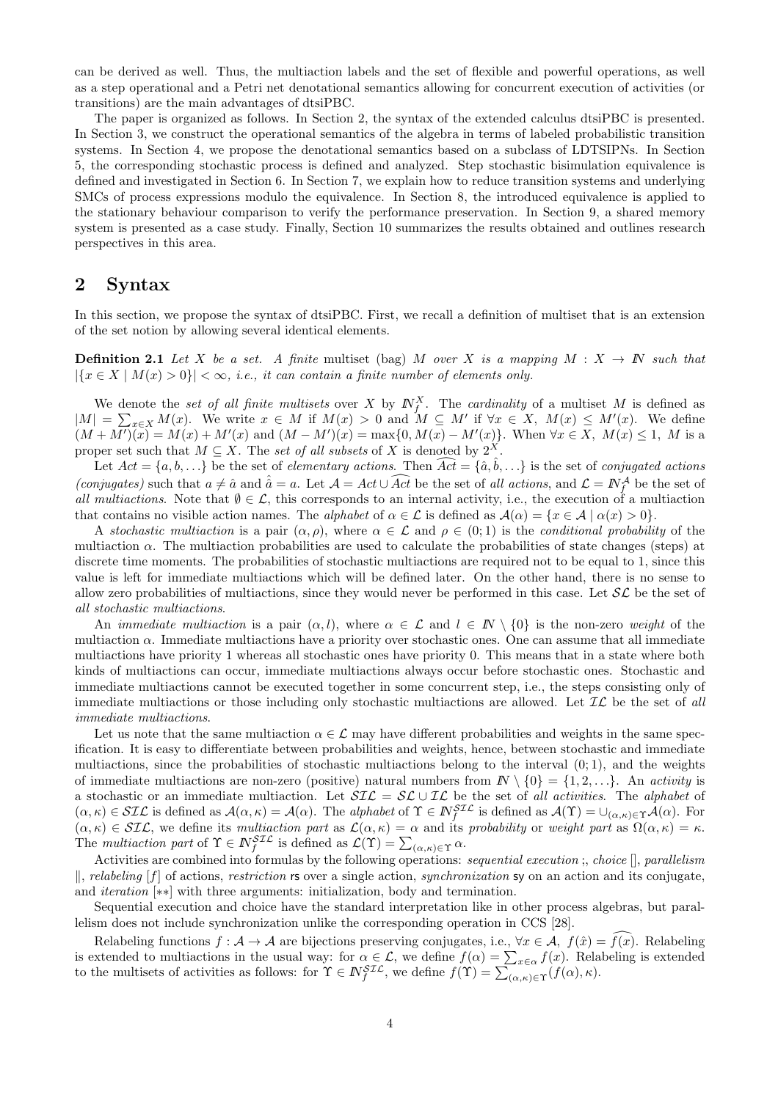can be derived as well. Thus, the multiaction labels and the set of flexible and powerful operations, as well as a step operational and a Petri net denotational semantics allowing for concurrent execution of activities (or transitions) are the main advantages of dtsiPBC.

The paper is organized as follows. In Section 2, the syntax of the extended calculus dtsiPBC is presented. In Section 3, we construct the operational semantics of the algebra in terms of labeled probabilistic transition systems. In Section 4, we propose the denotational semantics based on a subclass of LDTSIPNs. In Section 5, the corresponding stochastic process is defined and analyzed. Step stochastic bisimulation equivalence is defined and investigated in Section 6. In Section 7, we explain how to reduce transition systems and underlying SMCs of process expressions modulo the equivalence. In Section 8, the introduced equivalence is applied to the stationary behaviour comparison to verify the performance preservation. In Section 9, a shared memory system is presented as a case study. Finally, Section 10 summarizes the results obtained and outlines research perspectives in this area.

### 2 Syntax

In this section, we propose the syntax of dtsiPBC. First, we recall a definition of multiset that is an extension of the set notion by allowing several identical elements.

**Definition 2.1** Let X be a set. A finite multiset (bag) M over X is a mapping  $M : X \to \mathbb{N}$  such that  $|\{x \in X \mid M(x) > 0\}| < \infty$ , i.e., it can contain a finite number of elements only.

We denote the set of all finite multisets over X by  $N_f^X$ . The cardinality of a multiset M is defined as  $|M| = \sum_{x \in X} M(x)$ . We write  $x \in M$  if  $M(x) > 0$  and  $M \subseteq M'$  if  $\forall x \in X$ ,  $M(x) \leq M'(x)$ . We define  $(M + M')(\tilde{x}) = M(x) + M'(x)$  and  $(M - M')(x) = \max\{0, M(x) - M'(x)\}\$ . When  $\forall x \in X$ ,  $M(x) \leq 1$ , M is a proper set such that  $M \subseteq X$ . The set of all subsets of X is denoted by  $2^X$ .

Let  $Act = \{a, b, ...\}$  be the set of *elementary actions*. Then  $\widehat{Act} = \{\hat{a}, \hat{b}, ...\}$  is the set of *conjugated actions* (conjugates) such that  $a \neq \hat{a}$  and  $\hat{a} = a$ . Let  $\mathcal{A} = Act \cup \widehat{Act}$  be the set of all actions, and  $\mathcal{L} = \mathbb{N}_{f}^{\mathcal{A}}$  be the set of all multiactions. Note that  $\emptyset \in \mathcal{L}$ , this corresponds to an internal activity, i.e., the execution of a multiaction that contains no visible action names. The *alphabet* of  $\alpha \in \mathcal{L}$  is defined as  $\mathcal{A}(\alpha) = \{x \in \mathcal{A} \mid \alpha(x) > 0\}$ .

A stochastic multiaction is a pair  $(\alpha, \rho)$ , where  $\alpha \in \mathcal{L}$  and  $\rho \in (0, 1)$  is the conditional probability of the multiaction  $\alpha$ . The multiaction probabilities are used to calculate the probabilities of state changes (steps) at discrete time moments. The probabilities of stochastic multiactions are required not to be equal to 1, since this value is left for immediate multiactions which will be defined later. On the other hand, there is no sense to allow zero probabilities of multiactions, since they would never be performed in this case. Let  $\mathcal{SL}$  be the set of all stochastic multiactions.

An *immediate multiaction* is a pair  $(\alpha, l)$ , where  $\alpha \in \mathcal{L}$  and  $l \in \mathbb{N} \setminus \{0\}$  is the non-zero weight of the multiaction  $\alpha$ . Immediate multiactions have a priority over stochastic ones. One can assume that all immediate multiactions have priority 1 whereas all stochastic ones have priority 0. This means that in a state where both kinds of multiactions can occur, immediate multiactions always occur before stochastic ones. Stochastic and immediate multiactions cannot be executed together in some concurrent step, i.e., the steps consisting only of immediate multiactions or those including only stochastic multiactions are allowed. Let  $\mathcal{IL}$  be the set of all immediate multiactions.

Let us note that the same multiaction  $\alpha \in \mathcal{L}$  may have different probabilities and weights in the same specification. It is easy to differentiate between probabilities and weights, hence, between stochastic and immediate multiactions, since the probabilities of stochastic multiactions belong to the interval  $(0, 1)$ , and the weights of immediate multiactions are non-zero (positive) natural numbers from  $\mathbb{N} \setminus \{0\} = \{1, 2, \ldots\}$ . An activity is a stochastic or an immediate multiaction. Let  $\mathcal{SIL} = \mathcal{SL} \cup \mathcal{IL}$  be the set of all activities. The alphabet of  $(\alpha, \kappa) \in SL\mathcal{L}$  is defined as  $\mathcal{A}(\alpha, \kappa) = \mathcal{A}(\alpha)$ . The *alphabet* of  $\Upsilon \in \mathbb{N}_{f}^{ST\mathcal{L}}$  is defined as  $\mathcal{A}(\Upsilon) = \cup_{(\alpha, \kappa) \in \Upsilon} \mathcal{A}(\alpha)$ . For  $(\alpha, \kappa) \in \mathcal{SIL}$ , we define its multiaction part as  $\mathcal{L}(\alpha, \kappa) = \alpha$  and its probability or weight part as  $\Omega(\alpha, \kappa) = \kappa$ . The multiaction part of  $\Upsilon \in N_f^{\mathcal{SLL}}$  is defined as  $\mathcal{L}(\Upsilon) = \sum_{(\alpha,\kappa) \in \Upsilon} \alpha$ .

Activities are combined into formulas by the following operations: *sequential execution* ;, *choice*  $\parallel$ , *parallelism*  $\parallel$ , relabeling [f] of actions, restriction rs over a single action, synchronization sy on an action and its conjugate, and iteration [∗∗] with three arguments: initialization, body and termination.

Sequential execution and choice have the standard interpretation like in other process algebras, but parallelism does not include synchronization unlike the corresponding operation in CCS [28].

Relabeling functions  $f : \mathcal{A} \to \mathcal{A}$  are bijections preserving conjugates, i.e.,  $\forall x \in \mathcal{A}, f(\hat{x}) = \overline{f(x)}$ . Relabeling is extended to multiactions in the usual way: for  $\alpha \in \mathcal{L}$ , we define  $f(\alpha) = \sum_{x \in \alpha} f(x)$ . Relabeling is extended to the multisets of activities as follows: for  $\Upsilon \in \mathbb{N}_{f}^{STL}$ , we define  $f(\Upsilon) = \sum_{(\alpha,\kappa) \in \Upsilon} (f(\alpha), \kappa)$ .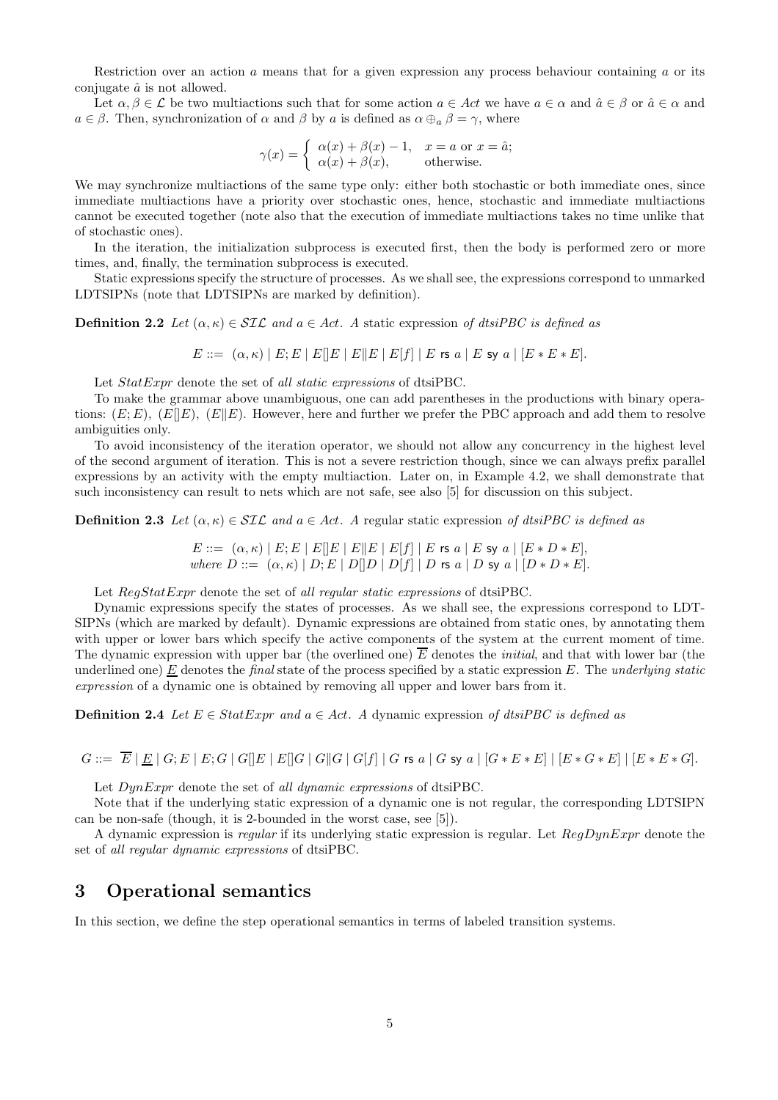Restriction over an action a means that for a given expression any process behaviour containing a or its conjugate  $\hat{a}$  is not allowed.

Let  $\alpha, \beta \in \mathcal{L}$  be two multiactions such that for some action  $a \in \mathcal{A}ct$  we have  $a \in \alpha$  and  $\hat{a} \in \beta$  or  $\hat{a} \in \alpha$  and  $a \in \beta$ . Then, synchronization of  $\alpha$  and  $\beta$  by a is defined as  $\alpha \oplus_{a} \beta = \gamma$ , where

$$
\gamma(x) = \begin{cases} \alpha(x) + \beta(x) - 1, & x = a \text{ or } x = \hat{a}; \\ \alpha(x) + \beta(x), & \text{otherwise.} \end{cases}
$$

We may synchronize multiactions of the same type only: either both stochastic or both immediate ones, since immediate multiactions have a priority over stochastic ones, hence, stochastic and immediate multiactions cannot be executed together (note also that the execution of immediate multiactions takes no time unlike that of stochastic ones).

In the iteration, the initialization subprocess is executed first, then the body is performed zero or more times, and, finally, the termination subprocess is executed.

Static expressions specify the structure of processes. As we shall see, the expressions correspond to unmarked LDTSIPNs (note that LDTSIPNs are marked by definition).

**Definition 2.2** Let  $(\alpha, \kappa) \in \mathcal{SIL}$  and  $a \in Act$ . A static expression of dtsiPBC is defined as

 $E ::= (\alpha, \kappa) | E; E | E | E | E | E | E | E | f | E \text{ is a } | E \text{ sy a } | [E * E * E].$ 

Let  $StatExpr$  denote the set of all static expressions of dtsiPBC.

To make the grammar above unambiguous, one can add parentheses in the productions with binary operations:  $(E; E)$ ,  $(E||E)$ ,  $(E||E)$ . However, here and further we prefer the PBC approach and add them to resolve ambiguities only.

To avoid inconsistency of the iteration operator, we should not allow any concurrency in the highest level of the second argument of iteration. This is not a severe restriction though, since we can always prefix parallel expressions by an activity with the empty multiaction. Later on, in Example 4.2, we shall demonstrate that such inconsistency can result to nets which are not safe, see also [5] for discussion on this subject.

**Definition 2.3** Let  $(\alpha, \kappa) \in \mathcal{SIL}$  and  $a \in Act$ . A regular static expression of dtsiPBC is defined as

 $E ::= (\alpha, \kappa) | E; E | E | E | E | E | E | E | f | | E$  rs  $a | E$  sy  $a | [E * D * E]$ , where  $D ::= (\alpha, \kappa) | D; E | D || D | D | f | D$  rs  $a | D$  sy  $a | [D * D * E].$ 

Let  $RegStatExpr$  denote the set of all regular static expressions of dtsiPBC.

Dynamic expressions specify the states of processes. As we shall see, the expressions correspond to LDT-SIPNs (which are marked by default). Dynamic expressions are obtained from static ones, by annotating them with upper or lower bars which specify the active components of the system at the current moment of time. The dynamic expression with upper bar (the overlined one)  $\overline{E}$  denotes the *initial*, and that with lower bar (the underlined one) E denotes the final state of the process specified by a static expression  $E$ . The underlying static expression of a dynamic one is obtained by removing all upper and lower bars from it.

**Definition 2.4** Let  $E \in StatExpr$  and  $a \in Act$ . A dynamic expression of dtsiPBC is defined as

 $G ::= \overline{E} | E | G; E | E; G | G | E | E | G | G | G | G | G | f | G$  rs  $a | G$  sy  $a | [G * E * E] | [E * G * E] | [E * E * G].$ 

Let  $DynExpr$  denote the set of all dynamic expressions of dtsiPBC.

Note that if the underlying static expression of a dynamic one is not regular, the corresponding LDTSIPN can be non-safe (though, it is 2-bounded in the worst case, see [5]).

A dynamic expression is regular if its underlying static expression is regular. Let  $RegDynExpr$  denote the set of all regular dynamic expressions of dtsiPBC.

# 3 Operational semantics

In this section, we define the step operational semantics in terms of labeled transition systems.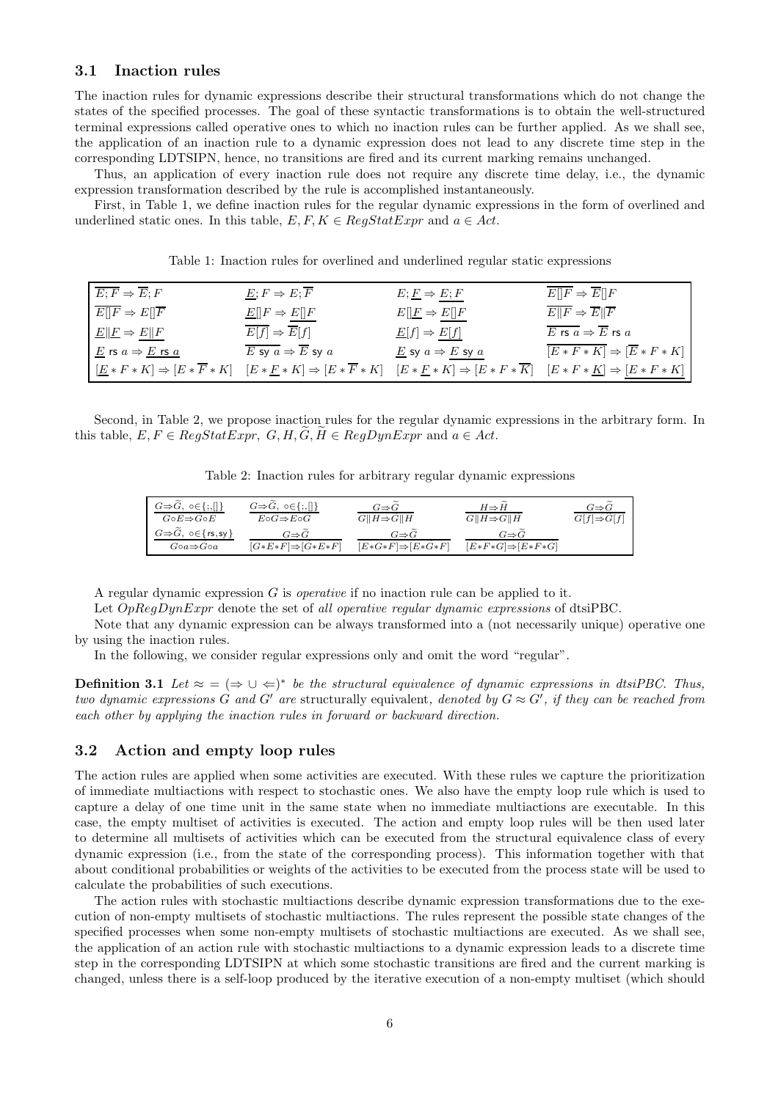#### 3.1 Inaction rules

The inaction rules for dynamic expressions describe their structural transformations which do not change the states of the specified processes. The goal of these syntactic transformations is to obtain the well-structured terminal expressions called operative ones to which no inaction rules can be further applied. As we shall see, the application of an inaction rule to a dynamic expression does not lead to any discrete time step in the corresponding LDTSIPN, hence, no transitions are fired and its current marking remains unchanged.

Thus, an application of every inaction rule does not require any discrete time delay, i.e., the dynamic expression transformation described by the rule is accomplished instantaneously.

First, in Table 1, we define inaction rules for the regular dynamic expressions in the form of overlined and underlined static ones. In this table,  $E, F, K \in RegStatExpr$  and  $a \in Act$ .

| $E; F \Rightarrow \overline{E}; F$                                  | $E; F \Rightarrow E; \overline{F}$               | $E; E \Rightarrow E; F$                                                                    | $E  F \Rightarrow E  F$                               |
|---------------------------------------------------------------------|--------------------------------------------------|--------------------------------------------------------------------------------------------|-------------------------------------------------------|
| $E  F \Rightarrow E  \overline{F}$                                  | $\underline{E}[[F \Rightarrow \underline{E}][F]$ | $E[\underline{F} \Rightarrow E[\overline{F}]$                                              | $E  F \Rightarrow E  \overline{F}$                    |
| $E  E \Rightarrow E  F$                                             | $\overline{E[f]} \Rightarrow \overline{E}[f]$    | $\underline{E}[f] \Rightarrow E[f]$                                                        | $\overline{E}$ rs $a \Rightarrow \overline{E}$ rs $a$ |
| $\underline{E}$ rs $a \Rightarrow \underline{E}$ rs $\underline{a}$ | E sy $a \Rightarrow \overline{E}$ sy $a$         | $\underline{E}$ sy $a \Rightarrow \underline{E}$ sy $a$                                    | $\overline{ E*F*K } \Rightarrow  \overline{E}*F*K $   |
| $E * F * K \Rightarrow E * \overline{F} * K$                        | $[E * F * K] \Rightarrow [E * \overline{F} * K]$ | $[E * F * K] \Rightarrow [E * F * \overline{K}] \quad [E * F * K] \Rightarrow [E * F * K]$ |                                                       |

Table 1: Inaction rules for overlined and underlined regular static expressions

Second, in Table 2, we propose inaction rules for the regular dynamic expressions in the arbitrary form. In this table,  $E, F \in RegStatexpr$ ,  $G, H, G, H \in RegDynExpr$  and  $a \in Act$ .

Table 2: Inaction rules for arbitrary regular dynamic expressions

| $G \Rightarrow G, \ o \in \{ ;, [] \}$                 | $G \Rightarrow G, \ o \in \{ ; , [] \}$ | $G \Rightarrow G$             | $H \Rightarrow H$             | $G{\Rightarrow}G$       |
|--------------------------------------------------------|-----------------------------------------|-------------------------------|-------------------------------|-------------------------|
| $G \circ E \Rightarrow G \circ E$                      | $E \circ G \Rightarrow E \circ G$       | $G  H \Rightarrow G  H$       | $G  H \Rightarrow G  H$       | $G[f] \Rightarrow G[f]$ |
| $G \Rightarrow G, \neg \in \{ \text{rs}, \text{sy} \}$ | $G \Rightarrow G$                       | $G \Rightarrow G$             | $G{\Rightarrow}G$             |                         |
| $G \circ a \Rightarrow G \circ a$                      | $[G*E*F] \Rightarrow [G*E*F]$           | $[E*G*F] \Rightarrow [E*G*F]$ | $[E*F*G] \Rightarrow [E*F*G]$ |                         |

A regular dynamic expression  $G$  is *operative* if no inaction rule can be applied to it.

Let  $OpRegDynExpr$  denote the set of all operative regular dynamic expressions of dtsiPBC.

Note that any dynamic expression can be always transformed into a (not necessarily unique) operative one by using the inaction rules.

In the following, we consider regular expressions only and omit the word "regular".

**Definition 3.1** Let  $\approx$  =  $(\Rightarrow \cup \Leftarrow)^*$  be the structural equivalence of dynamic expressions in dtsiPBC. Thus, two dynamic expressions G and G' are structurally equivalent, denoted by  $G \approx G'$ , if they can be reached from each other by applying the inaction rules in forward or backward direction.

#### 3.2 Action and empty loop rules

The action rules are applied when some activities are executed. With these rules we capture the prioritization of immediate multiactions with respect to stochastic ones. We also have the empty loop rule which is used to capture a delay of one time unit in the same state when no immediate multiactions are executable. In this case, the empty multiset of activities is executed. The action and empty loop rules will be then used later to determine all multisets of activities which can be executed from the structural equivalence class of every dynamic expression (i.e., from the state of the corresponding process). This information together with that about conditional probabilities or weights of the activities to be executed from the process state will be used to calculate the probabilities of such executions.

The action rules with stochastic multiactions describe dynamic expression transformations due to the execution of non-empty multisets of stochastic multiactions. The rules represent the possible state changes of the specified processes when some non-empty multisets of stochastic multiactions are executed. As we shall see, the application of an action rule with stochastic multiactions to a dynamic expression leads to a discrete time step in the corresponding LDTSIPN at which some stochastic transitions are fired and the current marking is changed, unless there is a self-loop produced by the iterative execution of a non-empty multiset (which should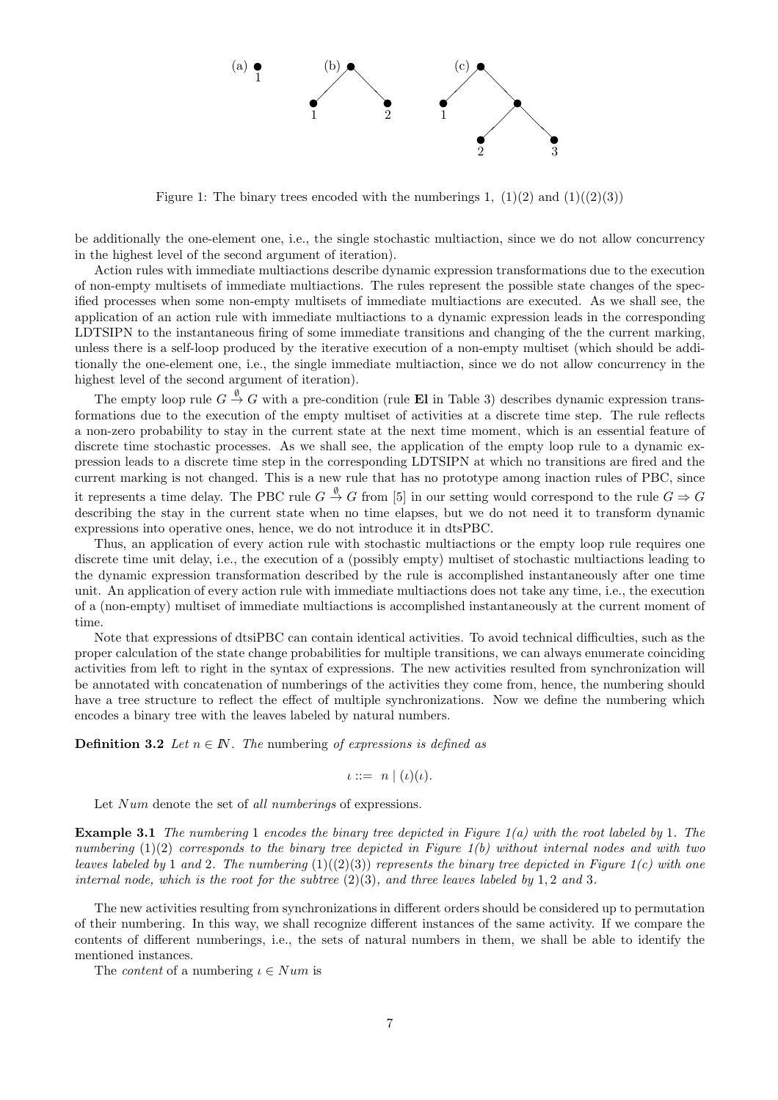

Figure 1: The binary trees encoded with the numberings 1,  $(1)(2)$  and  $(1)((2)(3))$ 

be additionally the one-element one, i.e., the single stochastic multiaction, since we do not allow concurrency in the highest level of the second argument of iteration).

Action rules with immediate multiactions describe dynamic expression transformations due to the execution of non-empty multisets of immediate multiactions. The rules represent the possible state changes of the specified processes when some non-empty multisets of immediate multiactions are executed. As we shall see, the application of an action rule with immediate multiactions to a dynamic expression leads in the corresponding LDTSIPN to the instantaneous firing of some immediate transitions and changing of the the current marking, unless there is a self-loop produced by the iterative execution of a non-empty multiset (which should be additionally the one-element one, i.e., the single immediate multiaction, since we do not allow concurrency in the highest level of the second argument of iteration).

The empty loop rule  $G \stackrel{\emptyset}{\to} G$  with a pre-condition (rule **El** in Table 3) describes dynamic expression transformations due to the execution of the empty multiset of activities at a discrete time step. The rule reflects a non-zero probability to stay in the current state at the next time moment, which is an essential feature of discrete time stochastic processes. As we shall see, the application of the empty loop rule to a dynamic expression leads to a discrete time step in the corresponding LDTSIPN at which no transitions are fired and the current marking is not changed. This is a new rule that has no prototype among inaction rules of PBC, since it represents a time delay. The PBC rule  $G \stackrel{\emptyset}{\to} G$  from [5] in our setting would correspond to the rule  $G \Rightarrow G$ describing the stay in the current state when no time elapses, but we do not need it to transform dynamic expressions into operative ones, hence, we do not introduce it in dtsPBC.

Thus, an application of every action rule with stochastic multiactions or the empty loop rule requires one discrete time unit delay, i.e., the execution of a (possibly empty) multiset of stochastic multiactions leading to the dynamic expression transformation described by the rule is accomplished instantaneously after one time unit. An application of every action rule with immediate multiactions does not take any time, i.e., the execution of a (non-empty) multiset of immediate multiactions is accomplished instantaneously at the current moment of time.

Note that expressions of dtsiPBC can contain identical activities. To avoid technical difficulties, such as the proper calculation of the state change probabilities for multiple transitions, we can always enumerate coinciding activities from left to right in the syntax of expressions. The new activities resulted from synchronization will be annotated with concatenation of numberings of the activities they come from, hence, the numbering should have a tree structure to reflect the effect of multiple synchronizations. Now we define the numbering which encodes a binary tree with the leaves labeled by natural numbers.

**Definition 3.2** Let  $n \in \mathbb{N}$ . The numbering of expressions is defined as

$$
\iota ::= n \mid (\iota)(\iota).
$$

Let Num denote the set of all numberings of expressions.

**Example 3.1** The numbering 1 encodes the binary tree depicted in Figure  $1(a)$  with the root labeled by 1. The numbering  $(1)(2)$  corresponds to the binary tree depicted in Figure  $1(b)$  without internal nodes and with two leaves labeled by 1 and 2. The numbering  $(1)((2)(3))$  represents the binary tree depicted in Figure 1(c) with one internal node, which is the root for the subtree  $(2)(3)$ , and three leaves labeled by 1, 2 and 3.

The new activities resulting from synchronizations in different orders should be considered up to permutation of their numbering. In this way, we shall recognize different instances of the same activity. If we compare the contents of different numberings, i.e., the sets of natural numbers in them, we shall be able to identify the mentioned instances.

The *content* of a numbering  $\iota \in Num$  is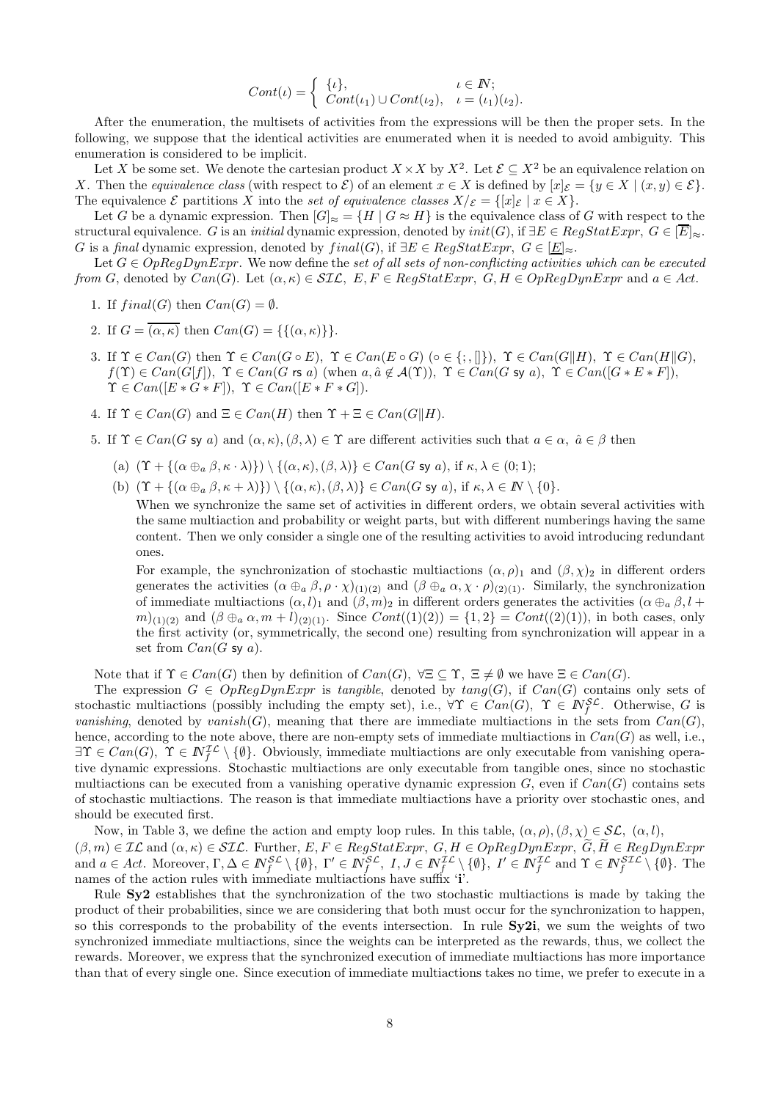$$
Cont(\iota) = \begin{cases} {\iota}, & \iota \in \mathbb{N}; \\ Cont(\iota_1) \cup Cont(\iota_2), & \iota = (\iota_1)(\iota_2). \end{cases}
$$

After the enumeration, the multisets of activities from the expressions will be then the proper sets. In the following, we suppose that the identical activities are enumerated when it is needed to avoid ambiguity. This enumeration is considered to be implicit.

Let X be some set. We denote the cartesian product  $X \times X$  by  $X^2$ . Let  $\mathcal{E} \subseteq X^2$  be an equivalence relation on X. Then the equivalence class (with respect to  $\mathcal{E}$ ) of an element  $x \in X$  is defined by  $[x]_{\mathcal{E}} = \{y \in X \mid (x, y) \in \mathcal{E}\}.$ The equivalence  $\mathcal E$  partitions X into the set of equivalence classes  $X/\mathcal E = \{[x]_{\mathcal E} \mid x \in X\}.$ 

Let G be a dynamic expression. Then  $|G|_{\approx} = \{H \mid G \approx H\}$  is the equivalence class of G with respect to the structural equivalence. G is an *initial* dynamic expression, denoted by  $init(G)$ , if  $\exists E \in RegStatExpr, G \in \boxed{E} \approx$ . G is a final dynamic expression, denoted by  $final(G)$ , if  $\exists E \in RegStatExpr$ ,  $G \in \boxed{E} \approx$ .

Let  $G \in OpRegDynExpr$ . We now define the set of all sets of non-conflicting activities which can be executed from G, denoted by  $Can(G)$ . Let  $(\alpha, \kappa) \in \mathcal{SIL}$ ,  $E, F \in RegStatexpr$ ,  $G, H \in OpRegDynexpr$  and  $a \in Act$ .

- 1. If  $final(G)$  then  $Can(G) = \emptyset$ .
- 2. If  $G = \overline{(\alpha, \kappa)}$  then  $Can(G) = \{\{(\alpha, \kappa)\}\}.$
- 3. If  $\Upsilon \in Can(G)$  then  $\Upsilon \in Can(G \circ E)$ ,  $\Upsilon \in Can(E \circ G)$  ( $\circ \in \{\, \,,\,\,\parallel\}$ ),  $\Upsilon \in Can(G||H)$ ,  $\Upsilon \in Can(H||G)$ ,  $f(\Upsilon) \in Can(G[f]), \ \Upsilon \in Can(G \text{ rs } a) \text{ (when } a, \hat{a} \notin \mathcal{A}(\Upsilon)), \ \Upsilon \in Can(G \text{ sy } a), \ \Upsilon \in Can([G * E * F]),$  $\Upsilon \in Can([E * G * F]), \ \Upsilon \in Can([E * F * G]).$
- 4. If  $\Upsilon \in Can(G)$  and  $\Xi \in Can(H)$  then  $\Upsilon + \Xi \in Can(G||H)$ .
- 5. If  $\Upsilon \in Can(G \text{ sy } a)$  and  $(\alpha, \kappa),(\beta, \lambda) \in \Upsilon$  are different activities such that  $a \in \alpha$ ,  $\hat{a} \in \beta$  then
	- (a)  $(\Upsilon + \{(\alpha \oplus_{\alpha} \beta, \kappa \cdot \lambda)\}) \setminus \{(\alpha, \kappa),(\beta, \lambda)\}\in Can(G \text{ sy } a)$ , if  $\kappa, \lambda \in (0, 1)$ ;
	- (b)  $(\Upsilon + {\alpha \oplus_{\alpha} \beta, \kappa + \lambda}) \ \rangle \ \ \{\{\alpha, \kappa\},(\beta, \lambda)\}\in Can(G \text{ sy } a), \text{ if } \kappa, \lambda \in \mathbb{N} \setminus \{0\}.$

When we synchronize the same set of activities in different orders, we obtain several activities with the same multiaction and probability or weight parts, but with different numberings having the same content. Then we only consider a single one of the resulting activities to avoid introducing redundant ones.

For example, the synchronization of stochastic multiactions  $(\alpha, \rho)$ <sub>1</sub> and  $(\beta, \chi)$ <sub>2</sub> in different orders generates the activities  $(\alpha \oplus_{a} \beta, \rho \cdot \chi)_{(1)(2)}$  and  $(\beta \oplus_{a} \alpha, \chi \cdot \rho)_{(2)(1)}$ . Similarly, the synchronization of immediate multiactions  $(\alpha, l)_1$  and  $(\beta, m)_2$  in different orders generates the activities  $(\alpha \oplus_{\alpha} \beta, l +$ m)(1)(2) and  $(\beta \oplus_a \alpha, m+l)$ (2)(1). Since  $Cont((1)(2)) = \{1,2\} = Cont((2)(1))$ , in both cases, only the first activity (or, symmetrically, the second one) resulting from synchronization will appear in a set from  $Can(G \text{ sy } a)$ .

Note that if  $\Upsilon \in Can(G)$  then by definition of  $Can(G)$ ,  $\forall \Xi \subseteq \Upsilon$ ,  $\Xi \neq \emptyset$  we have  $\Xi \in Can(G)$ .

The expression  $G \in OpRegDynExpr$  is tangible, denoted by  $tang(G)$ , if  $Can(G)$  contains only sets of stochastic multiactions (possibly including the empty set), i.e.,  $\forall \Upsilon \in Can(G)$ ,  $\Upsilon \in N_f^{\mathcal{SL}}$ . Otherwise, G is vanishing, denoted by vanish(G), meaning that there are immediate multiactions in the sets from  $Can(G)$ , hence, according to the note above, there are non-empty sets of immediate multiactions in  $Can(G)$  as well, i.e.,  $\exists \Upsilon \in Can(G), \ \Upsilon \in \mathbb{N}_{f}^{\mathcal{IL}} \setminus \{\emptyset\}.$  Obviously, immediate multiactions are only executable from vanishing operative dynamic expressions. Stochastic multiactions are only executable from tangible ones, since no stochastic multiactions can be executed from a vanishing operative dynamic expression  $G$ , even if  $Can(G)$  contains sets of stochastic multiactions. The reason is that immediate multiactions have a priority over stochastic ones, and should be executed first.

Now, in Table 3, we define the action and empty loop rules. In this table,  $(\alpha, \rho), (\beta, \chi) \in \mathcal{SL}, (\alpha, l)$ ,  $(\beta, m) \in \mathcal{IL}$  and  $(\alpha, \kappa) \in \mathcal{SIL}$ . Further,  $E, F \in RegStatexpr$ ,  $G, H \in OppRegDynExpr$ ,  $G, H \in RegDynExpr$ and  $a \in Act$ . Moreover,  $\Gamma, \Delta \in \mathbb{N}_{f}^{\mathcal{SL}} \setminus \{\emptyset\}, \ \Gamma' \in \mathbb{N}_{f}^{\mathcal{SL}}, \ I, J \in \mathbb{N}_{f}^{\mathcal{IL}} \setminus \{\emptyset\}, \ I' \in \mathbb{N}_{f}^{\mathcal{IL}}$  and  $\Upsilon \in \mathbb{N}_{f}^{\mathcal{SL}} \setminus \{\emptyset\}.$  The names of the action rules with immediate multiactions have suffix 'i'.

Rule Sy2 establishes that the synchronization of the two stochastic multiactions is made by taking the product of their probabilities, since we are considering that both must occur for the synchronization to happen, so this corresponds to the probability of the events intersection. In rule Sy2i, we sum the weights of two synchronized immediate multiactions, since the weights can be interpreted as the rewards, thus, we collect the rewards. Moreover, we express that the synchronized execution of immediate multiactions has more importance than that of every single one. Since execution of immediate multiactions takes no time, we prefer to execute in a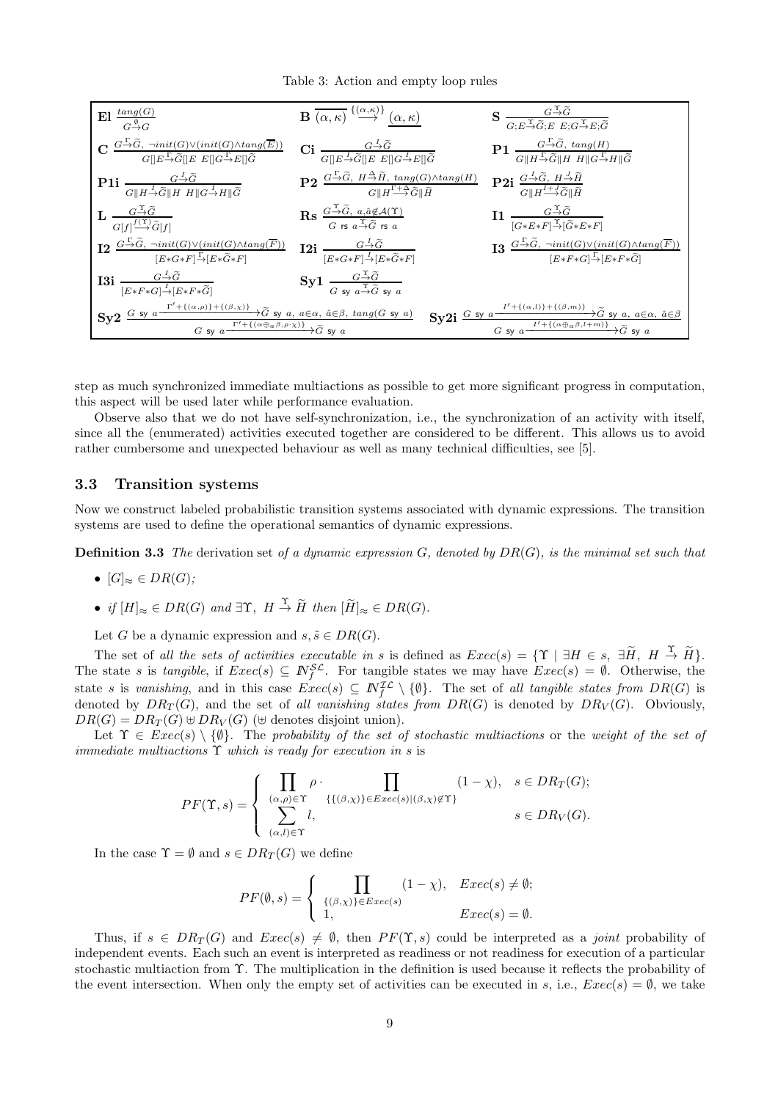Table 3: Action and empty loop rules



step as much synchronized immediate multiactions as possible to get more significant progress in computation, this aspect will be used later while performance evaluation.

Observe also that we do not have self-synchronization, i.e., the synchronization of an activity with itself, since all the (enumerated) activities executed together are considered to be different. This allows us to avoid rather cumbersome and unexpected behaviour as well as many technical difficulties, see [5].

#### 3.3 Transition systems

Now we construct labeled probabilistic transition systems associated with dynamic expressions. The transition systems are used to define the operational semantics of dynamic expressions.

**Definition 3.3** The derivation set of a dynamic expression  $G$ , denoted by  $DR(G)$ , is the minimal set such that

- $[G]_{\approx} \in DR(G);$
- if  $[H]_{\approx} \in DR(G)$  and  $\exists \Upsilon$ ,  $H \stackrel{\Upsilon}{\rightarrow} \widetilde{H}$  then  $[\widetilde{H}]_{\approx} \in DR(G)$ .

Let G be a dynamic expression and  $s, \tilde{s} \in DR(G)$ .

The set of all the sets of activities executable in s is defined as  $Exec(s) = \{ \Upsilon \mid \exists H \in s, \exists \widetilde{H}, H \stackrel{\Upsilon}{\rightarrow} \widetilde{H} \}.$ The state s is tangible, if  $Exec(s) \subseteq N_f^{\mathcal{SL}}$ . For tangible states we may have  $Exec(s) = \emptyset$ . Otherwise, the state s is vanishing, and in this case  $Exec(s) \subseteq N_f^{\mathcal{IL}} \setminus \{\emptyset\}$ . The set of all tangible states from  $DR(G)$  is denoted by  $DR_T(G)$ , and the set of all vanishing states from  $DR(G)$  is denoted by  $DR_V(G)$ . Obviously,  $DR(G) = DR_T(G) \oplus DR_V(G)$  ( $\oplus$  denotes disjoint union).

Let  $\Upsilon \in \mathit{Exec}(s) \setminus \{\emptyset\}$ . The probability of the set of stochastic multiactions or the weight of the set of immediate multiactions  $\Upsilon$  which is ready for execution in s is

$$
PF(\Upsilon,s) = \begin{cases} \prod_{(\alpha,\rho) \in \Upsilon} \rho \cdot \prod_{\{ \{ (\beta,\chi) \} \in E \text{vec}(s) | (\beta,\chi) \notin \Upsilon \}} (1-\chi), & s \in DR_T(G); \\ \sum_{(\alpha,l) \in \Upsilon} l, & s \in DR_V(G). \end{cases}
$$

In the case  $\Upsilon = \emptyset$  and  $s \in DR_T(G)$  we define

$$
PF(\emptyset, s) = \begin{cases} \prod_{\{(\beta, \chi)\}\in \text{Exec}(s)} (1 - \chi), & \text{Exec}(s) \neq \emptyset; \\ 1, & \text{Exec}(s) = \emptyset. \end{cases}
$$

Thus, if  $s \in DR_T(G)$  and  $Exec(s) \neq \emptyset$ , then  $PF(\Upsilon, s)$  could be interpreted as a *joint* probability of independent events. Each such an event is interpreted as readiness or not readiness for execution of a particular stochastic multiaction from Υ. The multiplication in the definition is used because it reflects the probability of the event intersection. When only the empty set of activities can be executed in s, i.e.,  $Exec(s) = \emptyset$ , we take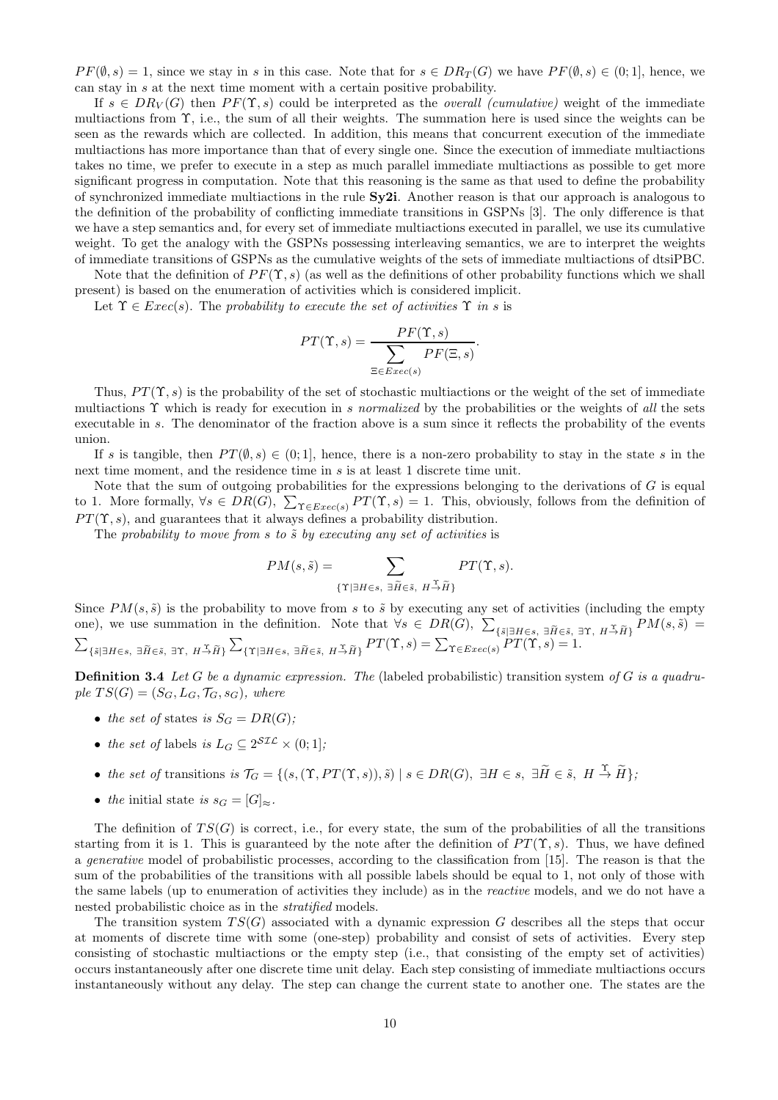$PF(\emptyset, s) = 1$ , since we stay in s in this case. Note that for  $s \in DR_T(G)$  we have  $PF(\emptyset, s) \in (0, 1]$ , hence, we can stay in s at the next time moment with a certain positive probability.

If  $s \in DR_V(G)$  then  $PF(\Upsilon, s)$  could be interpreted as the *overall (cumulative)* weight of the immediate multiactions from Υ, i.e., the sum of all their weights. The summation here is used since the weights can be seen as the rewards which are collected. In addition, this means that concurrent execution of the immediate multiactions has more importance than that of every single one. Since the execution of immediate multiactions takes no time, we prefer to execute in a step as much parallel immediate multiactions as possible to get more significant progress in computation. Note that this reasoning is the same as that used to define the probability of synchronized immediate multiactions in the rule Sy2i. Another reason is that our approach is analogous to the definition of the probability of conflicting immediate transitions in GSPNs [3]. The only difference is that we have a step semantics and, for every set of immediate multiactions executed in parallel, we use its cumulative weight. To get the analogy with the GSPNs possessing interleaving semantics, we are to interpret the weights of immediate transitions of GSPNs as the cumulative weights of the sets of immediate multiactions of dtsiPBC.

Note that the definition of  $PF(\Upsilon, s)$  (as well as the definitions of other probability functions which we shall present) is based on the enumeration of activities which is considered implicit.

Let  $\Upsilon \in \mathit{Exec}(s)$ . The probability to execute the set of activities  $\Upsilon$  in s is

$$
PT(\Upsilon, s) = \frac{PF(\Upsilon, s)}{\sum_{\Xi \in E \text{zero}(s)} PF(\Xi, s)}.
$$

Thus,  $PT(\Upsilon, s)$  is the probability of the set of stochastic multiactions or the weight of the set of immediate multiactions  $\Upsilon$  which is ready for execution in s normalized by the probabilities or the weights of all the sets executable in s. The denominator of the fraction above is a sum since it reflects the probability of the events union.

If s is tangible, then  $PT(\emptyset, s) \in (0, 1]$ , hence, there is a non-zero probability to stay in the state s in the next time moment, and the residence time in s is at least 1 discrete time unit.

Note that the sum of outgoing probabilities for the expressions belonging to the derivations of  $G$  is equal to 1. More formally,  $\forall s \in DR(G), \sum_{\Upsilon \in Excel(s)} PT(\Upsilon, s) = 1$ . This, obviously, follows from the definition of  $PT(\Upsilon, s)$ , and guarantees that it always defines a probability distribution.

The probability to move from  $s$  to  $\tilde{s}$  by executing any set of activities is

$$
PM(s, \tilde{s}) = \sum_{\{\Upsilon \mid \exists H \in s, \ \exists \tilde{H} \in \tilde{s}, \ H \stackrel{\Upsilon}{\rightarrow} \tilde{H}\}} PT(\Upsilon, s).
$$

Since  $PM(s, \tilde{s})$  is the probability to move from s to  $\tilde{s}$  by executing any set of activities (including the empty one), we use summation in the definition. Note that  $\forall s \in DR(G), \sum_{\{\tilde{s} \mid \exists H \in s, \exists \tilde{H} \in \tilde{s}, \exists \Upsilon, H \stackrel{\tau}{\rightarrow} \tilde{H}\}} PM(s, \tilde{s}) =$  $\sum_{\{\tilde{s}|\exists H\in s,\ \exists \tilde{H}\in \tilde{s},\ \exists \Upsilon,\ H\stackrel{\sim}{\to}\tilde{H}\}}\sum_{\{\Upsilon|\exists H\in s,\ \exists \tilde{H}\in \tilde{s},\ H\stackrel{\sim}{\to}\tilde{H}\}}PT(\Upsilon,s)=\sum_{\Upsilon\in Excel(s)}PT(\Upsilon,s)=1.$ 

**Definition 3.4** Let G be a dynamic expression. The (labeled probabilistic) transition system of G is a quadruple  $TS(G) = (S_G, L_G, \mathcal{T}_G, s_G)$ , where

- the set of states is  $S_G = DR(G)$ ;
- the set of labels is  $L_G \subseteq 2^{\mathcal{SIL}} \times (0,1]$ ;

• the set of transitions is 
$$
\mathcal{T}_G = \{ (s, (\Upsilon, PT(\Upsilon, s)), \tilde{s}) \mid s \in DR(G), \exists H \in s, \exists \tilde{H} \in \tilde{s}, H \stackrel{\Upsilon}{\rightarrow} \tilde{H} \}
$$

• the initial state is  $s_G = [G]_{\approx}$ .

The definition of  $TS(G)$  is correct, i.e., for every state, the sum of the probabilities of all the transitions starting from it is 1. This is guaranteed by the note after the definition of  $PT(\Upsilon, s)$ . Thus, we have defined a *generative* model of probabilistic processes, according to the classification from [15]. The reason is that the sum of the probabilities of the transitions with all possible labels should be equal to 1, not only of those with the same labels (up to enumeration of activities they include) as in the reactive models, and we do not have a nested probabilistic choice as in the stratified models.

The transition system  $TS(G)$  associated with a dynamic expression G describes all the steps that occur at moments of discrete time with some (one-step) probability and consist of sets of activities. Every step consisting of stochastic multiactions or the empty step (i.e., that consisting of the empty set of activities) occurs instantaneously after one discrete time unit delay. Each step consisting of immediate multiactions occurs instantaneously without any delay. The step can change the current state to another one. The states are the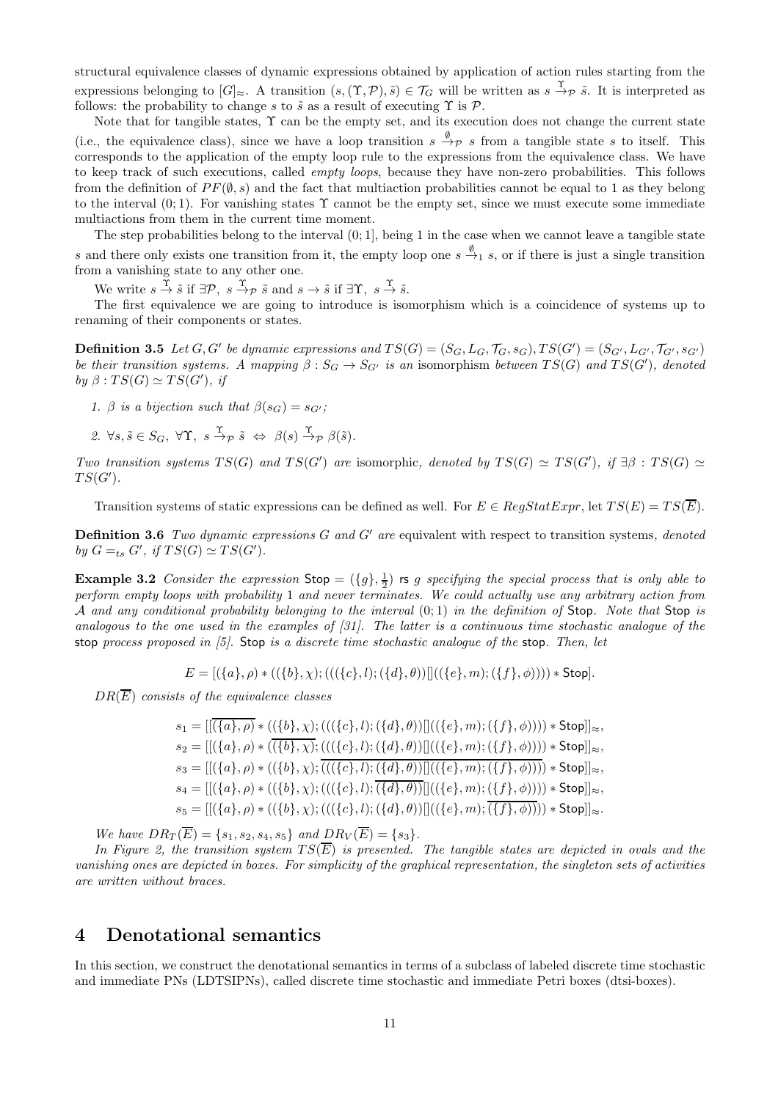structural equivalence classes of dynamic expressions obtained by application of action rules starting from the expressions belonging to  $[G]_{\approx}$ . A transition  $(s,(\Upsilon,\mathcal{P}),\tilde{s})\in\mathcal{T}_G$  will be written as  $s\stackrel{\Upsilon}{\to}_{\mathcal{P}}\tilde{s}$ . It is interpreted as follows: the probability to change s to  $\tilde{s}$  as a result of executing  $\Upsilon$  is  $\mathcal{P}$ .

Note that for tangible states,  $\Upsilon$  can be the empty set, and its execution does not change the current state (i.e., the equivalence class), since we have a loop transition  $s \stackrel{\emptyset}{\to} \mathcal{P} s$  from a tangible state s to itself. This corresponds to the application of the empty loop rule to the expressions from the equivalence class. We have to keep track of such executions, called *empty loops*, because they have non-zero probabilities. This follows from the definition of  $PF(\emptyset, s)$  and the fact that multiaction probabilities cannot be equal to 1 as they belong to the interval  $(0, 1)$ . For vanishing states  $\Upsilon$  cannot be the empty set, since we must execute some immediate multiactions from them in the current time moment.

The step probabilities belong to the interval  $(0, 1]$ , being 1 in the case when we cannot leave a tangible state s and there only exists one transition from it, the empty loop one  $s \xrightarrow{\emptyset} s$ , or if there is just a single transition from a vanishing state to any other one.

We write  $s \stackrel{\Upsilon}{\rightarrow} \tilde{s}$  if  $\exists \mathcal{P}, s \stackrel{\Upsilon}{\rightarrow} \tilde{s}$  and  $s \rightarrow \tilde{s}$  if  $\exists \Upsilon, s \stackrel{\Upsilon}{\rightarrow} \tilde{s}$ .

The first equivalence we are going to introduce is isomorphism which is a coincidence of systems up to renaming of their components or states.

**Definition 3.5** Let  $G, G'$  be dynamic expressions and  $TS(G) = (S_G, L_G, \mathcal{T}_G, s_G), TS(G') = (S_{G'}, L_{G'}, \mathcal{T}_{G'}, s_{G'})$ be their transition systems. A mapping  $\beta: S_G \to S_{G'}$  is an isomorphism between  $TS(G)$  and  $TS(G')$ , denoted by  $\beta: TS(G) \simeq TS(G')$ , if

- 1. β is a bijection such that  $\beta(s_G) = s_{G'}$ ;
- 2.  $\forall s, \tilde{s} \in S_G$ ,  $\forall \Upsilon$ ,  $s \stackrel{\Upsilon}{\rightarrow} p \tilde{s} \Leftrightarrow \beta(s) \stackrel{\Upsilon}{\rightarrow} p \beta(\tilde{s})$ .

Two transition systems  $TS(G)$  and  $TS(G')$  are isomorphic, denoted by  $TS(G) \simeq TS(G')$ , if  $\exists \beta : TS(G) \simeq TS(G')$  $TS(G')$ .

Transition systems of static expressions can be defined as well. For  $E \in RegStatExpr$ , let  $TS(E) = TS(\overline{E})$ .

**Definition 3.6** Two dynamic expressions  $G$  and  $G'$  are equivalent with respect to transition systems, denoted by  $G =_{ts} G'$ , if  $TS(G) \simeq TS(G')$ .

**Example 3.2** Consider the expression  $\text{Stop} = (\{g\}, \frac{1}{2})$  is g specifying the special process that is only able to perform empty loops with probability 1 and never terminates. We could actually use any arbitrary action from A and any conditional probability belonging to the interval  $(0,1)$  in the definition of Stop. Note that Stop is analogous to the one used in the examples of [31]. The latter is a continuous time stochastic analogue of the stop process proposed in  $[5]$ . Stop is a discrete time stochastic analogue of the stop. Then, let

$$
E = [(\{a\}, \rho) * ((\{b\}, \chi); (((\{c\}, l); (\{d\}, \theta))]]((\{e\}, m); (\{f\}, \phi)))) * Stop].
$$

 $DR(\overline{E})$  consists of the equivalence classes

$$
s_1 = [[(\{a\}, \rho) * ((\{b\}, \chi); (((\{c\}, l); (\{d\}, \theta))]]((\{e\}, m); (\{f\}, \phi)))))* \text{Stop}]]_{\approx},
$$
  
\n
$$
s_2 = [[(\{a\}, \rho) * ((\overline{\{b\}, \chi); (((\{c\}, l); (\{d\}, \theta))]]((\{e\}, m); (\{f\}, \phi)))))* \text{Stop}]]_{\approx},
$$
  
\n
$$
s_3 = [[(\{a\}, \rho) * ((\{b\}, \chi); (((\{c\}, l); (\{d\}, \theta))]]((\{e\}, m); (\{f\}, \phi)))))* \text{Stop}]]_{\approx},
$$
  
\n
$$
s_4 = [[(\{a\}, \rho) * ((\{b\}, \chi); (((\{c\}, l); (\{d\}, \theta))]]((\{e\}, m); (\{f\}, \phi)))))* \text{Stop}]]_{\approx},
$$
  
\n
$$
s_5 = [[(\{a\}, \rho) * ((\{b\}, \chi); (((\{c\}, l); (\{d\}, \theta))]]((\{e\}, m); (\overline{\{f\}, \phi)})))* \text{Stop}]]_{\approx}.
$$

We have  $DR_T(\overline{E}) = \{s_1, s_2, s_4, s_5\}$  and  $DR_V(\overline{E}) = \{s_3\}.$ 

In Figure 2, the transition system  $TS(\overline{E})$  is presented. The tangible states are depicted in ovals and the vanishing ones are depicted in boxes. For simplicity of the graphical representation, the singleton sets of activities are written without braces.

# 4 Denotational semantics

In this section, we construct the denotational semantics in terms of a subclass of labeled discrete time stochastic and immediate PNs (LDTSIPNs), called discrete time stochastic and immediate Petri boxes (dtsi-boxes).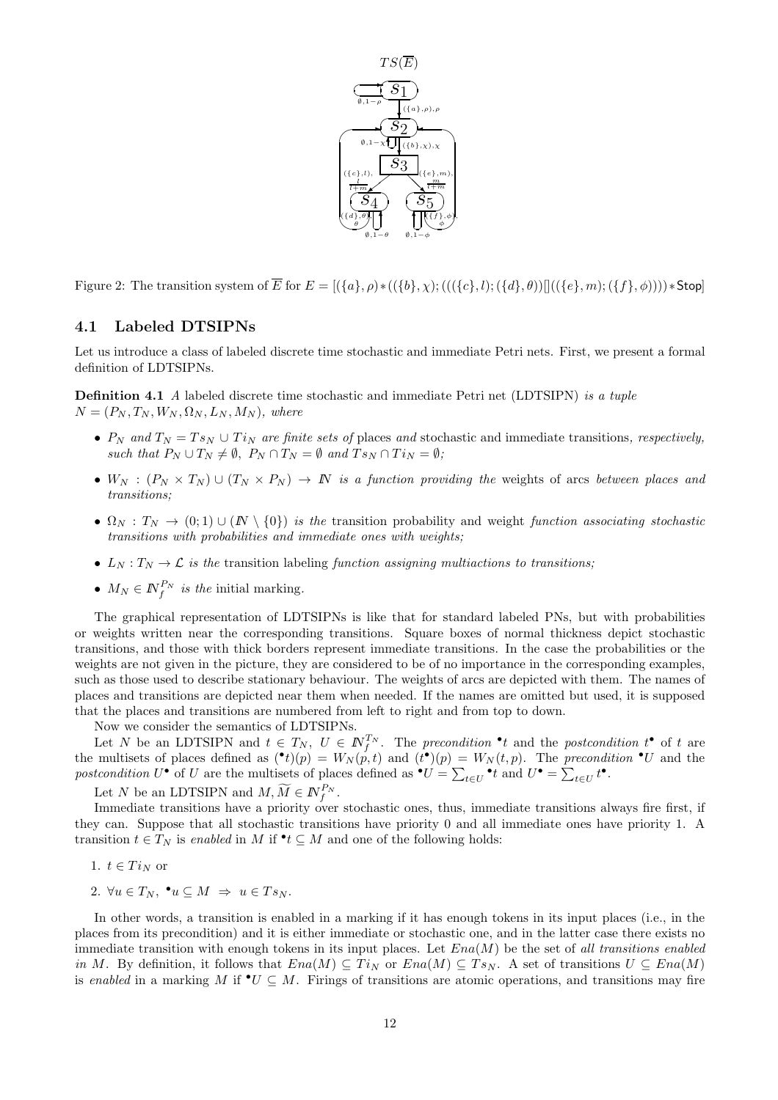

Figure 2: The transition system of  $\overline{E}$  for  $E = [(\{a\}, \rho) * ((\{b\}, \chi) ; (((\{c\}, l) ; (\{d\}, \theta))]((\{e\}, m) ; (\{f\}, \phi)))) * Stop$ 

#### 4.1 Labeled DTSIPNs

Let us introduce a class of labeled discrete time stochastic and immediate Petri nets. First, we present a formal definition of LDTSIPNs.

**Definition 4.1** A labeled discrete time stochastic and immediate Petri net (LDTSIPN) is a tuple  $N = (P_N, T_N, W_N, \Omega_N, L_N, M_N)$ , where

- $P_N$  and  $T_N = T s_N \cup T i_N$  are finite sets of places and stochastic and immediate transitions, respectively, such that  $P_N \cup T_N \neq \emptyset$ ,  $P_N \cap T_N = \emptyset$  and  $T_{S_N} \cap T_{N_N} = \emptyset$ ;
- $W_N$  :  $(P_N \times T_N) \cup (T_N \times P_N) \to \mathbb{N}$  is a function providing the weights of arcs between places and transitions;
- $\Omega_N : T_N \to (0,1) \cup (N \setminus \{0\})$  is the transition probability and weight function associating stochastic transitions with probabilities and immediate ones with weights;
- $L_N: T_N \to \mathcal{L}$  is the transition labeling function assigning multiactions to transitions;
- $M_N \in \mathbb{N}_f^{P_N}$  is the initial marking.

The graphical representation of LDTSIPNs is like that for standard labeled PNs, but with probabilities or weights written near the corresponding transitions. Square boxes of normal thickness depict stochastic transitions, and those with thick borders represent immediate transitions. In the case the probabilities or the weights are not given in the picture, they are considered to be of no importance in the corresponding examples, such as those used to describe stationary behaviour. The weights of arcs are depicted with them. The names of places and transitions are depicted near them when needed. If the names are omitted but used, it is supposed that the places and transitions are numbered from left to right and from top to down.

Now we consider the semantics of LDTSIPNs.

Let N be an LDTSIPN and  $t \in T_N$ ,  $U \in \mathbb{N}_{f}^{T_N}$ . The precondition  $\cdot t$  and the postcondition  $t^{\bullet}$  of t are the multisets of places defined as  $(\cdot t)(p) = W_N(p, t)$  and  $(t(\cdot))$   $(p) = W_N(t, p)$ . The precondition  $\cdot U$  and the postcondition  $U^{\bullet}$  of U are the multisets of places defined as  $^{\bullet}U = \sum_{t \in U}^{\bullet} t$  and  $U^{\bullet} = \sum_{t \in U} t^{\bullet}$ .

Let N be an LDTSIPN and  $M, \widetilde{M} \in \mathbb{N}_{f}^{P_N}$ .

Immediate transitions have a priority over stochastic ones, thus, immediate transitions always fire first, if they can. Suppose that all stochastic transitions have priority 0 and all immediate ones have priority 1. A transition  $t \in T_N$  is enabled in M if  $\bullet t \subseteq M$  and one of the following holds:

- 1.  $t \in Ti_N$  or
- 2.  $\forall u \in T_N$ ,  $\bullet u \subseteq M \Rightarrow u \in Ts_N$ .

In other words, a transition is enabled in a marking if it has enough tokens in its input places (i.e., in the places from its precondition) and it is either immediate or stochastic one, and in the latter case there exists no immediate transition with enough tokens in its input places. Let  $Ena(M)$  be the set of all transitions enabled in M. By definition, it follows that  $Ena(M) \subseteq Ti_N$  or  $Ena(M) \subseteq Ts_N$ . A set of transitions  $U \subseteq Ena(M)$ is enabled in a marking M if  $\mathbf{v} \subseteq M$ . Firings of transitions are atomic operations, and transitions may fire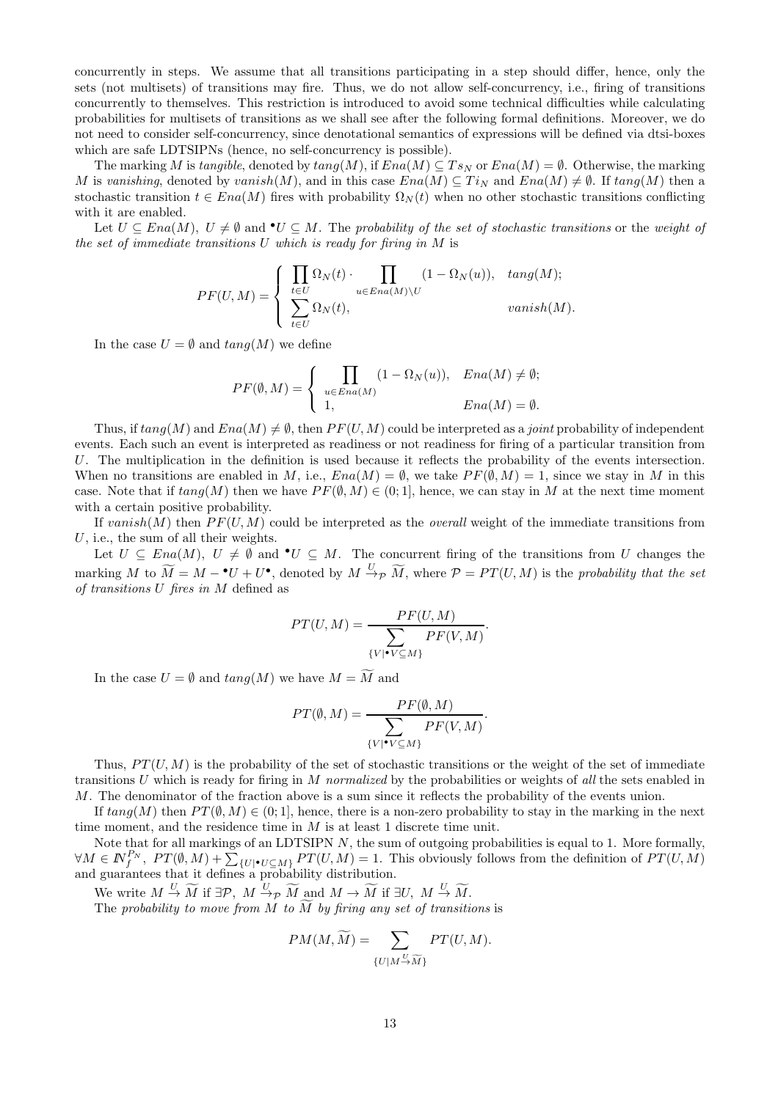concurrently in steps. We assume that all transitions participating in a step should differ, hence, only the sets (not multisets) of transitions may fire. Thus, we do not allow self-concurrency, i.e., firing of transitions concurrently to themselves. This restriction is introduced to avoid some technical difficulties while calculating probabilities for multisets of transitions as we shall see after the following formal definitions. Moreover, we do not need to consider self-concurrency, since denotational semantics of expressions will be defined via dtsi-boxes which are safe LDTSIPNs (hence, no self-concurrency is possible).

The marking M is tangible, denoted by  $tan q(M)$ , if  $Ena(M) \subseteq Ts_N$  or  $Ena(M) = \emptyset$ . Otherwise, the marking M is vanishing, denoted by vanish $(M)$ , and in this case  $Ena(M) \subseteq Ti<sub>N</sub>$  and  $Ena(M) \neq \emptyset$ . If  $tanq(M)$  then a stochastic transition  $t \in Ena(M)$  fires with probability  $\Omega_N(t)$  when no other stochastic transitions conflicting with it are enabled.

Let  $U \subseteq Ena(M)$ ,  $U \neq \emptyset$  and  $\bullet U \subseteq M$ . The probability of the set of stochastic transitions or the weight of the set of immediate transitions  $U$  which is ready for firing in  $M$  is

$$
PF(U, M) = \begin{cases} \n\prod_{t \in U} \Omega_N(t) \cdot \prod_{u \in Ena(M) \setminus U} (1 - \Omega_N(u)), & \tan(g(M)); \\
\sum_{t \in U} \Omega_N(t), & \tanish(M).\n\end{cases}
$$

In the case  $U = \emptyset$  and  $tan q(M)$  we define

$$
PF(\emptyset, M) = \begin{cases} \prod_{u \in Ena(M)} (1 - \Omega_N(u)), & Ena(M) \neq \emptyset; \\ 1, & Ena(M) = \emptyset. \end{cases}
$$

Thus, if  $tang(M)$  and  $Ena(M) \neq \emptyset$ , then  $PF(U, M)$  could be interpreted as a *joint* probability of independent events. Each such an event is interpreted as readiness or not readiness for firing of a particular transition from U. The multiplication in the definition is used because it reflects the probability of the events intersection. When no transitions are enabled in M, i.e.,  $Ena(M) = \emptyset$ , we take  $PF(\emptyset, M) = 1$ , since we stay in M in this case. Note that if  $tang(M)$  then we have  $PF(\emptyset, M) \in (0, 1]$ , hence, we can stay in M at the next time moment with a certain positive probability.

If vanish(M) then  $PF(U, M)$  could be interpreted as the *overall* weight of the immediate transitions from U, i.e., the sum of all their weights.

Let  $U \subseteq Ena(M), U \neq \emptyset$  and  $\bullet U \subseteq M$ . The concurrent firing of the transitions from U changes the marking M to  $\widetilde{M} = M - {}^{\bullet}U + U^{\bullet}$ , denoted by  $M \stackrel{U}{\rightarrow} p \widetilde{M}$ , where  $P = PT(U, M)$  is the probability that the set of transitions U fires in M defined as

$$
PT(U, M) = \frac{PF(U, M)}{\sum_{\{V | \bullet V \subseteq M\}} PF(V, M)}.
$$

In the case  $U = \emptyset$  and  $tang(M)$  we have  $M = \widetilde{M}$  and

$$
PT(\emptyset, M) = \frac{PF(\emptyset, M)}{\sum_{\{V | \bullet V \subseteq M\}} PF(V, M)}.
$$

Thus,  $PT(U, M)$  is the probability of the set of stochastic transitions or the weight of the set of immediate transitions U which is ready for firing in M normalized by the probabilities or weights of all the sets enabled in M. The denominator of the fraction above is a sum since it reflects the probability of the events union.

If  $tang(M)$  then  $PT(\emptyset, M) \in (0, 1]$ , hence, there is a non-zero probability to stay in the marking in the next time moment, and the residence time in  $M$  is at least 1 discrete time unit.

Note that for all markings of an LDTSIPN  $N$ , the sum of outgoing probabilities is equal to 1. More formally,  $\forall M \in \mathbb{N}_{f}^{P_N}, PT(\emptyset, M) + \sum_{\{U \mid \bullet U \subseteq M\}} PT(U, M) = 1$ . This obviously follows from the definition of  $PT(U, M)$ and guarantees that it defines a probability distribution.

We write  $M \stackrel{U}{\rightarrow} \widetilde{M}$  if  $\exists \mathcal{P}, M \stackrel{U}{\rightarrow} \widetilde{M}$  and  $M \rightarrow \widetilde{M}$  if  $\exists U, M \stackrel{U}{\rightarrow} \widetilde{M}$ .

The probability to move from M to  $\overline{M}$  by firing any set of transitions is

$$
PM(M,\widetilde{M})=\sum_{\{U|M\stackrel{U}{\rightarrow} \widetilde{M}\}} PT(U,M).
$$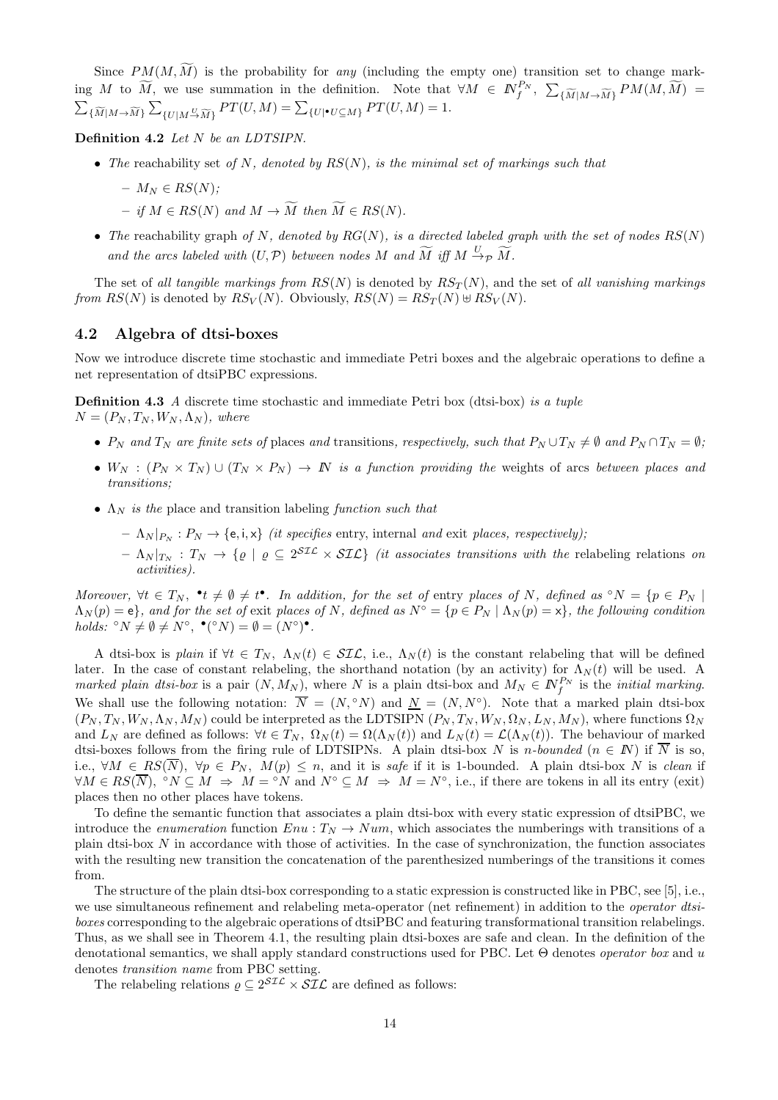Since  $PM(M, \widetilde{M})$  is the probability for any (including the empty one) transition set to change marking M to  $\widetilde{M}$ , we use summation in the definition. Note that  $\forall M \in \mathbb{N}^{P_N}_f$ ,  $\sum_{\{\widetilde{M}|M \to \widetilde{M}\}} PM(M, \widetilde{M}) =$  $\sum_{\{\widetilde{M}|M\to\widetilde{M}\}}\sum_{\{U|M\stackrel{U}{\to}\widetilde{M}\}}PT(U,M)=\sum_{\{U|\bullet U\subseteq M\}}PT(U,M)=1.$ 

Definition 4.2 Let N be an LDTSIPN.

• The reachability set of N, denoted by  $RS(N)$ , is the minimal set of markings such that

$$
- M_N \in RS(N);
$$

- $-$  if  $M \in RS(N)$  and  $M \to \widetilde{M}$  then  $\widetilde{M} \in RS(N)$ .
- The reachability graph of N, denoted by  $RG(N)$ , is a directed labeled graph with the set of nodes  $RS(N)$ and the arcs labeled with  $(U, \mathcal{P})$  between nodes M and  $\widetilde{M}$  iff  $M \xrightarrow{U} \widetilde{p} \widetilde{M}$ .

The set of all tangible markings from  $RS(N)$  is denoted by  $RS_T(N)$ , and the set of all vanishing markings from  $RS(N)$  is denoted by  $RS_V(N)$ . Obviously,  $RS(N) = RS_T(N) \oplus RS_V(N)$ .

#### 4.2 Algebra of dtsi-boxes

Now we introduce discrete time stochastic and immediate Petri boxes and the algebraic operations to define a net representation of dtsiPBC expressions.

**Definition 4.3** A discrete time stochastic and immediate Petri box (dtsi-box) is a tuple  $N = (P_N, T_N, W_N, \Lambda_N)$ , where

- $P_N$  and  $T_N$  are finite sets of places and transitions, respectively, such that  $P_N \cup T_N \neq \emptyset$  and  $P_N \cap T_N = \emptyset$ ;
- $W_N$  :  $(P_N \times T_N) \cup (T_N \times P_N) \rightarrow N$  is a function providing the weights of arcs between places and transitions;
- $\Lambda_N$  is the place and transition labeling function such that
	- $\Lambda_N |_{P_N} : P_N \to \{e, i, x\}$  *(it specifies entry, internal and exit places, respectively);*
	- $\Lambda_N |_{T_N} : T_N \to \{ \varrho \mid \varrho \subseteq 2^{\text{STL}} \times \text{STL} \}$  (it associates transitions with the relabeling relations on activities).

Moreover,  $\forall t \in T_N$ ,  $\bullet t \neq \emptyset \neq t^{\bullet}$ . In addition, for the set of entry places of N, defined as  $\circ N = \{p \in P_N \mid$  $\Lambda_N(p) = e$ , and for the set of exit places of N, defined as  $N^{\circ} = \{p \in P_N \mid \Lambda_N(p) = x\}$ , the following condition holds:  ${}^{\circ}N \neq \emptyset \neq N^{\circ}, \bullet({}^{\circ}N) = \emptyset = (N^{\circ})^{\bullet}.$ 

A dtsi-box is plain if  $\forall t \in T_N$ ,  $\Lambda_N(t) \in \mathcal{SIL}$ , i.e.,  $\Lambda_N(t)$  is the constant relabeling that will be defined later. In the case of constant relabeling, the shorthand notation (by an activity) for  $\Lambda_N(t)$  will be used. A marked plain dtsi-box is a pair  $(N, M_N)$ , where N is a plain dtsi-box and  $M_N \in \mathbb{N}_{f}^{P_N}$  is the *initial marking*. We shall use the following notation:  $\overline{N} = (N, \degree N)$  and  $\underline{N} = (N, N^{\degree})$ . Note that a marked plain dtsi-box  $(P_N, T_N, W_N, \Lambda_N, M_N)$  could be interpreted as the LDTSIPN  $(P_N, T_N, W_N, \Omega_N, L_N, M_N)$ , where functions  $\Omega_N$ and  $L_N$  are defined as follows:  $\forall t \in T_N$ ,  $\Omega_N(t) = \Omega(\Lambda_N(t))$  and  $L_N(t) = \mathcal{L}(\Lambda_N(t))$ . The behaviour of marked dtsi-boxes follows from the firing rule of LDTSIPNs. A plain dtsi-box N is n-bounded ( $n \in \mathbb{N}$ ) if  $\overline{N}$  is so, i.e.,  $\forall M \in RS(\overline{N})$ ,  $\forall p \in P_N$ ,  $M(p) \leq n$ , and it is safe if it is 1-bounded. A plain dtsi-box N is clean if  $\forall M \in RS(\overline{N}), \, ^\circ N \subseteq M \Rightarrow M = ^\circ N \text{ and } N^\circ \subseteq M \Rightarrow M = N^\circ, \text{ i.e., if there are tokens in all its entry (exit) }$ places then no other places have tokens.

To define the semantic function that associates a plain dtsi-box with every static expression of dtsiPBC, we introduce the *enumeration* function  $Env : T_N \rightarrow Num$ , which associates the numberings with transitions of a plain dtsi-box  $N$  in accordance with those of activities. In the case of synchronization, the function associates with the resulting new transition the concatenation of the parenthesized numberings of the transitions it comes from.

The structure of the plain dtsi-box corresponding to a static expression is constructed like in PBC, see [5], i.e., we use simultaneous refinement and relabeling meta-operator (net refinement) in addition to the *operator dtsi*boxes corresponding to the algebraic operations of dtsiPBC and featuring transformational transition relabelings. Thus, as we shall see in Theorem 4.1, the resulting plain dtsi-boxes are safe and clean. In the definition of the denotational semantics, we shall apply standard constructions used for PBC. Let  $\Theta$  denotes *operator box* and u denotes transition name from PBC setting.

The relabeling relations  $\rho \subseteq 2^{\mathcal{SIL}} \times \mathcal{SIL}$  are defined as follows: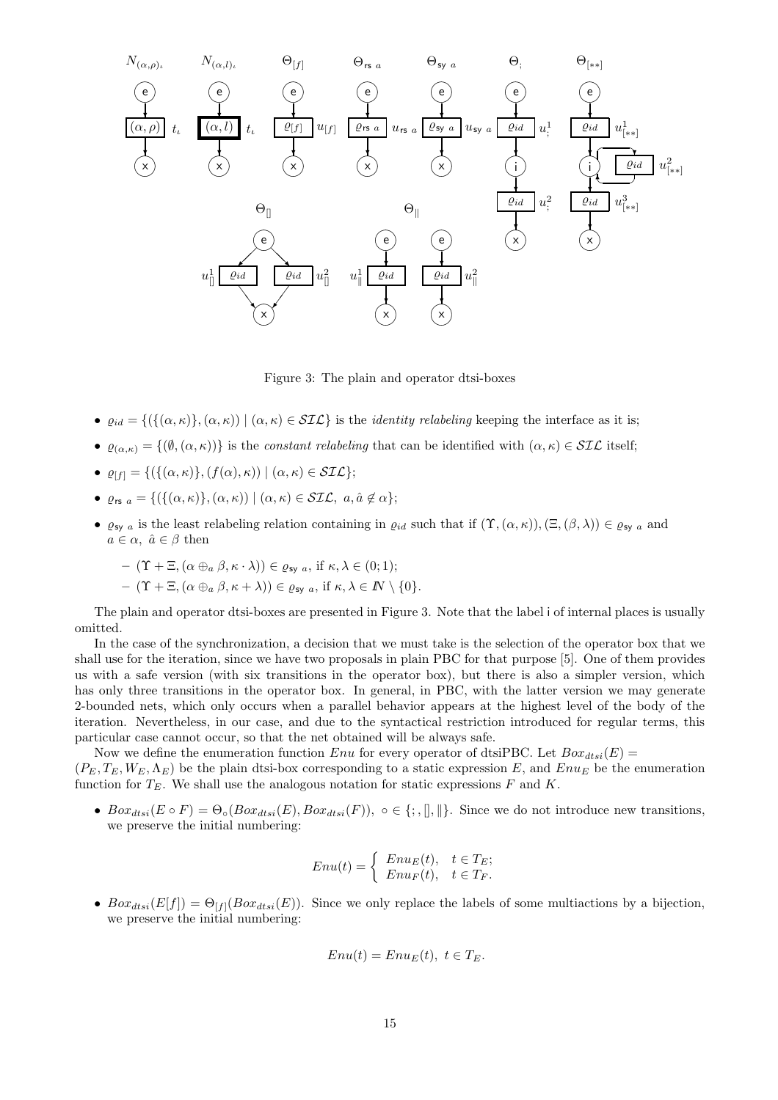

Figure 3: The plain and operator dtsi-boxes

- $\varrho_{id} = \{(\{(\alpha, \kappa)\}, (\alpha, \kappa)) \mid (\alpha, \kappa) \in \mathcal{SIL}\}\$ is the *identity relabeling* keeping the interface as it is;
- $\varrho_{(\alpha,\kappa)} = \{(\emptyset, (\alpha,\kappa))\}$  is the constant relabeling that can be identified with  $(\alpha,\kappa) \in \mathcal{SIL}$  itself;
- $\varrho_{[f]} = \{ (\{(\alpha,\kappa)\},(f(\alpha),\kappa)) \mid (\alpha,\kappa) \in \mathcal{SIL} \};$
- $\varrho_{rs\ a} = \{ (\{ (\alpha, \kappa) \}, (\alpha, \kappa)) \mid (\alpha, \kappa) \in \mathcal{SIL}, \ a, \hat{a} \notin \alpha \};$
- $\varrho_{\text{sy }a}$  is the least relabeling relation containing in  $\varrho_{id}$  such that if  $(\Upsilon,(\alpha,\kappa)),(\Xi,(\beta,\lambda))\in\varrho_{\text{sy }a}$  and  $a \in \alpha$ ,  $\hat{a} \in \beta$  then

$$
- (\Upsilon + \Xi, (\alpha \oplus_a \beta, \kappa \cdot \lambda)) \in \varrho_{\text{sy } a}, \text{ if } \kappa, \lambda \in (0; 1);
$$
  
- (\Upsilon + \Xi, (\alpha \oplus\_a \beta, \kappa + \lambda)) \in \varrho\_{\text{sy } a}, \text{ if } \kappa, \lambda \in \mathbb{N} \setminus \{0\}.

The plain and operator dtsi-boxes are presented in Figure 3. Note that the label i of internal places is usually omitted.

In the case of the synchronization, a decision that we must take is the selection of the operator box that we shall use for the iteration, since we have two proposals in plain PBC for that purpose [5]. One of them provides us with a safe version (with six transitions in the operator box), but there is also a simpler version, which has only three transitions in the operator box. In general, in PBC, with the latter version we may generate 2-bounded nets, which only occurs when a parallel behavior appears at the highest level of the body of the iteration. Nevertheless, in our case, and due to the syntactical restriction introduced for regular terms, this particular case cannot occur, so that the net obtained will be always safe.

Now we define the enumeration function Enu for every operator of dtsiPBC. Let  $Box_{dtsi}(E)$  =

 $(P_E, T_E, W_E, \Lambda_E)$  be the plain dtsi-box corresponding to a static expression E, and Enu<sub>E</sub> be the enumeration function for  $T_E$ . We shall use the analogous notation for static expressions F and K.

•  $Box_{dtsi}(E \circ F) = \Theta_{\circ}(Box_{dtsi}(E),Box_{dtsi}(F)), \circ \in \{\, ; , \, \| , \| \}.$  Since we do not introduce new transitions, we preserve the initial numbering:

$$
Enu(t) = \begin{cases} Enu_E(t), & t \in T_E; \\ Enu_F(t), & t \in T_F. \end{cases}
$$

•  $Box_{dtsi}(E[f]) = \Theta_{[f]}(Box_{dtsi}(E)).$  Since we only replace the labels of some multiactions by a bijection, we preserve the initial numbering:

$$
Enu(t) = EnuE(t), t \in TE.
$$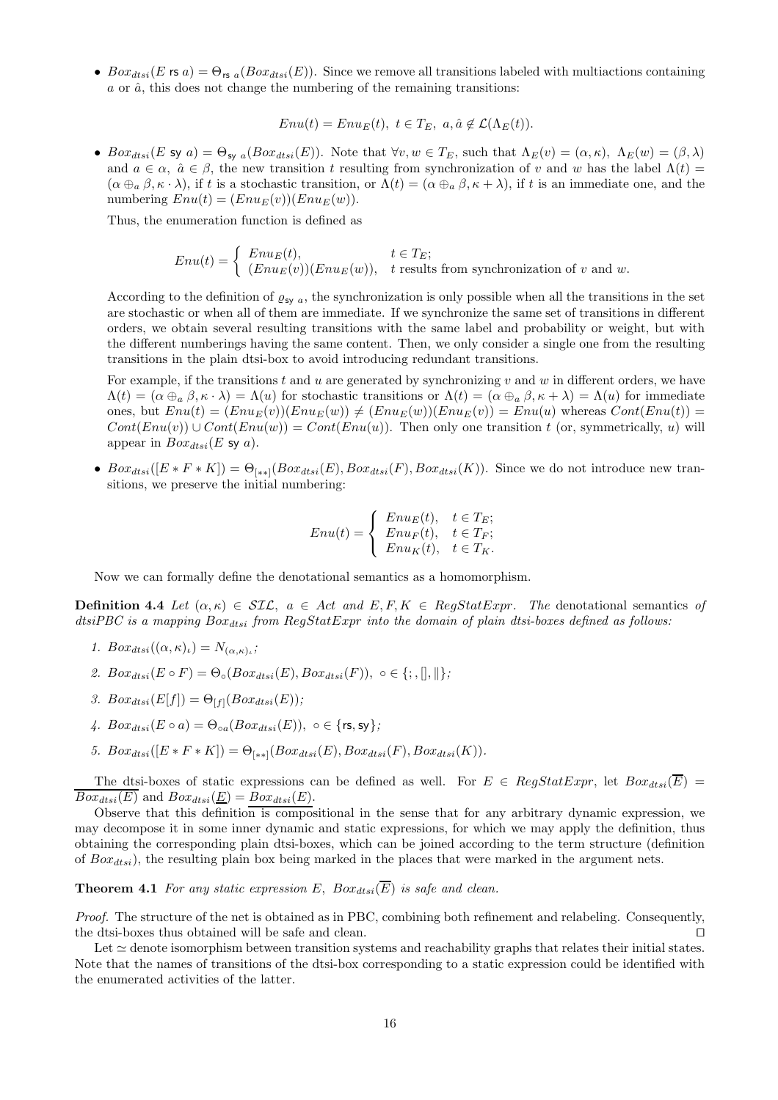• Box<sub>dtsi</sub>(E rs a) =  $\Theta_{rs}$  <sub>a</sub>(Box<sub>dtsi</sub>(E)). Since we remove all transitions labeled with multiactions containing  $a$  or  $\hat{a}$ , this does not change the numbering of the remaining transitions:

 $Enu(t) = Enu_E(t), t \in T_E, a, \hat{a} \notin \mathcal{L}(\Lambda_E(t)).$ 

•  $Box_{dtsi}(E \text{ sy } a) = \Theta_{\text{sy } a}(Box_{dtsi}(E))$ . Note that  $\forall v, w \in T_E$ , such that  $\Lambda_E(v) = (\alpha, \kappa), \Lambda_E(w) = (\beta, \lambda)$ and  $a \in \alpha$ ,  $\hat{a} \in \beta$ , the new transition t resulting from synchronization of v and w has the label  $\Lambda(t)$  $(\alpha \oplus_{a} \beta, \kappa \cdot \lambda)$ , if t is a stochastic transition, or  $\Lambda(t) = (\alpha \oplus_{a} \beta, \kappa + \lambda)$ , if t is an immediate one, and the numbering  $Env(t) = (Env<sub>E</sub>(v))(Env<sub>E</sub>(w)).$ 

Thus, the enumeration function is defined as

$$
Enu(t) = \begin{cases} Enu_E(t), & t \in T_E; \\ (Enu_E(v))(Enu_E(w)), & t \text{ results from synchronization of } v \text{ and } w. \end{cases}
$$

According to the definition of  $\varrho_{\text{sv } a}$ , the synchronization is only possible when all the transitions in the set are stochastic or when all of them are immediate. If we synchronize the same set of transitions in different orders, we obtain several resulting transitions with the same label and probability or weight, but with the different numberings having the same content. Then, we only consider a single one from the resulting transitions in the plain dtsi-box to avoid introducing redundant transitions.

For example, if the transitions t and u are generated by synchronizing v and w in different orders, we have  $\Lambda(t) = (\alpha \oplus_{a} \beta, \kappa \cdot \lambda) = \Lambda(u)$  for stochastic transitions or  $\Lambda(t) = (\alpha \oplus_{a} \beta, \kappa + \lambda) = \Lambda(u)$  for immediate ones, but  $Env(t) = (Env(v))(Env(w)) \neq (Env(v))(Env(v)) = Env(u)$  whereas  $Cont(Env(t)) =$  $Cont(Enu(v)) \cup Cont(Enu(w)) = Cont(Enu(u))$ . Then only one transition t (or, symmetrically, u) will appear in  $Box_{dtsi}(E \text{ sy } a)$ .

•  $Box_{dtsi}([E * F * K]) = \Theta_{[**]}(Box_{dtsi}(E),Box_{dtsi}(F),Box_{dtsi}(K)).$  Since we do not introduce new transitions, we preserve the initial numbering:

$$
Enu(t) = \begin{cases} Enu_E(t), & t \in T_E; \\ Enu_F(t), & t \in T_F; \\ Enu_K(t), & t \in T_K. \end{cases}
$$

Now we can formally define the denotational semantics as a homomorphism.

**Definition 4.4** Let  $(\alpha, \kappa) \in SLC$ ,  $a \in Act$  and  $E, F, K \in RegStatExpr$ . The denotational semantics of  $dstBCC$  is a mapping  $Box_{dtsi}$  from  $RegStatExpr$  into the domain of plain dtsi-boxes defined as follows:

- 1.  $Box_{dtsi}((\alpha, \kappa)_{\iota}) = N_{(\alpha, \kappa)_{\iota}};$
- 2.  $Box_{dtsi}(E \circ F) = \Theta_{\circ}(Box_{dtsi}(E),Box_{dtsi}(F)), \circ \in \{; , \|, \| \};$
- 3.  $Box_{dtsi}(E[f]) = \Theta_{[f]}(Box_{dtsi}(E));$
- 4.  $Box_{dtsi}(E \circ a) = \Theta_{oa}(Box_{dtsi}(E)), o \in \{\text{rs}, \text{sy}\};$
- 5.  $Box_{dtsi}([E * F * K]) = \Theta_{|**|}(Box_{dtsi}(E),Box_{dtsi}(F),Box_{dtsi}(K)).$

The dtsi-boxes of static expressions can be defined as well. For  $E \in RegStatexpr$ , let  $Box_{dist}(\overline{E})$  =  $\overline{Box_{dtsi}(E)}$  and  $Box_{dtsi}(\underline{E}) = Box_{dtsi}(E)$ .

Observe that this definition is compositional in the sense that for any arbitrary dynamic expression, we may decompose it in some inner dynamic and static expressions, for which we may apply the definition, thus obtaining the corresponding plain dtsi-boxes, which can be joined according to the term structure (definition of  $Box_{dtsi}$ , the resulting plain box being marked in the places that were marked in the argument nets.

**Theorem 4.1** For any static expression E,  $Box_{dtsi}(\overline{E})$  is safe and clean.

Proof. The structure of the net is obtained as in PBC, combining both refinement and relabeling. Consequently, the dtsi-boxes thus obtained will be safe and clean. ⊓⊔

Let ≃ denote isomorphism between transition systems and reachability graphs that relates their initial states. Note that the names of transitions of the dtsi-box corresponding to a static expression could be identified with the enumerated activities of the latter.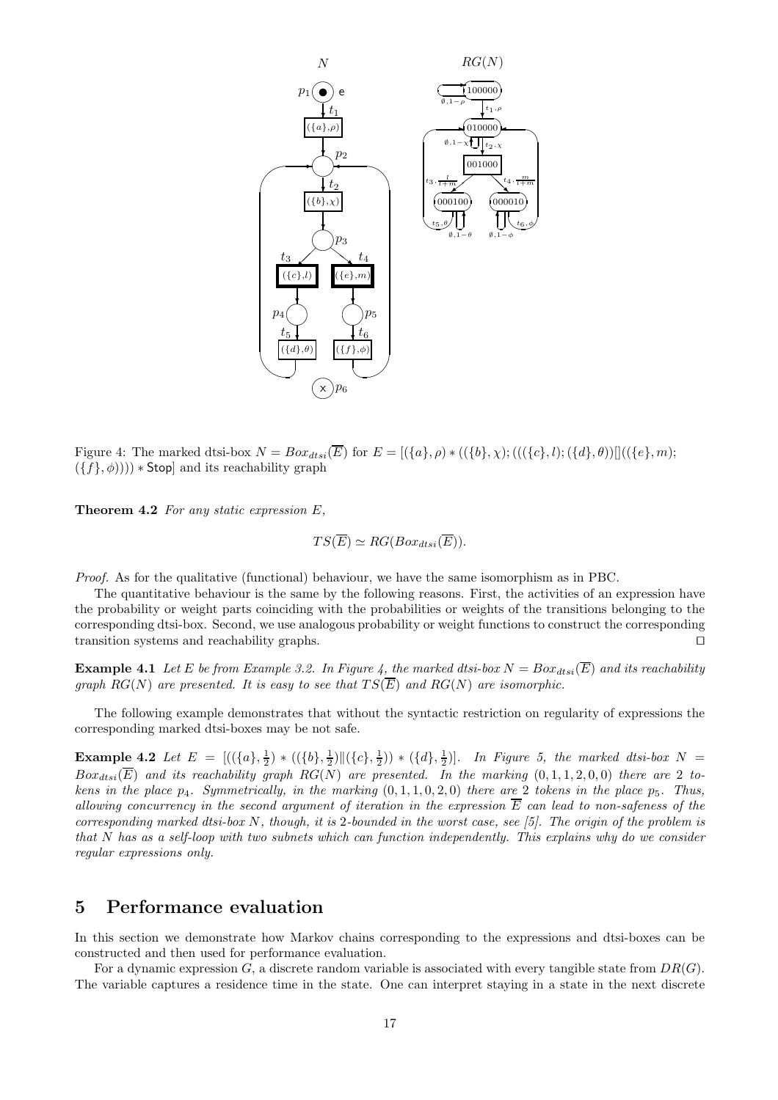

Figure 4: The marked dtsi-box  $N = Box_{dtsi}(\overline{E})$  for  $E = [\langle \{a\}, \rho \rangle * ((\{b\}, \chi); (((\{c\}, l); (\{d\}, \theta))]](\langle \{e\}, m);$  $(\{f\}, \phi)))$  \* Stop] and its reachability graph

**Theorem 4.2** For any static expression  $E$ ,

$$
TS(\overline{E}) \simeq RG(Box_{dtsi}(\overline{E})).
$$

Proof. As for the qualitative (functional) behaviour, we have the same isomorphism as in PBC.

The quantitative behaviour is the same by the following reasons. First, the activities of an expression have the probability or weight parts coinciding with the probabilities or weights of the transitions belonging to the corresponding dtsi-box. Second, we use analogous probability or weight functions to construct the corresponding transition systems and reachability graphs. ⊓⊔

**Example 4.1** Let E be from Example 3.2. In Figure 4, the marked dtsi-box  $N = Box_{dtsi}(\overline{E})$  and its reachability graph RG(N) are presented. It is easy to see that  $TS(\overline{E})$  and RG(N) are isomorphic.

The following example demonstrates that without the syntactic restriction on regularity of expressions the corresponding marked dtsi-boxes may be not safe.

**Example 4.2** Let  $E = [((\{a\}, \frac{1}{2}) * ((\{b\}, \frac{1}{2}) || (\{c\}, \frac{1}{2})) * (\{d\}, \frac{1}{2})].$  In Figure 5, the marked dtsi-box  $N =$  $Box_{dtsi}(\overline{E})$  and its reachability graph RG(N) are presented. In the marking  $(0, 1, 1, 2, 0, 0)$  there are 2 tokens in the place  $p_4$ . Symmetrically, in the marking  $(0, 1, 1, 0, 2, 0)$  there are 2 tokens in the place  $p_5$ . Thus, allowing concurrency in the second argument of iteration in the expression  $\overline{E}$  can lead to non-safeness of the corresponding marked dtsi-box N, though, it is 2-bounded in the worst case, see [5]. The origin of the problem is that N has as a self-loop with two subnets which can function independently. This explains why do we consider regular expressions only.

# 5 Performance evaluation

In this section we demonstrate how Markov chains corresponding to the expressions and dtsi-boxes can be constructed and then used for performance evaluation.

For a dynamic expression G, a discrete random variable is associated with every tangible state from  $DR(G)$ . The variable captures a residence time in the state. One can interpret staying in a state in the next discrete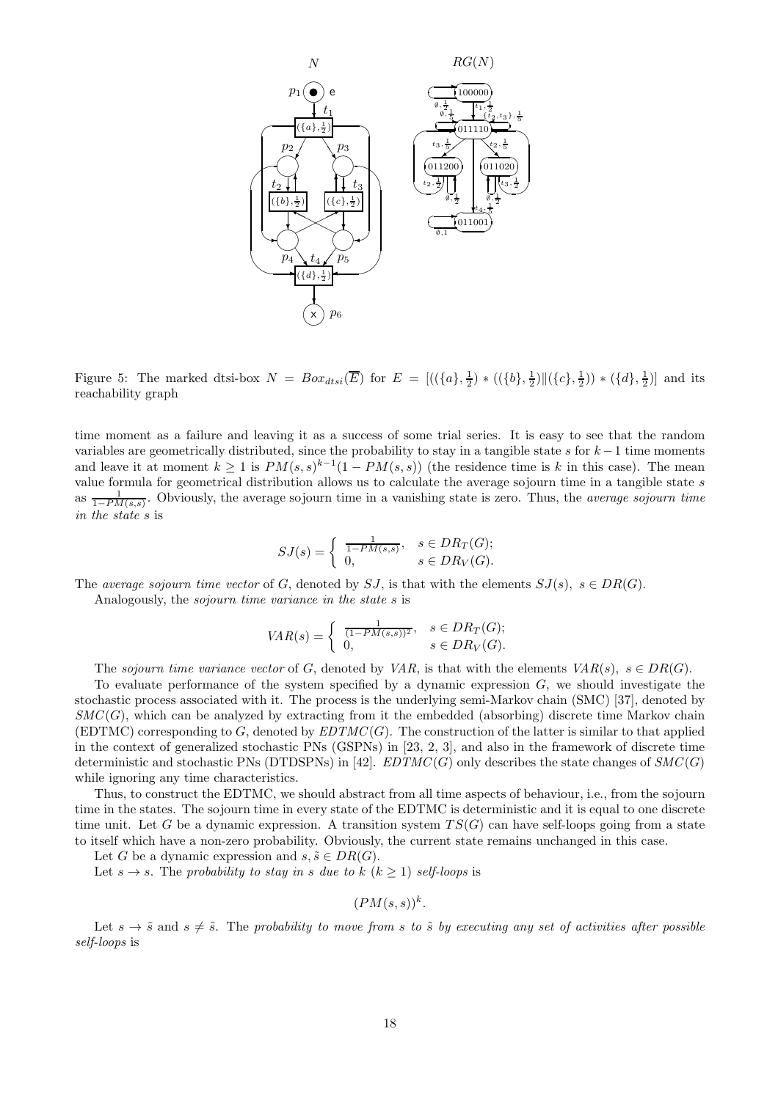

Figure 5: The marked dtsi-box  $N = Box_{dtsi}(\overline{E})$  for  $E = [((\lbrace a \rbrace, \frac{1}{2}) * ((\lbrace b \rbrace, \frac{1}{2}) || (\lbrace c \rbrace, \frac{1}{2}) ) * (\lbrace d \rbrace, \frac{1}{2})]$  and its reachability graph

time moment as a failure and leaving it as a success of some trial series. It is easy to see that the random variables are geometrically distributed, since the probability to stay in a tangible state s for  $k-1$  time moments and leave it at moment  $k \geq 1$  is  $PM(s, s)^{k-1}(1 - PM(s, s))$  (the residence time is k in this case). The mean value formula for geometrical distribution allows us to calculate the average sojourn time in a tangible state s as  $\frac{1}{1-PM(s,s)}$ . Obviously, the average sojourn time in a vanishing state is zero. Thus, the *average sojourn time* in the state s is

$$
SJ(s) = \begin{cases} \frac{1}{1 - PM(s, s)}, & s \in DR_T(G); \\ 0, & s \in DR_V(G). \end{cases}
$$

The average sojourn time vector of G, denoted by SJ, is that with the elements  $SJ(s)$ ,  $s \in DR(G)$ .

Analogously, the sojourn time variance in the state s is

$$
VAR(s) = \begin{cases} \frac{1}{(1 - PM(s, s))^2}, & s \in DR_T(G); \\ 0, & s \in DR_V(G). \end{cases}
$$

The sojourn time variance vector of G, denoted by VAR, is that with the elements  $VAR(s), s \in DR(G)$ .

To evaluate performance of the system specified by a dynamic expression  $G$ , we should investigate the stochastic process associated with it. The process is the underlying semi-Markov chain (SMC) [37], denoted by  $SMC(G)$ , which can be analyzed by extracting from it the embedded (absorbing) discrete time Markov chain (EDTMC) corresponding to G, denoted by  $EDTMC(G)$ . The construction of the latter is similar to that applied in the context of generalized stochastic PNs (GSPNs) in [23, 2, 3], and also in the framework of discrete time deterministic and stochastic PNs (DTDSPNs) in [42].  $EDTMC(G)$  only describes the state changes of  $SMC(G)$ while ignoring any time characteristics.

Thus, to construct the EDTMC, we should abstract from all time aspects of behaviour, i.e., from the sojourn time in the states. The sojourn time in every state of the EDTMC is deterministic and it is equal to one discrete time unit. Let G be a dynamic expression. A transition system  $TS(G)$  can have self-loops going from a state to itself which have a non-zero probability. Obviously, the current state remains unchanged in this case.

Let G be a dynamic expression and  $s, \tilde{s} \in DR(G)$ .

Let  $s \to s$ . The probability to stay in s due to  $k$   $(k \geq 1)$  self-loops is

 $(PM(s,s))^k$ .

Let  $s \to \tilde{s}$  and  $s \neq \tilde{s}$ . The probability to move from s to  $\tilde{s}$  by executing any set of activities after possible self-loops is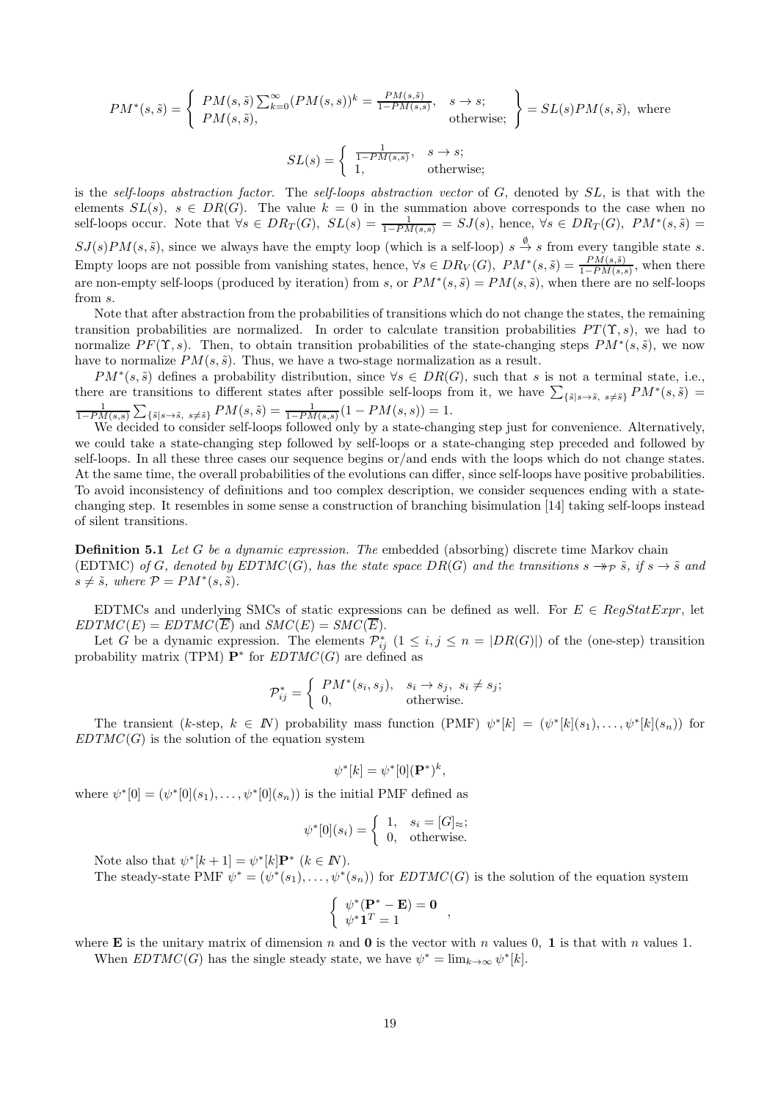$$
PM^*(s, \tilde{s}) = \begin{cases} PM(s, \tilde{s}) \sum_{k=0}^{\infty} (PM(s, s))^k = \frac{PM(s, \tilde{s})}{1 - PM(s, s)}, & s \to s; \\ PM(s, \tilde{s}), & \text{otherwise}; \end{cases} = SL(s)PM(s, \tilde{s}), \text{ where}
$$

$$
SL(s) = \begin{cases} \frac{1}{1 - PM(s, s)}, & s \to s; \\ 1, & \text{otherwise}; \end{cases}
$$

is the self-loops abstraction factor. The self-loops abstraction vector of G, denoted by SL, is that with the elements  $SL(s)$ ,  $s \in DR(G)$ . The value  $k=0$  in the summation above corresponds to the case when no self-loops occur. Note that  $\forall s \in DR_T(G)$ ,  $SL(s) = \frac{1}{1 - PM(s,s)} = SJ(s)$ , hence,  $\forall s \in DR_T(G)$ ,  $PM^*(s,\tilde{s}) =$  $SJ(s)PM(s, \tilde{s})$ , since we always have the empty loop (which is a self-loop)  $s \stackrel{\emptyset}{\rightarrow} s$  from every tangible state s. Empty loops are not possible from vanishing states, hence,  $\forall s \in DR_V(G)$ ,  $PM^*(s, \tilde{s}) = \frac{PM(s, \tilde{s})}{1 - PM(s, s)}$ , when there are non-empty self-loops (produced by iteration) from s, or  $PM^*(s, \tilde{s}) = PM(s, \tilde{s})$ , when there are no self-loops from s.

Note that after abstraction from the probabilities of transitions which do not change the states, the remaining transition probabilities are normalized. In order to calculate transition probabilities  $PT(\Upsilon, s)$ , we had to normalize  $PF(\Upsilon, s)$ . Then, to obtain transition probabilities of the state-changing steps  $PM^*(s, \tilde{s})$ , we now have to normalize  $PM(s, \tilde{s})$ . Thus, we have a two-stage normalization as a result.

 $PM^*(s, \tilde{s})$  defines a probability distribution, since  $\forall s \in DR(G)$ , such that s is not a terminal state, i.e., there are transitions to different states after possible self-loops from it, we have  $\sum_{\{\tilde{s}|s\to\tilde{s}, s\neq\tilde{s}\}} PM^*(s,\tilde{s}) =$  $\frac{1}{1-PM(s,s)}\sum_{\{\tilde{s}\mid s\to \tilde{s}, \ s\neq \tilde{s}\}}PM(s,\tilde{s}) = \frac{1}{1-PM(s,s)}(1-PM(s,s)) = 1.$ 

We decided to consider self-loops followed only by a state-changing step just for convenience. Alternatively, we could take a state-changing step followed by self-loops or a state-changing step preceded and followed by self-loops. In all these three cases our sequence begins or/and ends with the loops which do not change states. At the same time, the overall probabilities of the evolutions can differ, since self-loops have positive probabilities. To avoid inconsistency of definitions and too complex description, we consider sequences ending with a statechanging step. It resembles in some sense a construction of branching bisimulation [14] taking self-loops instead of silent transitions.

Definition 5.1 Let G be a dynamic expression. The embedded (absorbing) discrete time Markov chain (EDTMC) of G, denoted by  $EDTMC(G)$ , has the state space  $DR(G)$  and the transitions  $s \rightarrow_{\mathcal{P}} \tilde{s}$ , if  $s \rightarrow \tilde{s}$  and  $s \neq \tilde{s}$ , where  $\mathcal{P} = PM^*(s, \tilde{s})$ .

EDTMCs and underlying SMCs of static expressions can be defined as well. For  $E \in RegStatExpr$ , let  $EDTMC(E) = EDTMC(\overline{E})$  and  $SMC(E) = SMC(\overline{E}).$ 

Let G be a dynamic expression. The elements  $\mathcal{P}_{ij}^*$   $(1 \le i, j \le n = |DR(G)|)$  of the (one-step) transition probability matrix (TPM)  $\mathbf{P}^*$  for  $EDTMC(G)$  are defined as

$$
\mathcal{P}_{ij}^* = \begin{cases} PM^*(s_i, s_j), & s_i \to s_j, \ s_i \neq s_j; \\ 0, & \text{otherwise.} \end{cases}
$$

The transient (k-step,  $k \in \mathbb{N}$ ) probability mass function (PMF)  $\psi^*[k] = (\psi^*[k](s_1), \ldots, \psi^*[k](s_n))$  for  $EDTMC(G)$  is the solution of the equation system

$$
\psi^*[k] = \psi^*[0](\mathbf{P}^*)^k,
$$

where  $\psi^*[0] = (\psi^*[0](s_1), \ldots, \psi^*[0](s_n))$  is the initial PMF defined as

$$
\psi^*[0](s_i) = \begin{cases} 1, & s_i = [G]_{\approx}; \\ 0, & \text{otherwise.} \end{cases}
$$

Note also that  $\psi^*[k+1] = \psi^*[k] \mathbf{P}^*$   $(k \in \mathbb{N})$ .

The steady-state PMF  $\psi^* = (\psi^*(s_1), \dots, \psi^*(s_n))$  for  $EDTMC(G)$  is the solution of the equation system

$$
\begin{cases}\n\psi^*(\mathbf{P}^* - \mathbf{E}) = \mathbf{0} \\
\psi^*\mathbf{1}^T = 1\n\end{cases}
$$

where **E** is the unitary matrix of dimension n and **0** is the vector with n values 0, 1 is that with n values 1. When  $EDTMC(G)$  has the single steady state, we have  $\psi^* = \lim_{k \to \infty} \psi^*[k]$ .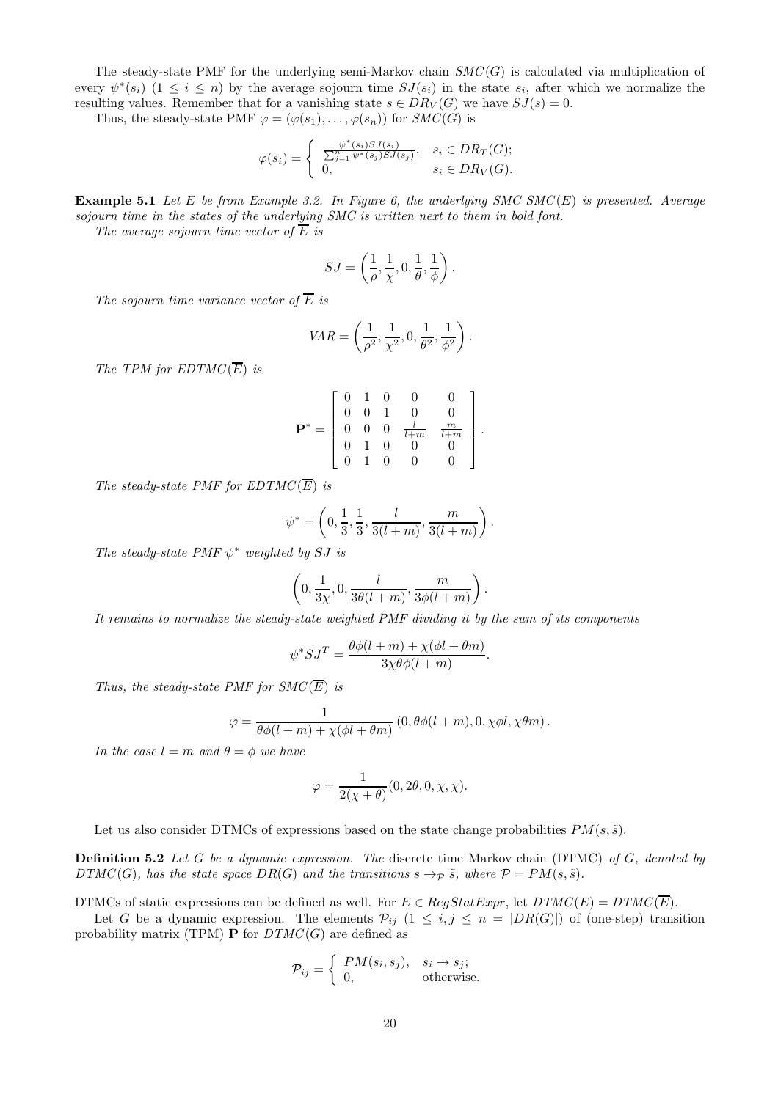The steady-state PMF for the underlying semi-Markov chain  $SMC(G)$  is calculated via multiplication of every  $\psi^*(s_i)$   $(1 \leq i \leq n)$  by the average sojourn time  $SJ(s_i)$  in the state  $s_i$ , after which we normalize the resulting values. Remember that for a vanishing state  $s \in DR_V(G)$  we have  $SJ(s) = 0$ .

Thus, the steady-state PMF  $\varphi = (\varphi(s_1), \ldots, \varphi(s_n))$  for  $SMC(G)$  is

$$
\varphi(s_i) = \begin{cases} \frac{\psi^*(s_i)SJ(s_i)}{\sum_{j=1}^n \psi^*(s_j)SJ(s_j)}, & s_i \in DR_T(G); \\ 0, & s_i \in DR_V(G). \end{cases}
$$

**Example 5.1** Let E be from Example 3.2. In Figure 6, the underlying SMC SMC( $\overline{E}$ ) is presented. Average sojourn time in the states of the underlying SMC is written next to them in bold font.

The average sojourn time vector of  $\overline{E}$  is

$$
SJ = \left(\frac{1}{\rho}, \frac{1}{\chi}, 0, \frac{1}{\theta}, \frac{1}{\phi}\right).
$$

The sojourn time variance vector of  $\overline{E}$  is

$$
VAR = \left(\frac{1}{\rho^2}, \frac{1}{\chi^2}, 0, \frac{1}{\theta^2}, \frac{1}{\phi^2}\right).
$$

The TPM for  $EDTMC(\overline{E})$  is

$$
\mathbf{P}^* = \left[ \begin{array}{cccccc} 0 & 1 & 0 & 0 & 0 \\ 0 & 0 & 1 & 0 & 0 \\ 0 & 0 & 0 & \frac{l}{l+m} & \frac{m}{l+m} \\ 0 & 1 & 0 & 0 & 0 \\ 0 & 1 & 0 & 0 & 0 \end{array} \right].
$$

The steady-state PMF for  $EDTMC(\overline{E})$  is

$$
\psi^* = \left(0, \frac{1}{3}, \frac{1}{3}, \frac{l}{3(l+m)}, \frac{m}{3(l+m)}\right).
$$

The steady-state PMF  $\psi^*$  weighted by SJ is

$$
\left(0, \frac{1}{3\chi}, 0, \frac{l}{3\theta(l+m)}, \frac{m}{3\phi(l+m)}\right).
$$

It remains to normalize the steady-state weighted PMF dividing it by the sum of its components

$$
\psi^* SJ^T = \frac{\theta \phi(l+m) + \chi(\phi l + \theta m)}{3\chi \theta \phi(l+m)}.
$$

Thus, the steady-state PMF for  $SMC(\overline{E})$  is

$$
\varphi = \frac{1}{\theta \phi(l+m) + \chi(\phi l + \theta m)} (0, \theta \phi(l+m), 0, \chi \phi l, \chi \theta m).
$$

In the case  $l = m$  and  $\theta = \phi$  we have

$$
\varphi = \frac{1}{2(\chi + \theta)}(0, 2\theta, 0, \chi, \chi).
$$

Let us also consider DTMCs of expressions based on the state change probabilities  $PM(s, \tilde{s})$ .

**Definition 5.2** Let G be a dynamic expression. The discrete time Markov chain (DTMC) of G, denoted by  $DTMC(G)$ , has the state space  $DR(G)$  and the transitions  $s \rightarrow_{\mathcal{P}} \tilde{s}$ , where  $\mathcal{P} = PM(s, \tilde{s})$ .

DTMCs of static expressions can be defined as well. For  $E \in RegStatExpr$ , let  $DTMC(E) = DTMC(\overline{E})$ .

Let G be a dynamic expression. The elements  $\mathcal{P}_{ij}$   $(1 \leq i, j \leq n = |DR(G)|)$  of (one-step) transition probability matrix (TPM) **P** for  $DTMC(G)$  are defined as

$$
\mathcal{P}_{ij} = \begin{cases} PM(s_i, s_j), & s_i \to s_j; \\ 0, & \text{otherwise.} \end{cases}
$$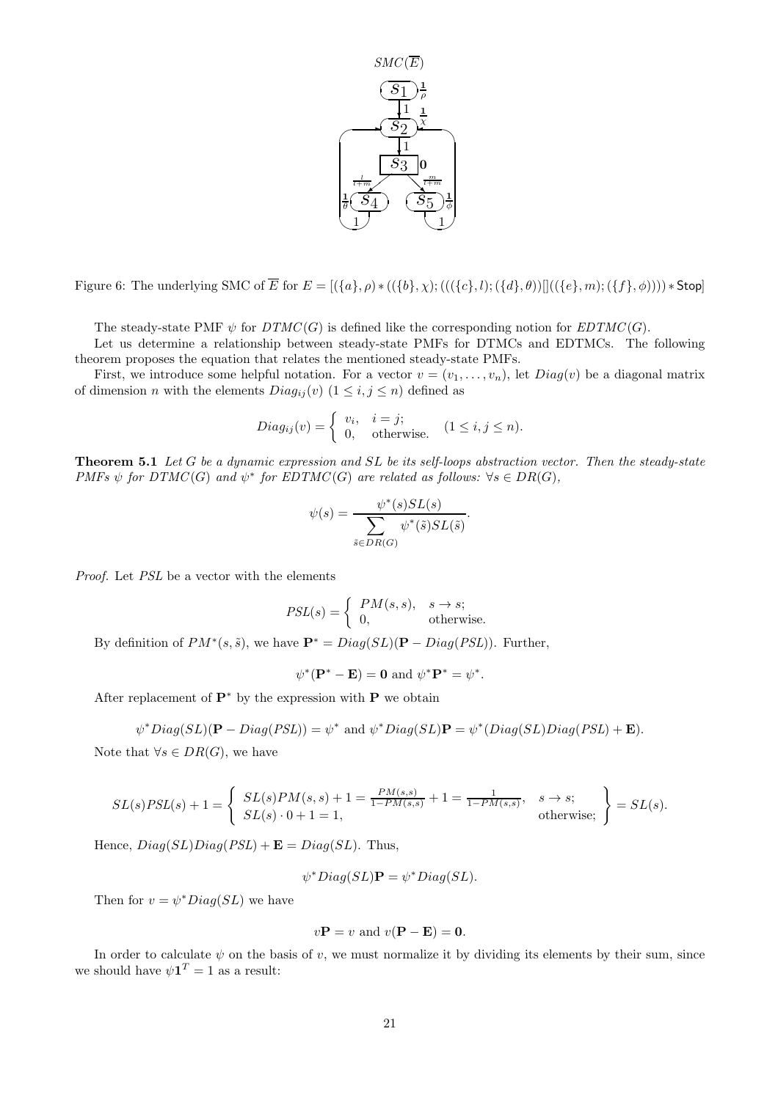

Figure 6: The underlying SMC of  $\overline{E}$  for  $E = [(\{a\}, \rho) * ((\{b\}, \chi) ; (((\{c\}, l) ; (\{d\}, \theta))]((\{e\}, m) ; (\{f\}, \phi)))) * Stop$ 

The steady-state PMF  $\psi$  for  $DTMC(G)$  is defined like the corresponding notion for  $EDTMC(G)$ .

Let us determine a relationship between steady-state PMFs for DTMCs and EDTMCs. The following theorem proposes the equation that relates the mentioned steady-state PMFs.

First, we introduce some helpful notation. For a vector  $v = (v_1, \ldots, v_n)$ , let  $Diag(v)$  be a diagonal matrix of dimension *n* with the elements  $Diag_{ij}(v)$   $(1 \leq i, j \leq n)$  defined as

$$
Diag_{ij}(v) = \begin{cases} v_i, & i = j; \\ 0, & \text{otherwise.} \end{cases} (1 \le i, j \le n).
$$

**Theorem 5.1** Let G be a dynamic expression and SL be its self-loops abstraction vector. Then the steady-state PMFs  $\psi$  for DTMC(G) and  $\psi^*$  for EDTMC(G) are related as follows:  $\forall s \in DR(G)$ ,

$$
\psi(s) = \frac{\psi^*(s)SL(s)}{\sum_{\tilde{s} \in DR(G)} \psi^*(\tilde{s})SL(\tilde{s})}
$$

.

Proof. Let PSL be a vector with the elements

$$
PSL(s) = \begin{cases} PM(s, s), & s \to s; \\ 0, & \text{otherwise.} \end{cases}
$$

By definition of  $PM^*(s, \tilde{s})$ , we have  $\mathbf{P}^* = Diag(SL)(\mathbf{P} - Diag(PSL))$ . Further,

$$
\psi^*(\mathbf{P}^* - \mathbf{E}) = \mathbf{0} \text{ and } \psi^* \mathbf{P}^* = \psi^*.
$$

After replacement of  $\mathbf{P}^*$  by the expression with P we obtain

$$
\psi^*Diag(SL)(\mathbf{P}-Diag(PSL))=\psi^*\text{ and }\psi^*Diag(SL)\mathbf{P}=\psi^*(Diag(SL)Diag(PSL)+\mathbf{E}).
$$

Note that  $\forall s \in DR(G)$ , we have

$$
SL(s)PSL(s) + 1 = \begin{cases} SL(s)PM(s, s) + 1 = \frac{PM(s, s)}{1 - PM(s, s)} + 1 = \frac{1}{1 - PM(s, s)}, & s \to s; \\ SL(s) \cdot 0 + 1 = 1, & \text{otherwise;} \end{cases} = SL(s).
$$

Hence,  $Diag(SL)Diag(PSL) + \mathbf{E} = Diag(SL)$ . Thus,

$$
\psi^*Diag(SL)\mathbf{P}=\psi^*Diag(SL).
$$

Then for  $v = \psi^* Diag(SL)$  we have

$$
v\mathbf{P} = v
$$
 and  $v(\mathbf{P} - \mathbf{E}) = \mathbf{0}$ .

In order to calculate  $\psi$  on the basis of v, we must normalize it by dividing its elements by their sum, since we should have  $\psi \mathbf{1}^T = 1$  as a result: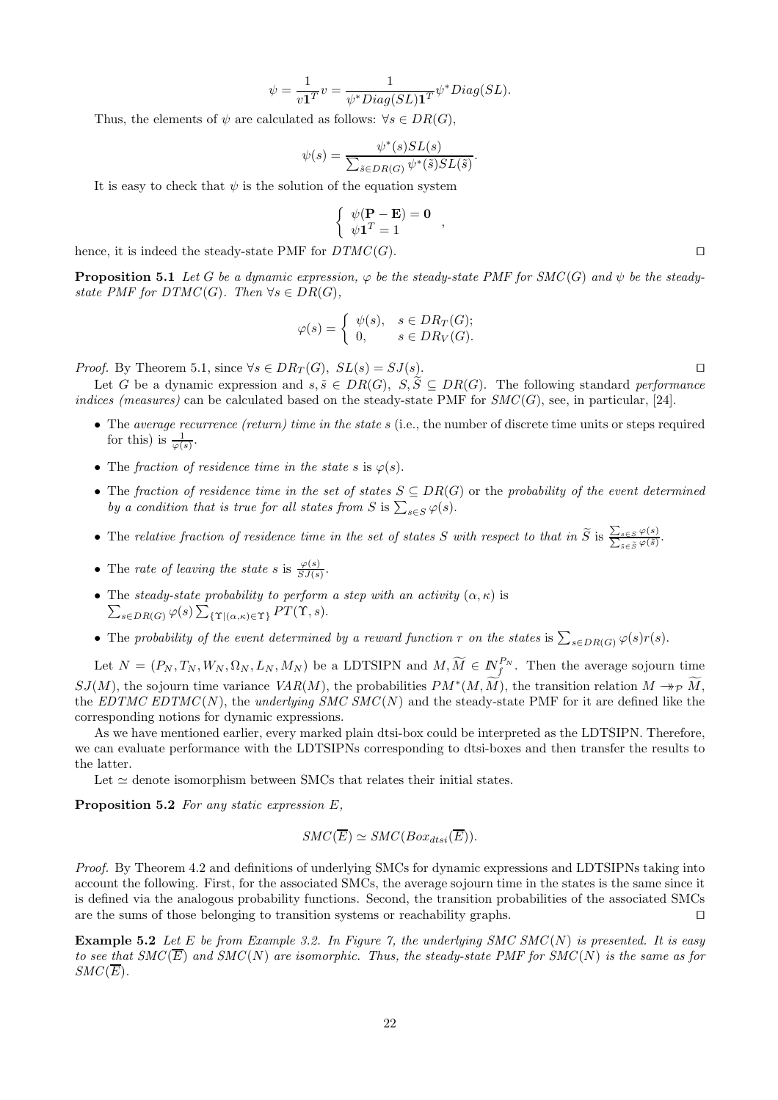$$
\psi = \frac{1}{v\mathbf{1}^T}v = \frac{1}{\psi^*Diag(SL)\mathbf{1}^T}\psi^*Diag(SL).
$$

Thus, the elements of  $\psi$  are calculated as follows:  $\forall s \in DR(G)$ ,

$$
\psi(s) = \frac{\psi^*(s)SL(s)}{\sum_{\tilde{s} \in DR(G)} \psi^*(\tilde{s})SL(\tilde{s})}
$$

.

It is easy to check that  $\psi$  is the solution of the equation system

$$
\left\{ \begin{array}{c} \psi(\mathbf{P} - \mathbf{E}) = \mathbf{0} \\ \psi \mathbf{1}^T = 1 \end{array} \right.,
$$

hence, it is indeed the steady-state PMF for  $DTMC(G)$ . □

**Proposition 5.1** Let G be a dynamic expression,  $\varphi$  be the steady-state PMF for SMC(G) and  $\psi$  be the steadystate PMF for  $DTMC(G)$ . Then  $\forall s \in DR(G)$ ,

$$
\varphi(s) = \begin{cases} \psi(s), & s \in DR_T(G); \\ 0, & s \in DR_V(G). \end{cases}
$$

*Proof.* By Theorem 5.1, since  $\forall s \in DR_T(G)$ ,  $SL(s) = SJ(s)$ . □

Let G be a dynamic expression and  $s, \tilde{s} \in DR(G), S, \tilde{S} \subseteq DR(G)$ . The following standard performance indices (measures) can be calculated based on the steady-state PMF for  $SMC(G)$ , see, in particular, [24].

- The average recurrence (return) time in the state  $s$  (i.e., the number of discrete time units or steps required for this) is  $\frac{1}{\varphi(s)}$ .
- The fraction of residence time in the state s is  $\varphi(s)$ .
- The fraction of residence time in the set of states  $S \subseteq DR(G)$  or the probability of the event determined by a condition that is true for all states from S is  $\sum_{s \in S} \varphi(s)$ .
- The relative fraction of residence time in the set of states S with respect to that in  $\widetilde{S}$  is  $\frac{\sum_{s \in S} \varphi(s)}{\sum_{\tilde{s} \in \tilde{S}} \varphi(\tilde{s})}$ .
- The rate of leaving the state s is  $\frac{\varphi(s)}{SJ(s)}$ .
- The steady-state probability to perform a step with an activity  $(\alpha, \kappa)$  is<br> $\sum_{s \in \text{DDC}} \varphi(s) \sum_{s} (\chi(s, \omega) \varphi(s)) P T(\Upsilon, s).$  $_{s\in DR(G)}\varphi(s)\sum_{\{\Upsilon|(\alpha,\kappa)\in\Upsilon\}}PT(\Upsilon,s).$
- The probability of the event determined by a reward function r on the states is  $\sum_{s \in DR(G)} \varphi(s) r(s)$ .

Let  $N = (P_N, T_N, W_N, \Omega_N, L_N, M_N)$  be a LDTSIPN and  $M, \widetilde{M} \in \mathbb{N}_f^{P_N}$ . Then the average sojourn time  $SJ(M)$ , the sojourn time variance  $VAR(M)$ , the probabilities  $PM^*(M, \tilde{M})$ , the transition relation  $M \twoheadrightarrow_{\mathcal{P}} \tilde{M}$ , the EDTMC EDTMC(N), the underlying SMC SMC(N) and the steady-state PMF for it are defined like the corresponding notions for dynamic expressions.

As we have mentioned earlier, every marked plain dtsi-box could be interpreted as the LDTSIPN. Therefore, we can evaluate performance with the LDTSIPNs corresponding to dtsi-boxes and then transfer the results to the latter.

Let  $\simeq$  denote isomorphism between SMCs that relates their initial states.

Proposition 5.2 For any static expression E,

$$
SMC(\overline{E}) \simeq SMC(Box_{dtsi}(\overline{E})).
$$

Proof. By Theorem 4.2 and definitions of underlying SMCs for dynamic expressions and LDTSIPNs taking into account the following. First, for the associated SMCs, the average sojourn time in the states is the same since it is defined via the analogous probability functions. Second, the transition probabilities of the associated SMCs are the sums of those belonging to transition systems or reachability graphs. ⊓⊔

**Example 5.2** Let E be from Example 3.2. In Figure 7, the underlying SMC SMC(N) is presented. It is easy to see that  $SMC(\overline{E})$  and  $SMC(N)$  are isomorphic. Thus, the steady-state PMF for  $SMC(N)$  is the same as for  $SMC(\overline{E}).$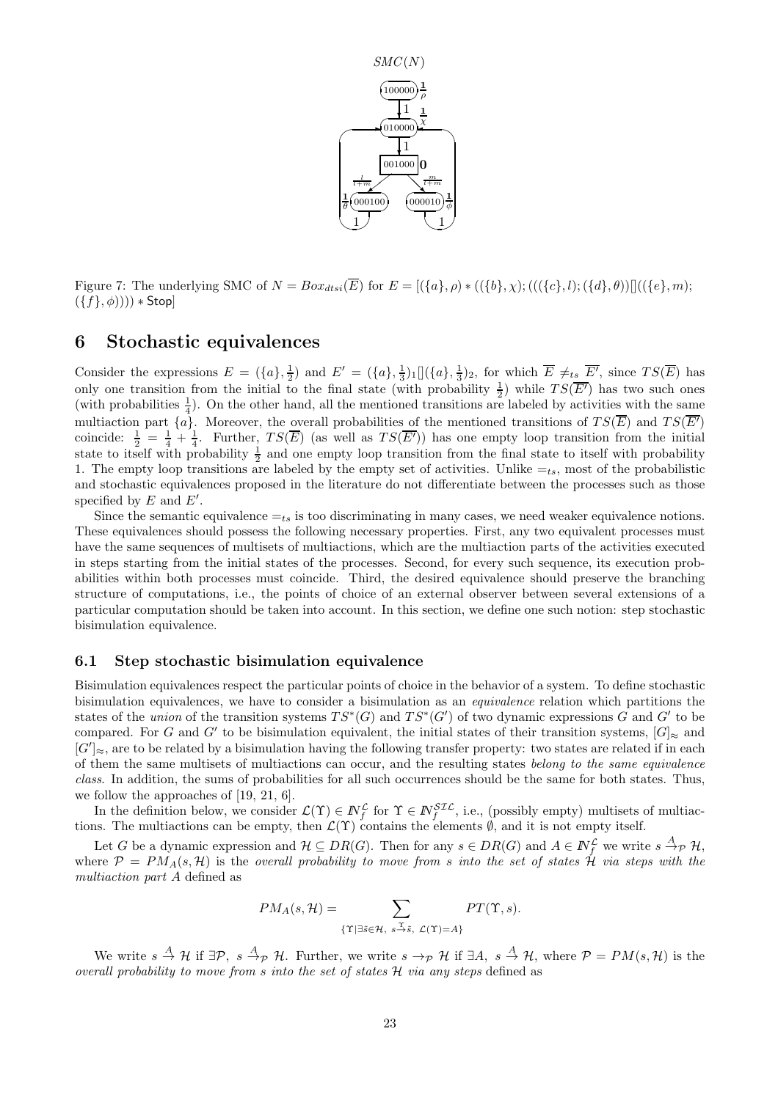

Figure 7: The underlying SMC of  $N = Box_{dtsi}(\overline{E})$  for  $E = [(\{a\}, \rho) * ((\{b\}, \chi) ; (((\{c\}, l) ; (\{d\}, \theta))]((\{e\}, m);$  $(\{f\}, \phi))))$  \* Stop]

# 6 Stochastic equivalences

Consider the expressions  $E = (\{a\}, \frac{1}{2})$  and  $E' = (\{a\}, \frac{1}{3})_1 [(\{a\}, \frac{1}{3})_2]$ , for which  $\overline{E} \neq_{ts} \overline{E'}$ , since  $TS(\overline{E})$  has only one transition from the initial to the final state (with probability  $\frac{1}{2}$ ) while  $TS(\overline{E'})$  has two such ones (with probabilities  $\frac{1}{4}$ ). On the other hand, all the mentioned transitions are labeled by activities with the same multiaction part  $\{a\}$ . Moreover, the overall probabilities of the mentioned transitions of  $TS(\overline{E})$  and  $TS(\overline{E'})$ coincide:  $\frac{1}{2} = \frac{1}{4} + \frac{1}{4}$ . Further,  $TS(\overline{E})$  (as well as  $TS(\overline{E'})$ ) has one empty loop transition from the initial state to itself with probability  $\frac{1}{2}$  and one empty loop transition from the final state to itself with probability 1. The empty loop transitions are labeled by the empty set of activities. Unlike  $=_{ts}$ , most of the probabilistic and stochastic equivalences proposed in the literature do not differentiate between the processes such as those specified by  $E$  and  $E'$ .

Since the semantic equivalence  $=_{ts}$  is too discriminating in many cases, we need weaker equivalence notions. These equivalences should possess the following necessary properties. First, any two equivalent processes must have the same sequences of multisets of multiactions, which are the multiaction parts of the activities executed in steps starting from the initial states of the processes. Second, for every such sequence, its execution probabilities within both processes must coincide. Third, the desired equivalence should preserve the branching structure of computations, i.e., the points of choice of an external observer between several extensions of a particular computation should be taken into account. In this section, we define one such notion: step stochastic bisimulation equivalence.

#### 6.1 Step stochastic bisimulation equivalence

Bisimulation equivalences respect the particular points of choice in the behavior of a system. To define stochastic bisimulation equivalences, we have to consider a bisimulation as an equivalence relation which partitions the states of the *union* of the transition systems  $TS^*(G)$  and  $TS^*(G')$  of two dynamic expressions G and G' to be compared. For G and G' to be bisimulation equivalent, the initial states of their transition systems,  $[G]_{\approx}$  and  $[G']_{\approx}$ , are to be related by a bisimulation having the following transfer property: two states are related if in each of them the same multisets of multiactions can occur, and the resulting states belong to the same equivalence class. In addition, the sums of probabilities for all such occurrences should be the same for both states. Thus, we follow the approaches of [19, 21, 6].

In the definition below, we consider  $\mathcal{L}(\Upsilon) \in \mathbb{N}_f^{\mathcal{L}}$  for  $\Upsilon \in \mathbb{N}_f^{ST\mathcal{L}}$ , i.e., (possibly empty) multisets of multiactions. The multiactions can be empty, then  $\mathcal{L}(\Upsilon)$  contains the elements  $\emptyset$ , and it is not empty itself.

Let G be a dynamic expression and  $\mathcal{H} \subseteq DR(G)$ . Then for any  $s \in DR(G)$  and  $A \in \mathbb{N}_f^{\mathcal{L}}$  we write  $s \stackrel{A}{\rightarrow} \mathcal{P}$  H, where  $\mathcal{P} = PM_A(s, \mathcal{H})$  is the overall probability to move from s into the set of states  $\mathcal{H}$  via steps with the multiaction part A defined as

$$
PM_A(s, \mathcal{H}) = \sum_{\{\Upsilon \mid \exists \tilde{s} \in \mathcal{H}, \ s \stackrel{\Upsilon}{\rightarrow} \tilde{s}, \ \mathcal{L}(\Upsilon) = A\}} PT(\Upsilon, s).
$$

We write  $s \stackrel{A}{\to} H$  if  $\exists \mathcal{P}, s \stackrel{A}{\to} p$  H. Further, we write  $s \to p$  H if  $\exists A, s \stackrel{A}{\to} H$ , where  $\mathcal{P} = PM(s, \mathcal{H})$  is the overall probability to move from s into the set of states  $\mathcal H$  via any steps defined as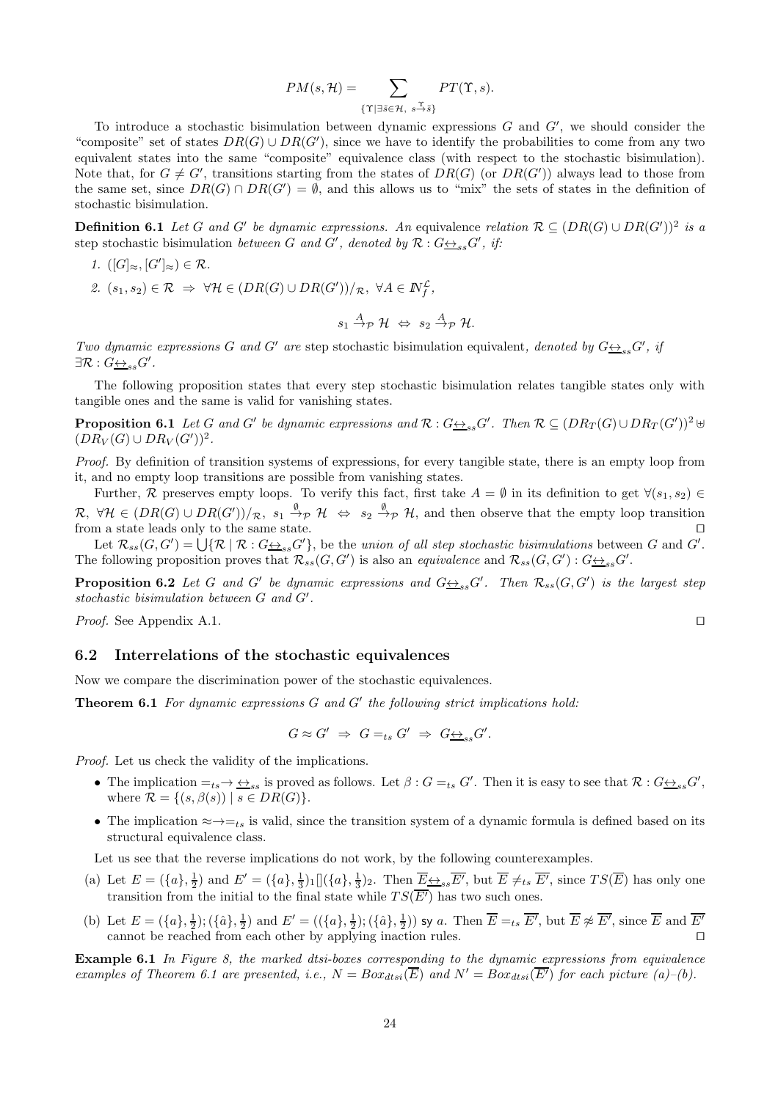$$
PM(s, \mathcal{H}) = \sum_{\{\Upsilon \mid \exists \tilde{s} \in \mathcal{H}, \ s \stackrel{\Upsilon}{\to} \tilde{s}\}} PT(\Upsilon, s).
$$

To introduce a stochastic bisimulation between dynamic expressions  $G$  and  $G'$ , we should consider the "composite" set of states  $DR(G) \cup DR(G')$ , since we have to identify the probabilities to come from any two equivalent states into the same "composite" equivalence class (with respect to the stochastic bisimulation). Note that, for  $G \neq G'$ , transitions starting from the states of  $DR(G)$  (or  $DR(G')$ ) always lead to those from the same set, since  $DR(G) \cap DR(G') = \emptyset$ , and this allows us to "mix" the sets of states in the definition of stochastic bisimulation.

**Definition 6.1** Let G and G' be dynamic expressions. An equivalence relation  $\mathcal{R} \subseteq (DR(G) \cup DR(G'))^2$  is a step stochastic bisimulation between G and G', denoted by  $\mathcal{R}: G \rightarrow S_{ss}G'$ , if:

- 1.  $([G]_{\approx}, [G']_{\approx}) \in \mathcal{R}$ .
- 2.  $(s_1, s_2) \in \mathcal{R} \Rightarrow \forall \mathcal{H} \in (DR(G) \cup DR(G'))/\mathcal{R}, \ \forall A \in \mathbb{N}^{\mathcal{L}}_f,$

$$
s_1 \stackrel{A}{\rightarrow} p \mathcal{H} \Leftrightarrow s_2 \stackrel{A}{\rightarrow} p \mathcal{H}.
$$

Two dynamic expressions G and G' are step stochastic bisimulation equivalent, denoted by  $G \leftrightarrow_{ss} G'$ , if  $\exists \mathcal{R}: G\underline{\leftrightarrow}_{ss} G'.$ 

The following proposition states that every step stochastic bisimulation relates tangible states only with tangible ones and the same is valid for vanishing states.

**Proposition 6.1** Let G and G' be dynamic expressions and  $\mathcal{R}: G \leftrightarrow_{ss} G'$ . Then  $\mathcal{R} \subseteq (DR_T(G) \cup DR_T(G'))^2$   $\uplus$  $(DR_V(G) \cup DR_V(G'))^2$ .

Proof. By definition of transition systems of expressions, for every tangible state, there is an empty loop from it, and no empty loop transitions are possible from vanishing states.

Further, R preserves empty loops. To verify this fact, first take  $A = \emptyset$  in its definition to get  $\forall (s_1, s_2) \in$  $\mathcal{R}, \ \forall \mathcal{H} \in (DR(G) \cup DR(G'))/\mathcal{R}, \ s_1 \stackrel{\emptyset}{\rightarrow} \mathcal{P} \ \mathcal{H} \ \Leftrightarrow \ s_2 \stackrel{\emptyset}{\rightarrow} \mathcal{P} \ \mathcal{H}, \text{ and then observe that the empty loop transition}$ from a state leads only to the same state.  $□$ 

Let  $\mathcal{R}_{ss}(G, G') = \bigcup \{ \mathcal{R} \mid \mathcal{R} : G \underline{\leftrightarrow}_{ss} G' \}$ , be the union of all step stochastic bisimulations between G and G'. The following proposition proves that  $\mathcal{R}_{ss}(G, G')$  is also an *equivalence* and  $\mathcal{R}_{ss}(G, G') : G \rightarrow_{ss} G'$ .

**Proposition 6.2** Let G and G' be dynamic expressions and  $G \rightarrow S_{ss}G'$ . Then  $\mathcal{R}_{ss}(G, G')$  is the largest step stochastic bisimulation between G and G′ .

*Proof.* See Appendix A.1. □

#### 6.2 Interrelations of the stochastic equivalences

Now we compare the discrimination power of the stochastic equivalences.

**Theorem 6.1** For dynamic expressions  $G$  and  $G'$  the following strict implications hold:

$$
G \approx G' \Rightarrow G =_{ts} G' \Rightarrow G \underline{\leftrightarrow}_{ss} G'.
$$

Proof. Let us check the validity of the implications.

- The implication  $=_{ts} \rightarrow \underline{\leftrightarrow}_{ss}$  is proved as follows. Let  $\beta : G =_{ts} G'$ . Then it is easy to see that  $\mathcal{R} : G \underline{\leftrightarrow}_{ss} G'$ , where  $\mathcal{R} = \{(s, \beta(s)) \mid s \in DR(G)\}.$
- The implication  $\approx \rightarrow =_{ts}$  is valid, since the transition system of a dynamic formula is defined based on its structural equivalence class.

Let us see that the reverse implications do not work, by the following counterexamples.

- (a) Let  $E = (\{a\}, \frac{1}{2})$  and  $E' = (\{a\}, \frac{1}{3})_1 \left[ \left( \{a\}, \frac{1}{3} \right)_2 \right]$ . Then  $\overline{E} \neq_{ss} \overline{E'}$ , but  $\overline{E} \neq_{ts} \overline{E'}$ , since  $TS(\overline{E})$  has only one transition from the initial to the final state while  $TS(\overline{E'})$  has two such ones.
- (b) Let  $E = (\{a\}, \frac{1}{2}); (\{\hat{a}\}, \frac{1}{2})$  and  $E' = ((\{a\}, \frac{1}{2}); (\{\hat{a}\}, \frac{1}{2}))$  sy a. Then  $\overline{E} =_{ts} \overline{E'}$ , but  $\overline{E} \not\approx \overline{E'}$ , since  $\overline{E}$  and  $\overline{E'}$ cannot be reached from each other by applying inaction rules. ⊓⊔

**Example 6.1** In Figure 8, the marked dtsi-boxes corresponding to the dynamic expressions from equivalence examples of Theorem 6.1 are presented, i.e.,  $N = Box_{dtsi}(\overline{E})$  and  $N' = Box_{dtsi}(\overline{E'})$  for each picture (a)–(b).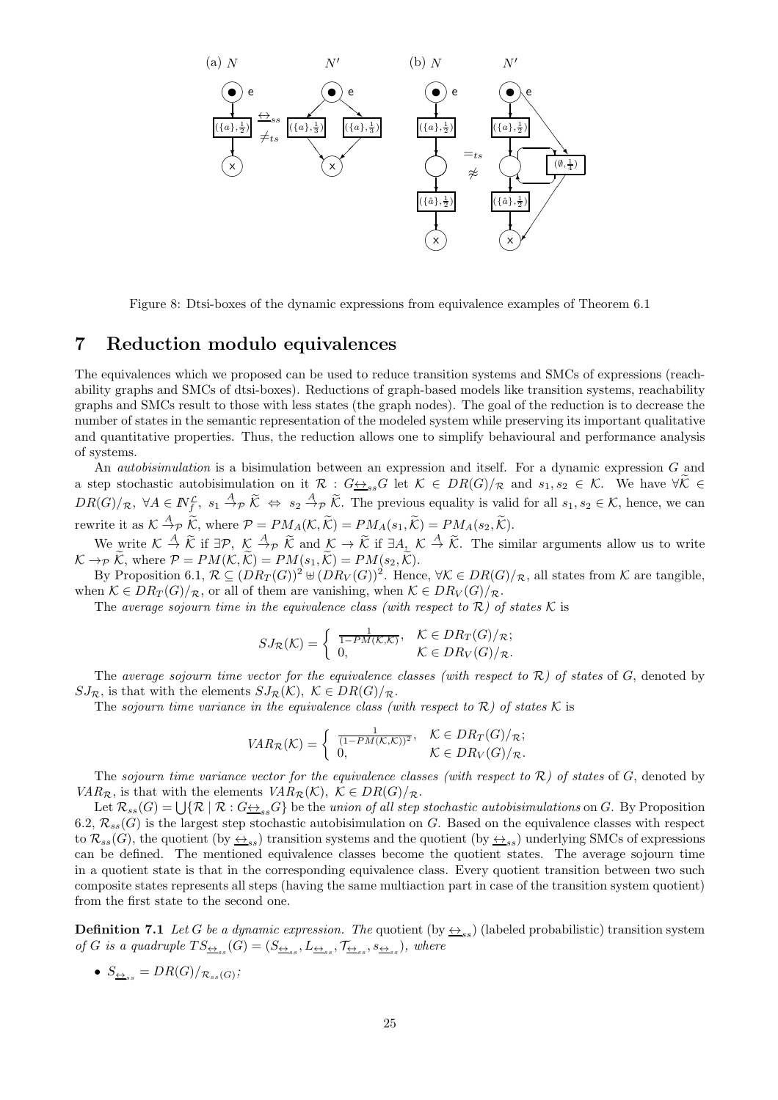

Figure 8: Dtsi-boxes of the dynamic expressions from equivalence examples of Theorem 6.1

### 7 Reduction modulo equivalences

The equivalences which we proposed can be used to reduce transition systems and SMCs of expressions (reachability graphs and SMCs of dtsi-boxes). Reductions of graph-based models like transition systems, reachability graphs and SMCs result to those with less states (the graph nodes). The goal of the reduction is to decrease the number of states in the semantic representation of the modeled system while preserving its important qualitative and quantitative properties. Thus, the reduction allows one to simplify behavioural and performance analysis of systems.

An autobisimulation is a bisimulation between an expression and itself. For a dynamic expression G and a step stochastic autobisimulation on it  $\mathcal{R}: G \rightarrow_{ss} G$  let  $\mathcal{K} \in DR(G)/\mathcal{R}$  and  $s_1, s_2 \in \mathcal{K}$ . We have  $\forall \mathcal{K} \in$  $DR(G)/_{\mathcal{R}}, \ \forall A \in \mathbb{N}_{f}^{\mathcal{L}}, \ s_1 \stackrel{A}{\to}_{\mathcal{P}} \widetilde{\mathcal{K}} \Leftrightarrow s_2 \stackrel{A}{\to}_{\mathcal{P}} \widetilde{\mathcal{K}}.$  The previous equality is valid for all  $s_1, s_2 \in \mathcal{K}$ , hence, we can rewrite it as  $K \stackrel{A}{\to} p \widetilde{K}$ , where  $P = PM_A(\mathcal{K}, \widetilde{\mathcal{K}}) = PM_A(s_1, \widetilde{\mathcal{K}}) = PM_A(s_2, \widetilde{\mathcal{K}})$ .

We write  $\mathcal{K} \stackrel{A}{\to} \widetilde{\mathcal{K}}$  if  $\exists \mathcal{P}, \ \mathcal{K} \stackrel{A}{\to} \widetilde{\mathcal{K}}$  and  $\mathcal{K} \to \widetilde{\mathcal{K}}$  if  $\exists A_{\widetilde{\mathcal{K}}} \mathcal{K} \stackrel{A}{\to} \widetilde{\mathcal{K}}$ . The similar arguments allow us to write  $\mathcal{K} \rightarrow_{\mathcal{P}} \widetilde{\mathcal{K}}$ , where  $\mathcal{P} = PM(\mathcal{K}, \widetilde{\mathcal{K}}) = PM(s_1, \widetilde{\mathcal{K}}) = PM(s_2, \widetilde{\mathcal{K}})$ .

By Proposition 6.1,  $\mathcal{R} \subseteq (DR_T(G))^2 \cup (DR_V(G))^2$ . Hence,  $\forall \mathcal{K} \in DR(G)/_{\mathcal{R}}$ , all states from  $\mathcal{K}$  are tangible, when  $\mathcal{K} \in DR_T(G)/_{\mathcal{R}}$ , or all of them are vanishing, when  $\mathcal{K} \in DR_V(G)/_{\mathcal{R}}$ .

The average sojourn time in the equivalence class (with respect to  $\mathcal{R}$ ) of states K is

$$
SJ_{\mathcal{R}}(\mathcal{K}) = \begin{cases} \frac{1}{1 - PM(\mathcal{K}, \mathcal{K})}, & \mathcal{K} \in DR_T(G)/_{\mathcal{R}}; \\ 0, & \mathcal{K} \in DR_V(G)/_{\mathcal{R}}. \end{cases}
$$

The average sojourn time vector for the equivalence classes (with respect to  $\mathcal{R}$ ) of states of  $G$ , denoted by  $SJ_{\mathcal{R}}$ , is that with the elements  $SJ_{\mathcal{R}}(\mathcal{K}), \ \mathcal{K} \in DR(G)/_{\mathcal{R}}$ .

The sojourn time variance in the equivalence class (with respect to  $\mathcal{R}$ ) of states  $\mathcal K$  is

$$
VAR_{\mathcal{R}}(\mathcal{K}) = \begin{cases} \frac{1}{(1 - PM(\mathcal{K}, \mathcal{K}))^2}, & \mathcal{K} \in DR_T(G)/_{\mathcal{R}}; \\ 0, & \mathcal{K} \in DR_V(G)/_{\mathcal{R}}. \end{cases}
$$

The sojourn time variance vector for the equivalence classes (with respect to  $\mathcal{R}$ ) of states of  $G$ , denoted by  $VAR_{\mathcal{R}}$ , is that with the elements  $VAR_{\mathcal{R}}(\mathcal{K})$ ,  $\mathcal{K} \in DR(G)/_{\mathcal{R}}$ .

Let  $\mathcal{R}_{ss}(G) = \bigcup \{ \mathcal{R} \mid \mathcal{R} : G \rightarrow_{ss} G \}$  be the union of all step stochastic autobisimulations on G. By Proposition 6.2,  $\mathcal{R}_{ss}(G)$  is the largest step stochastic autobisimulation on G. Based on the equivalence classes with respect to  $\mathcal{R}_{ss}(G)$ , the quotient (by  $\leftrightarrow_{ss}$ ) transition systems and the quotient (by  $\leftrightarrow_{ss}$ ) underlying SMCs of expressions can be defined. The mentioned equivalence classes become the quotient states. The average sojourn time in a quotient state is that in the corresponding equivalence class. Every quotient transition between two such composite states represents all steps (having the same multiaction part in case of the transition system quotient) from the first state to the second one.

**Definition 7.1** Let G be a dynamic expression. The quotient (by  $\leftrightarrow$ <sub>ss</sub>) (labeled probabilistic) transition system of G is a quadruple  $TS_{\underline{\leftrightarrow}_{ss}}(G) = (S_{\underline{\leftrightarrow}_{ss}}, L_{\underline{\leftrightarrow}_{ss}}, \mathcal{T}_{\underline{\leftrightarrow}_{ss}}, s_{\underline{\leftrightarrow}_{ss}})$ , where

• 
$$
S_{\underline{\leftrightarrow}_{ss}} = DR(G)/_{\mathcal{R}_{ss}(G)}
$$
;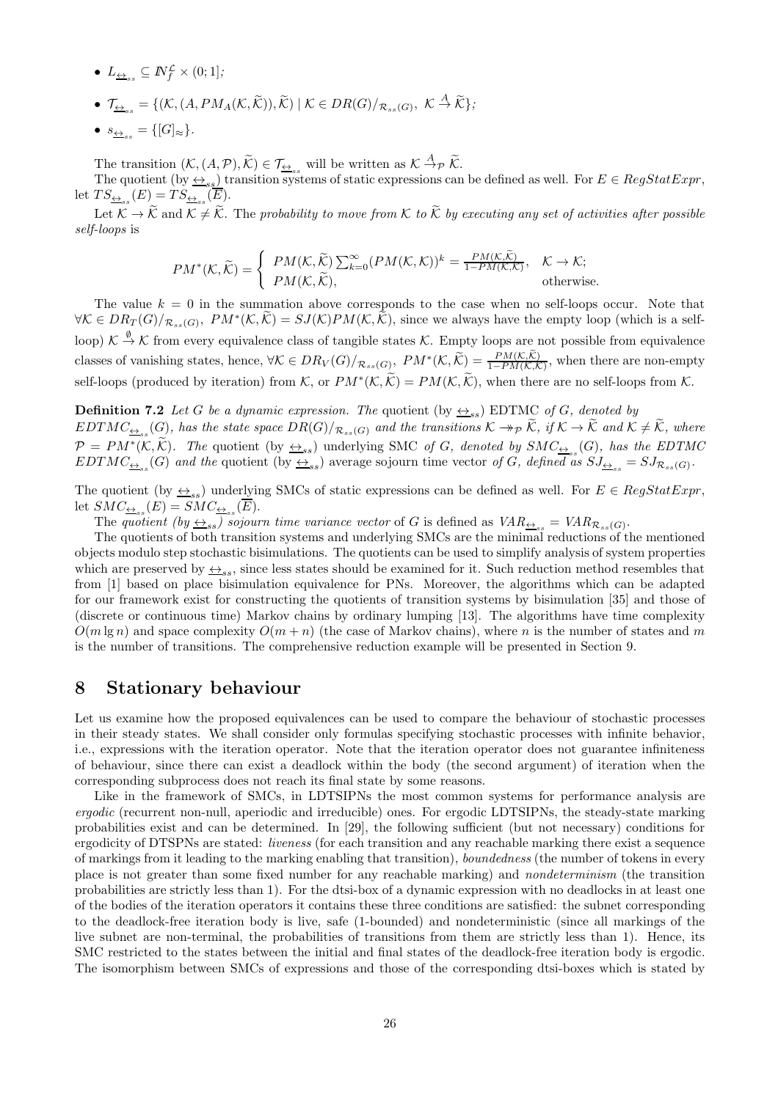- $L_{\underline{\leftrightarrow}_{ss}} \subseteq \mathbb{N}_{f}^{\mathcal{L}} \times (0,1];$
- $\mathcal{T}_{\underline{\leftrightarrow}_{ss}} = \{(\mathcal{K}, (A, PM_A(\mathcal{K}, \widetilde{\mathcal{K}})), \widetilde{\mathcal{K}}) \mid \mathcal{K} \in DR(G)/_{\mathcal{R}_{ss}(G)}, \ \mathcal{K} \stackrel{A}{\rightarrow} \widetilde{\mathcal{K}}\};$
- $s_{\leftrightarrow} = \{[G]_{\approx}\}.$

The transition  $(K, (A, \mathcal{P}), \widetilde{\mathcal{K}}) \in \mathcal{T}_{\underline{\leftrightarrow}_{ss}}$  will be written as  $K \stackrel{A}{\rightarrow} \mathcal{P} \widetilde{\mathcal{K}}$ .

The quotient (by  $\leftrightarrow_{ss}$ ) transition systems of static expressions can be defined as well. For  $E \in RegStatExpr$ , let  $TS_{\underline{\leftrightarrow}_{ss}}(E) = TS_{\underline{\leftrightarrow}_{ss}}(E)$ .

Let  $\widetilde{\mathcal{K}} \to \widetilde{\mathcal{K}}$  and  $\mathcal{K} \neq \widetilde{\mathcal{K}}$ . The probability to move from  $\mathcal{K}$  to  $\widetilde{\mathcal{K}}$  by executing any set of activities after possible self-loops is

$$
PM^*(\mathcal{K}, \widetilde{\mathcal{K}}) = \begin{cases} PM(\mathcal{K}, \widetilde{\mathcal{K}}) \sum_{k=0}^{\infty} (PM(\mathcal{K}, \mathcal{K}))^k = \frac{PM(\mathcal{K}, \widetilde{\mathcal{K}})}{1 - PM(\mathcal{K}, \mathcal{K})}, & \mathcal{K} \to \mathcal{K}; \\ PM(\mathcal{K}, \widetilde{\mathcal{K}}), & \text{otherwise.} \end{cases}
$$

The value  $k = 0$  in the summation above corresponds to the case when no self-loops occur. Note that  $\forall K \in DR_T(G)/_{\mathcal{R}_{ss}(G)}, PM^*(\mathcal{K},\tilde{\mathcal{K}}) = SJ(\mathcal{K})PM(\mathcal{K},\tilde{\mathcal{K}})$ , since we always have the empty loop (which is a selfloop)  $\mathcal{K} \stackrel{\emptyset}{\to} \mathcal{K}$  from every equivalence class of tangible states  $\mathcal{K}$ . Empty loops are not possible from equivalence classes of vanishing states, hence,  $\forall K \in DR_V(G)/_{\mathcal{R}_{ss}(G)}$ ,  $PM^*(K, \widetilde{K}) = \frac{PM(K, \mathcal{K})}{1 - PM(K, \mathcal{K})}$ , when there are non-empty self-loops (produced by iteration) from K, or  $PM^*(\mathcal{K}, \mathcal{K}) = PM(\mathcal{K}, \mathcal{K})$ , when there are no self-loops from K.

**Definition 7.2** Let G be a dynamic expression. The quotient (by  $\leftrightarrow$ <sub>ss</sub>) EDTMC of G, denoted by  $EDTMC_{\frac{\leftrightarrow}{\pm_{ss}}}(G)$ , has the state space  $DR(G)/_{\mathcal{R}_{ss}(G)}$  and the transitions  $\mathcal{K} \to_{\mathcal{P}} \mathcal{K}$ , if  $\mathcal{K} \to \mathcal{K}$  and  $\mathcal{K} \neq \mathcal{K}$ , where  $\mathcal{P} = PM^*(\mathcal{K}, \mathcal{K})$ . The quotient (by  $\leftrightarrow_{ss}$ ) underlying SMC of G, denoted by  $SMC_{\leftrightarrow_{ss}}(G)$ , has the EDTMC  $EDTMC_{\frac{\leftrightarrow}{\infty s}}(G)$  and the quotient (by  $\frac{\leftrightarrow}{\infty s}$ ) average sojourn time vector of G, defined as  $SJ_{\frac{\leftrightarrow}{\infty s}} = SJ_{\mathcal{R}_{ss}(G)}$ .

The quotient (by  $\leftrightarrow_{ss}$ ) underlying SMCs of static expressions can be defined as well. For  $E \in RegStatExpr$ , let  $SMC_{\underline{\leftrightarrow}_{ss}}(E) = SMC_{\underline{\leftrightarrow}_{ss}}(E)$ .

The quotient (by  $\leftrightarrow_{ss}$ ) sojourn time variance vector of G is defined as  $VAR_{\leftrightarrow_{ss}} = VAR_{\mathcal{R}_{ss}(G)}$ .

The quotients of both transition systems and underlying SMCs are the minimal reductions of the mentioned objects modulo step stochastic bisimulations. The quotients can be used to simplify analysis of system properties which are preserved by  $\leq_{ss}$ , since less states should be examined for it. Such reduction method resembles that from [1] based on place bisimulation equivalence for PNs. Moreover, the algorithms which can be adapted for our framework exist for constructing the quotients of transition systems by bisimulation [35] and those of (discrete or continuous time) Markov chains by ordinary lumping [13]. The algorithms have time complexity  $O(m \lg n)$  and space complexity  $O(m + n)$  (the case of Markov chains), where n is the number of states and m is the number of transitions. The comprehensive reduction example will be presented in Section 9.

# 8 Stationary behaviour

Let us examine how the proposed equivalences can be used to compare the behaviour of stochastic processes in their steady states. We shall consider only formulas specifying stochastic processes with infinite behavior, i.e., expressions with the iteration operator. Note that the iteration operator does not guarantee infiniteness of behaviour, since there can exist a deadlock within the body (the second argument) of iteration when the corresponding subprocess does not reach its final state by some reasons.

Like in the framework of SMCs, in LDTSIPNs the most common systems for performance analysis are ergodic (recurrent non-null, aperiodic and irreducible) ones. For ergodic LDTSIPNs, the steady-state marking probabilities exist and can be determined. In [29], the following sufficient (but not necessary) conditions for ergodicity of DTSPNs are stated: *liveness* (for each transition and any reachable marking there exist a sequence of markings from it leading to the marking enabling that transition), boundedness (the number of tokens in every place is not greater than some fixed number for any reachable marking) and nondeterminism (the transition probabilities are strictly less than 1). For the dtsi-box of a dynamic expression with no deadlocks in at least one of the bodies of the iteration operators it contains these three conditions are satisfied: the subnet corresponding to the deadlock-free iteration body is live, safe (1-bounded) and nondeterministic (since all markings of the live subnet are non-terminal, the probabilities of transitions from them are strictly less than 1). Hence, its SMC restricted to the states between the initial and final states of the deadlock-free iteration body is ergodic. The isomorphism between SMCs of expressions and those of the corresponding dtsi-boxes which is stated by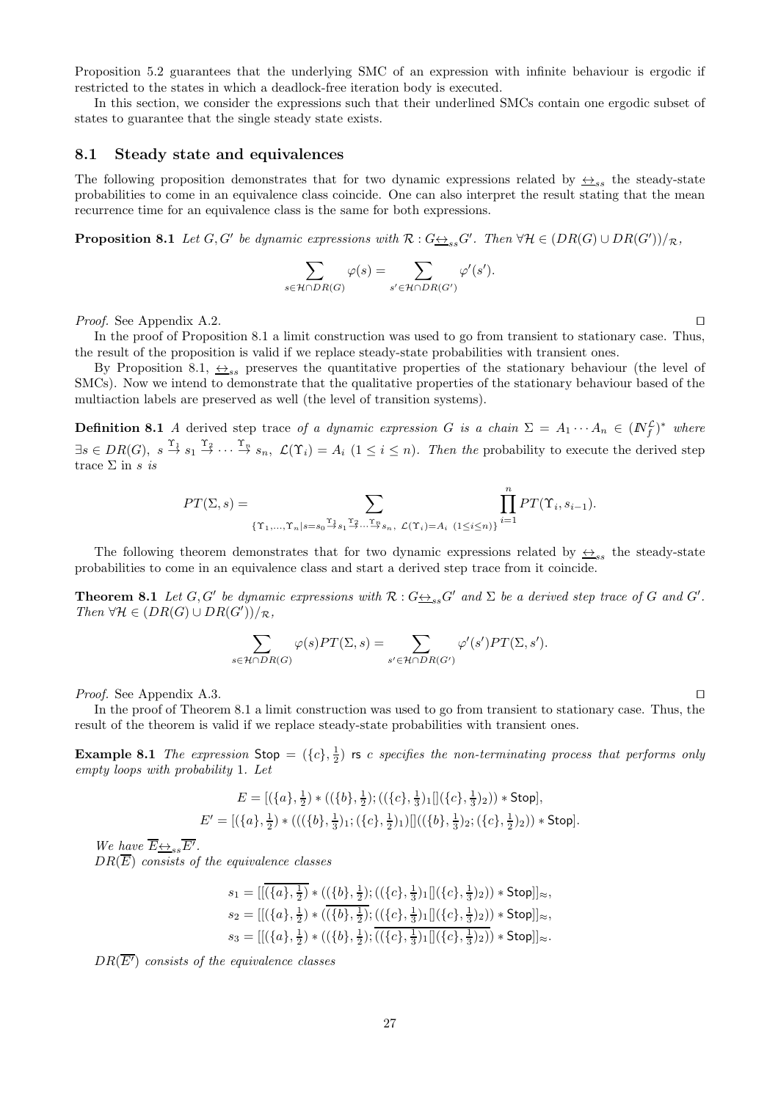Proposition 5.2 guarantees that the underlying SMC of an expression with infinite behaviour is ergodic if restricted to the states in which a deadlock-free iteration body is executed.

In this section, we consider the expressions such that their underlined SMCs contain one ergodic subset of states to guarantee that the single steady state exists.

#### 8.1 Steady state and equivalences

The following proposition demonstrates that for two dynamic expressions related by  $\leftrightarrow_{ss}$  the steady-state probabilities to come in an equivalence class coincide. One can also interpret the result stating that the mean recurrence time for an equivalence class is the same for both expressions.

**Proposition 8.1** Let  $G, G'$  be dynamic expressions with  $\mathcal{R}: G \rightarrow S_{ss}G'$ . Then  $\forall \mathcal{H} \in (DR(G) \cup DR(G'))/\mathcal{R}$ ,

$$
\sum_{s \in \mathcal{H} \cap DR(G)} \varphi(s) = \sum_{s' \in \mathcal{H} \cap DR(G')} \varphi'(s').
$$

*Proof.* See Appendix A.2. □

In the proof of Proposition 8.1 a limit construction was used to go from transient to stationary case. Thus, the result of the proposition is valid if we replace steady-state probabilities with transient ones.

By Proposition 8.1,  $\leftrightarrow_{ss}$  preserves the quantitative properties of the stationary behaviour (the level of SMCs). Now we intend to demonstrate that the qualitative properties of the stationary behaviour based of the multiaction labels are preserved as well (the level of transition systems).

**Definition 8.1** A derived step trace of a dynamic expression G is a chain  $\Sigma = A_1 \cdots A_n \in (N_f^{\mathcal{L}})^*$  where  $\exists s \in DR(G), s \stackrel{\Upsilon_1}{\rightarrow} s_1 \stackrel{\Upsilon_2}{\rightarrow} \cdots \stackrel{\Upsilon_n}{\rightarrow} s_n, \mathcal{L}(\Upsilon_i) = A_i \ (1 \leq i \leq n)$ . Then the probability to execute the derived step trace  $\Sigma$  in s is

$$
PT(\Sigma,s)=\sum_{\{\Upsilon_1,\ldots,\Upsilon_n|s=s_0\stackrel{\Upsilon_1}{\to}s_1\stackrel{\Upsilon_2}{\to}\ldots\stackrel{\Upsilon_n}{\to}s_n,\ \mathcal{L}(\Upsilon_i)=A_i}\prod_{(1\leq i\leq n)\}}^n PT(\Upsilon_i,s_{i-1}).
$$

The following theorem demonstrates that for two dynamic expressions related by  $\leftrightarrow_{ss}$  the steady-state probabilities to come in an equivalence class and start a derived step trace from it coincide.

**Theorem 8.1** Let  $G, G'$  be dynamic expressions with  $\mathcal{R}: G \rightarrow_{ss} G'$  and  $\Sigma$  be a derived step trace of G and  $G'$ . Then  $\forall \mathcal{H} \in (DR(G) \cup DR(G'))/R$ ,

$$
\sum_{s \in \mathcal{H} \cap DR(G)} \varphi(s)PT(\Sigma,s) = \sum_{s' \in \mathcal{H} \cap DR(G')} \varphi'(s')PT(\Sigma,s').
$$

*Proof.* See Appendix A.3. □

In the proof of Theorem 8.1 a limit construction was used to go from transient to stationary case. Thus, the result of the theorem is valid if we replace steady-state probabilities with transient ones.

**Example 8.1** The expression  $\text{Stop} = (\{c\}, \frac{1}{2})$  is c specifies the non-terminating process that performs only empty loops with probability 1. Let

$$
E = [(\{a\}, \frac{1}{2}) * ((\{b\}, \frac{1}{2}); ((\{c\}, \frac{1}{3})_1 || (\{c\}, \frac{1}{3})_2)) * \text{Stop}],
$$
  

$$
E' = [(\{a\}, \frac{1}{2}) * (((\{b\}, \frac{1}{3})_1; (\{c\}, \frac{1}{2})_1) || ((\{b\}, \frac{1}{3})_2; (\{c\}, \frac{1}{2})_2)) * \text{Stop}].
$$

We have  $\overline{E} \underline{\leftrightarrow}_{ss} \overline{E'}$ .  $DR(E)$  consists of the equivalence classes

$$
s_1 = [[\overline{\{a\}, \frac{1}{2}\} * ((\overline{\{b\}, \frac{1}{2}\} ; ((\{c\}, \frac{1}{3})_1 [[\{c\}, \frac{1}{3})_2)) * Stop]]_{\approx},
$$
  
\n
$$
s_2 = [[(\{a\}, \frac{1}{2}) * ((\overline{\{b\}, \frac{1}{2}\} ; ((\{c\}, \frac{1}{3})_1 [[\{c\}, \frac{1}{3})_2)) * Stop]]_{\approx},
$$
  
\n
$$
s_3 = [[(\{a\}, \frac{1}{2}) * ((\{b\}, \frac{1}{2})_i \overline{((\{c\}, \frac{1}{3})_1 [[\{c\}, \frac{1}{3})_2))} * Stop]]_{\approx}.
$$

 $DR(\overline{E'})$  consists of the equivalence classes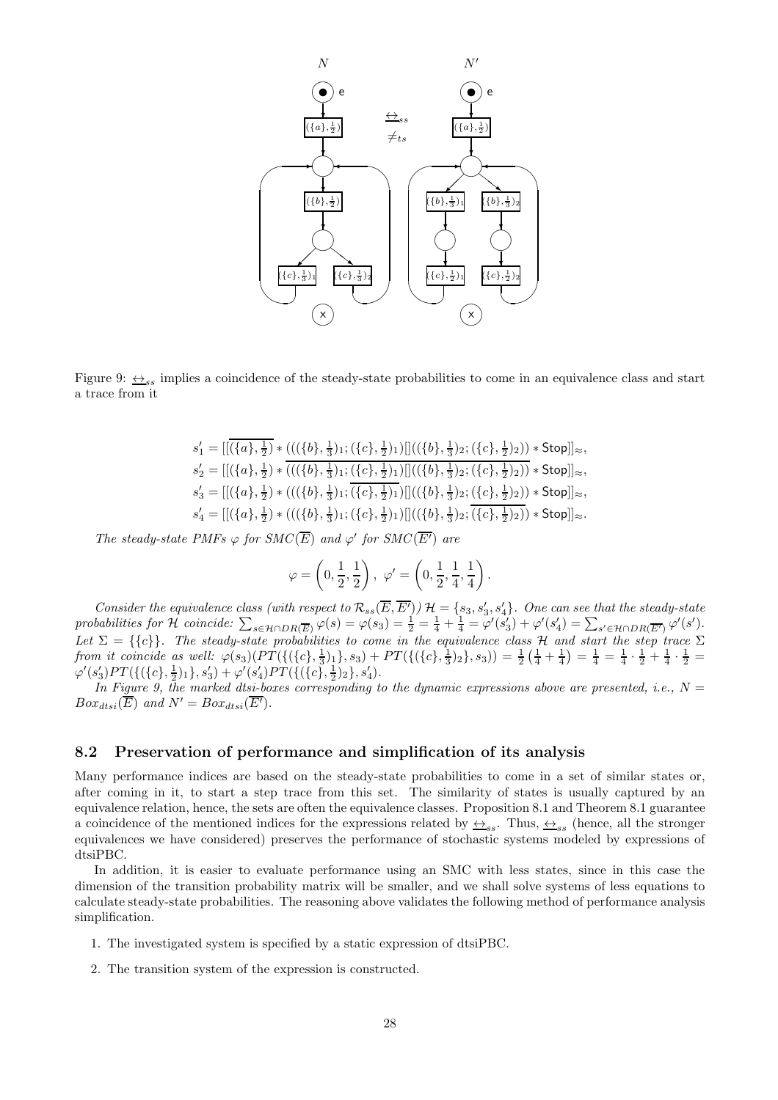

Figure 9:  $\leftrightarrow$ <sub>ss</sub> implies a coincidence of the steady-state probabilities to come in an equivalence class and start a trace from it

$$
\begin{array}{l} s_1' = [[(\overline{\{a\},\frac{1}{2}\}\ast (((\{b\},\frac{1}{3})_1;(\{c\},\frac{1}{2})_1)][((\{b\},\frac{1}{3})_2;(\{c\},\frac{1}{2})_2)) * \text{Stop}]]_{\approx},\\ s_2' = [[(\{a\},\frac{1}{2})\ast \overline{(((\{b\},\frac{1}{3})_1;(\{c\},\frac{1}{2})_1)][((\{b\},\frac{1}{3})_2;(\{c\},\frac{1}{2})_2))}\ast \text{Stop}]]_{\approx},\\ s_3' = [[(\{a\},\frac{1}{2})\ast (((\{b\},\frac{1}{3})_1;(\{c\},\frac{1}{2})_1)][((\{b\},\frac{1}{3})_2;(\{c\},\frac{1}{2})_2))\ast \text{Stop}]]_{\approx},\\ s_4' = [[(\{a\},\frac{1}{2})\ast (((\{b\},\frac{1}{3})_1;(\{c\},\frac{1}{2})_1)][((\{b\},\frac{1}{3})_2;(\overline{\{c\},\frac{1}{2})_2))\ast \text{Stop}]]_{\approx}. \end{array}
$$

The steady-state PMFs  $\varphi$  for SMC(E) and  $\varphi'$  for SMC(E') are

$$
\varphi = \left(0, \frac{1}{2}, \frac{1}{2}\right), \varphi' = \left(0, \frac{1}{2}, \frac{1}{4}, \frac{1}{4}\right).
$$

Consider the equivalence class (with respect to  $\mathcal{R}_{ss}(\overline{E}, \overline{E'})$ )  $\mathcal{H} = \{s_3, s'_3, s'_4\}$ . One can see that the steady-state probabilities for H coincide:  $\sum_{s \in \mathcal{H} \cap DR(\overline{E})} \varphi(s) = \varphi(s_3) = \frac{1}{2} = \frac{1}{4} + \frac{1}{4} = \varphi'(s_3') + \varphi'(s_4') = \sum_{s' \in \mathcal{H} \cap DR(\overline{E'})} \varphi'(s')$ . Let  $\Sigma = \{\{c\}\}\.$  The steady-state probabilities to come in the equivalence class H and start the step trace  $\Sigma$ from it coincide as well:  $\varphi(s_3)(PT(\{(a), \frac{1}{3})_1\}, s_3) + PT(\{(\{c\}, \frac{1}{3})_2\}, s_3)) = \frac{1}{2}(\frac{1}{4} + \frac{1}{4}) = \frac{1}{4} = \frac{1}{4} \cdot \frac{1}{2} + \frac{1}{4} \cdot \frac{1}{2} =$  $\varphi'(s'_3)PT(\{(\{c\},\frac{1}{2})_1\},s'_3)+\varphi'(s'_4)PT(\{(\{c\},\frac{1}{2})_2\},s'_4).$ 

In Figure 9, the marked dtsi-boxes corresponding to the dynamic expressions above are presented, i.e.,  $N =$  $Box_{dtsi}(\overline{E})$  and  $N' = Box_{dtsi}(\overline{E'}).$ 

### 8.2 Preservation of performance and simplification of its analysis

Many performance indices are based on the steady-state probabilities to come in a set of similar states or, after coming in it, to start a step trace from this set. The similarity of states is usually captured by an equivalence relation, hence, the sets are often the equivalence classes. Proposition 8.1 and Theorem 8.1 guarantee a coincidence of the mentioned indices for the expressions related by  $\leftrightarrow_{ss}$ . Thus,  $\leftrightarrow_{ss}$  (hence, all the stronger equivalences we have considered) preserves the performance of stochastic systems modeled by expressions of dtsiPBC.

In addition, it is easier to evaluate performance using an SMC with less states, since in this case the dimension of the transition probability matrix will be smaller, and we shall solve systems of less equations to calculate steady-state probabilities. The reasoning above validates the following method of performance analysis simplification.

- 1. The investigated system is specified by a static expression of dtsiPBC.
- 2. The transition system of the expression is constructed.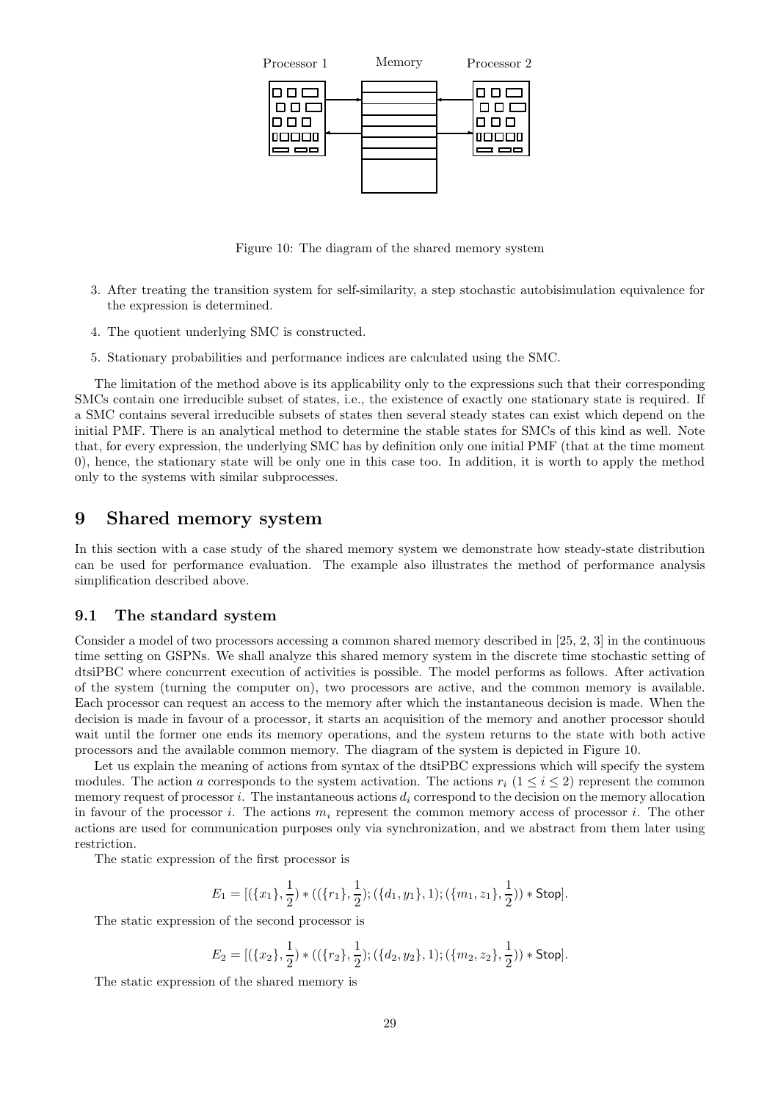

Figure 10: The diagram of the shared memory system

- 3. After treating the transition system for self-similarity, a step stochastic autobisimulation equivalence for the expression is determined.
- 4. The quotient underlying SMC is constructed.
- 5. Stationary probabilities and performance indices are calculated using the SMC.

The limitation of the method above is its applicability only to the expressions such that their corresponding SMCs contain one irreducible subset of states, i.e., the existence of exactly one stationary state is required. If a SMC contains several irreducible subsets of states then several steady states can exist which depend on the initial PMF. There is an analytical method to determine the stable states for SMCs of this kind as well. Note that, for every expression, the underlying SMC has by definition only one initial PMF (that at the time moment 0), hence, the stationary state will be only one in this case too. In addition, it is worth to apply the method only to the systems with similar subprocesses.

# 9 Shared memory system

In this section with a case study of the shared memory system we demonstrate how steady-state distribution can be used for performance evaluation. The example also illustrates the method of performance analysis simplification described above.

#### 9.1 The standard system

Consider a model of two processors accessing a common shared memory described in [25, 2, 3] in the continuous time setting on GSPNs. We shall analyze this shared memory system in the discrete time stochastic setting of dtsiPBC where concurrent execution of activities is possible. The model performs as follows. After activation of the system (turning the computer on), two processors are active, and the common memory is available. Each processor can request an access to the memory after which the instantaneous decision is made. When the decision is made in favour of a processor, it starts an acquisition of the memory and another processor should wait until the former one ends its memory operations, and the system returns to the state with both active processors and the available common memory. The diagram of the system is depicted in Figure 10.

Let us explain the meaning of actions from syntax of the dtsiPBC expressions which will specify the system modules. The action a corresponds to the system activation. The actions  $r_i$  ( $1 \le i \le 2$ ) represent the common memory request of processor i. The instantaneous actions  $d_i$  correspond to the decision on the memory allocation in favour of the processor i. The actions  $m_i$  represent the common memory access of processor i. The other actions are used for communication purposes only via synchronization, and we abstract from them later using restriction.

The static expression of the first processor is

$$
E_1 = [(\{x_1\}, \frac{1}{2}) * ((\{r_1\}, \frac{1}{2}); (\{d_1, y_1\}, 1); (\{m_1, z_1\}, \frac{1}{2})) * \text{Stop}].
$$

The static expression of the second processor is

$$
E_2 = [(\{x_2\}, \frac{1}{2}) * ((\{r_2\}, \frac{1}{2}); (\{d_2, y_2\}, 1); (\{m_2, z_2\}, \frac{1}{2})) * \text{Stop}].
$$

The static expression of the shared memory is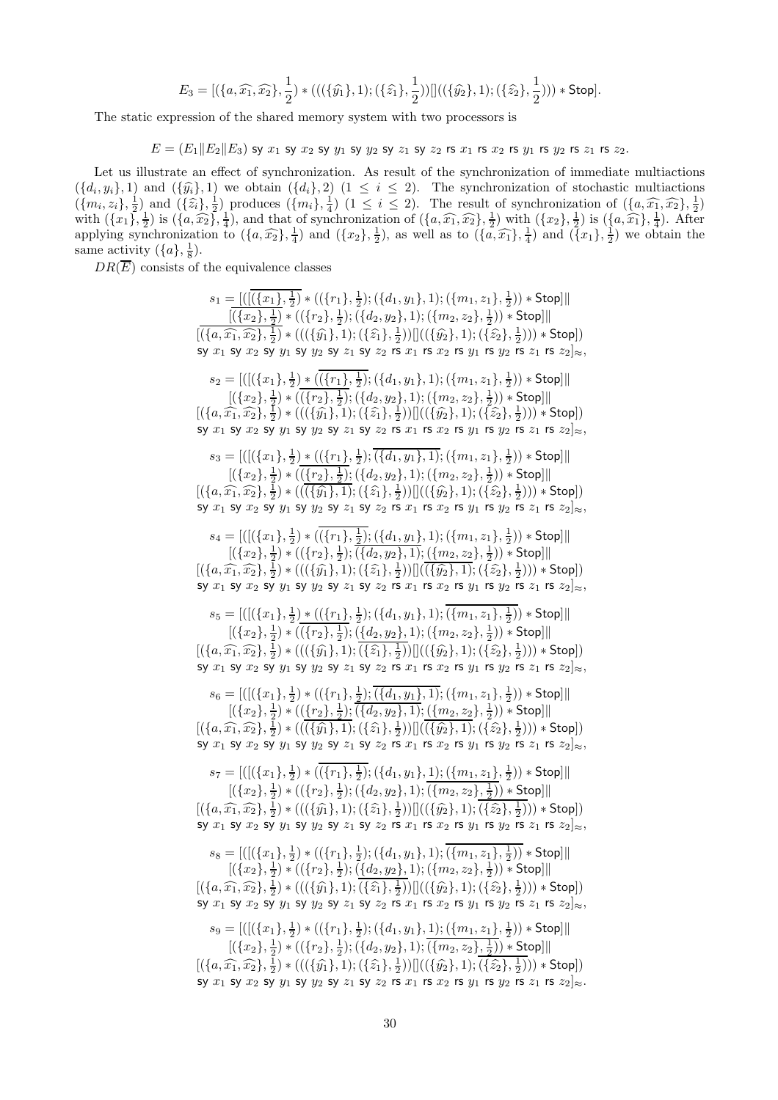$$
E_3 = [(\{a, \widehat{x_1}, \widehat{x_2}\}, \frac{1}{2}) * (((\{\widehat{y_1}\}, 1); (\{\widehat{z_1}\}, \frac{1}{2}))]]((\{\widehat{y_2}\}, 1); (\{\widehat{z_2}\}, \frac{1}{2}))) * Stop].
$$

The static expression of the shared memory system with two processors is

 $E = (E_1||E_2||E_3)$  sy  $x_1$  sy  $x_2$  sy  $y_1$  sy  $y_2$  sy  $z_1$  sy  $z_2$  rs  $x_1$  rs  $x_2$  rs  $y_1$  rs  $y_2$  rs  $z_1$  rs  $z_2$ .

Let us illustrate an effect of synchronization. As result of the synchronization of immediate multiactions  $(\{d_i, y_i\}, 1)$  and  $(\{\hat{y}_i\}, 1)$  we obtain  $(\{d_i\}, 2)$   $(1 \leq i \leq 2)$ . The synchronization of stochastic multiactions  $(\{m_i, z_i\}, \frac{1}{2})$  and  $(\{\hat{z}_i\}, \frac{1}{2})$  produces  $(\{m_i\}, \frac{1}{4})$   $(1 \leq i \leq 2)$ . The result of synchronization of  $(\{a, \hat{x}_1, \hat{x}_2\}, \frac{1}{2})$ with  $(\lbrace x_1 \rbrace, \frac{1}{2})$  is  $(\lbrace a, \widehat{x_2} \rbrace, \frac{1}{4})$ , and that of synchronization of  $(\lbrace a, \widehat{x_1}, \widehat{x_2} \rbrace, \frac{1}{2})$  with  $(\lbrace x_2 \rbrace, \frac{1}{2})$  is  $(\lbrace a, \widehat{x_1} \rbrace, \frac{1}{4})$ . After applying synchronization to  $(\lbrace a,\widehat{x_2}\rbrace,\frac{1}{4})$  and  $(\lbrace x_2\rbrace,\frac{1}{2})$ , as well as to  $(\lbrace a,\widehat{x_1}\rbrace,\frac{1}{4})$  and  $(\lbrace x_1\rbrace,\frac{1}{2})$  we obtain the same activity  $({a}, \frac{1}{8})$ .

 $DR(\overline{E})$  consists of the equivalence classes

 $s_1 = \frac{(([(\{x_1\},\frac{1}{2}) * ((\{r_1\},\frac{1}{2});(\{d_1,y_1\},1);(\{m_1,z_1\},\frac{1}{2})) * \mathsf{Stop}]]|$  $\left[\left(\{x_2\},\frac{1}{2}\right)*}\left(\left(\{r_2\},\frac{1}{2}\right);\left(\{d_2,y_2\},1\right);\left(\{m_2,z_2\},\frac{1}{2}\right)\right)*\mathsf{Stop} \right]\right\|$  $[((\{a,\widehat{x_1},\widehat{x_2}\},\frac{1}{2})\ast (((\{\widehat{y_1}\},1);(\{\widehat{z_1}\},\frac{1}{2}))]]((\{\widehat{y_2}\},1);(\{\widehat{z_2}\},\frac{1}{2})))\ast \mathsf{Stop}])$ sy  $x_1$  sy  $x_2$  sy  $y_1$  sy  $y_2$  sy  $z_1$  sy  $z_2$  rs  $x_1$  rs  $x_2$  rs  $y_1$  rs  $y_2$  rs  $z_1$  rs  $z_2]_{\approx}$ ,  $s_2 = [ ( [ (\{x_1\}, \frac{1}{2}) * ( (\{r_1\}, \frac{1}{2}) ; (\{d_1, y_1\}, 1) ; (\{m_1, z_1\}, \frac{1}{2}) ) * \text{Stop} ] \|$  $\left[\left(\{x_2\},\frac{1}{2}\right)*\left(\left(\{r_2\},\frac{1}{2}\right);\left(\{d_2,y_2\},1\right);\left(\{m_2,z_2\},\frac{1}{2}\right)\right)*\text{Stop} \right]\right]$  $[(\{a,\widehat{x_1},\widehat{x_2}\},\frac{1}{2})\ast(((\{\widehat{y_1}\},1);(\{\widehat{z_1}\},\frac{1}{2}))]]((\{\widehat{y_2}\},1);(\{\widehat{z_2}\},\frac{1}{2})))\ast \mathsf{Stop}])$ sy  $x_1$  sy  $x_2$  sy  $y_1$  sy  $y_2$  sy  $z_1$  sy  $z_2$  rs  $x_1$  rs  $x_2$  rs  $y_1$  rs  $y_2$  rs  $z_1$  rs  $z_2|_{\approx}$ ,  $s_3 = [([({x_1}, \frac{1}{2}) * (({r_1}, \frac{1}{2}) ; (x_1, y_1), 1); (x_1, z_1), \frac{1}{2})) * Stop]]$  $[(\{x_2\},\frac{1}{2})*((\{\underline{r_2}\},\frac{1}{2});(\{d_2,y_2\},1);(\{m_2,z_2\},\frac{1}{2})) * \mathsf{Stop}]]$  $[(\{a,\widehat{x_1},\widehat{x_2}\},\frac{1}{2})\ast ((\overline{(\{\widehat{y_1}\},1)};(\{\widehat{z_1}\},\frac{1}{2}))|]((\{\widehat{y_2}\},1);(\{\widehat{z_2}\},\frac{1}{2})))\ast \mathsf{Stop}])$ sy  $x_1$  sy  $x_2$  sy  $y_1$  sy  $y_2$  sy  $z_1$  sy  $z_2$  rs  $x_1$  rs  $x_2$  rs  $y_1$  rs  $y_2$  rs  $z_1$  rs  $z_2|_{\approx}$ ,  $s_4 = [ ( [ ( \{ x_1 \}, \tfrac{1}{2} ) * ( ( \{ r_1 \}, \tfrac{1}{2} ); ( \{ d_1, y_1 \}, 1 ) ; ( \{ m_1, z_1 \}, \tfrac{1}{2} ) ) * \mathsf{Stop} ] \|$  $[(\{x_2\},\frac{1}{2})*((\{r_2\},\frac{1}{2});\overline{(\{d_2,y_2\},1)};(\{m_2,z_2\},\frac{1}{2})) * \mathsf{Stop}]]$  $[((\{a,\widehat{x_1},\widehat{x_2}\},\frac{1}{2})\ast (((\{\widehat{y_1}\},1);(\{\widehat{z_1}\},\frac{1}{2}))][(\overline{(\{\widehat{y_2}\},1)};(\{\widehat{z_2}\},\frac{1}{2})))\ast \mathsf{Stop}])$ sy  $x_1$  sy  $x_2$  sy  $y_1$  sy  $y_2$  sy  $z_1$  sy  $z_2$  rs  $x_1$  rs  $x_2$  rs  $y_1$  rs  $y_2$  rs  $z_1$  rs  $z_2$ ] $\approx$ ,  $s_5 = [([({x_1}, \frac{1}{2}) * (({r_1}, \frac{1}{2}) ; ({d_1}, y_1), 1); ({m_1}, z_1), \frac{1}{2})) * Stop]]$  $[(\{x_2\},\frac{1}{2})*((\{r_2\},\frac{1}{2});(\{\{d_2,y_2\},1);(\{m_2,z_2\},\frac{1}{2})) * \mathsf{Stop}]]$  $[((a,\widehat{x_1},\widehat{x_2}\},\frac{1}{2})\ast(((\{\widehat{y_1}\},1);(\{\widehat{z_1}\},\frac{1}{2}))|]((\{\widehat{y_2}\},1);(\{\widehat{z_2}\},\frac{1}{2})))\ast \mathsf{Stop}])$ sy  $x_1$  sy  $x_2$  sy  $y_1$  sy  $y_2$  sy  $z_1$  sy  $z_2$  rs  $x_1$  rs  $x_2$  rs  $y_1$  rs  $y_2$  rs  $z_1$  rs  $z_2]_{\approx}$ ,  $s_6 = [([({x_1}, \frac{1}{2})*((\{r_1\}, \frac{1}{2}); \overline{(\{d_1,y_1\},1)}; (\{m_1,z_1\}, \frac{1}{2})) * \text{Stop}]]$  $[(\{x_2\}, \frac{1}{2}) * ((\{r_2\}, \frac{1}{2}); ((\{a_2, y_2\}, 1); ((\{m_2, z_2\}, \frac{1}{2})) * Stop]]$  $[(\{a,\widehat{x_1},\widehat{x_2}\},\frac{1}{2})\ast ((\overline{(\{\widehat{y_1}\},1)};(\{\widehat{z_1}\},\frac{1}{2}))|](\overline{(\{\widehat{y_2}\},1)};(\{\widehat{z_2}\},\frac{1}{2})))\ast {\sf Stop}]$ sy  $x_1$  sy  $x_2$  sy  $y_1$  sy  $y_2$  sy  $z_1$  sy  $z_2$  rs  $x_1$  rs  $x_2$  rs  $y_1$  rs  $y_2$  rs  $z_1$  rs  $z_2|_{\approx}$ ,  $s_7 = [ ([(\{x_1\}, \frac{1}{2}) * ((\{r_1\}, \frac{1}{2}) ; (\{d_1, y_1\}, \frac{1}{2}) ; (\{m_1, z_1\}, \frac{1}{2})) * Stop]]|$  $[(\{x_2\}, \frac{1}{2}) * ((\{r_2\}, \frac{1}{2}); (\{d_2, y_2\}, 1); (\{m_2, z_2\}, \frac{1}{2})) * \text{Stop}]]$  $[((\{a,\widehat{x_1},\widehat{x_2}\},\frac{1}{2})\ast (((\{\widehat{y_1}\},1);(\{\widehat{z_1}\},\frac{1}{2}))]]((\{\widehat{y_2}\},1);(\{\widehat{z_2}\},\frac{1}{2})))\ast \mathsf{Stop}])$ sy  $x_1$  sy  $x_2$  sy  $y_1$  sy  $y_2$  sy  $z_1$  sy  $z_2$  rs  $x_1$  rs  $x_2$  rs  $y_1$  rs  $y_2$  rs  $z_1$  rs  $z_2|_{\approx}$ ,  $s_8 = [([(\{x_1\},\frac{1}{2})*((\{r_1\},\frac{1}{2});(\{d_1,y_1\},1);(\{m_1,z_1\},\frac{1}{2})) * \mathsf{Stop}]]|$  $[(\{x_2\},\frac{1}{2})\ast\left((\{r_2\},\frac{1}{2});\overline{\left(\{d_2,y_2\},1\right)};(\{m_2,z_2\},\frac{1}{2})\right)\ast$  Stop]||  $[(\{a,\widehat{x_1},\widehat{x_2}\},\frac{1}{2})\ast(((\{\widehat{y_1}\},1);(\{\widehat{z_1}\},\frac{1}{2}))]]((\{\widehat{y_2}\},1);(\{\widehat{z_2}\},\frac{1}{2})))\ast \mathsf{Stop}])$ sy  $x_1$  sy  $x_2$  sy  $y_1$  sy  $y_2$  sy  $z_1$  sy  $z_2$  rs  $x_1$  rs  $x_2$  rs  $y_1$  rs  $y_2$  rs  $z_1$  rs  $z_2|_{\approx}$ ,  $s_9 = [([({x_1}, \frac{1}{2})*((\{r_1\}, \frac{1}{2});(\{d_1,y_1\}, \frac{1}{2});\allowbreak(\{m_1,z_1\}, \frac{1}{2})) * Stop]]|$  $[(\{x_2\}, \frac{1}{2}) * ((\{r_2\}, \frac{1}{2}); (\{d_2, y_2\}, 1); (\{m_2, z_2\}, \frac{1}{2})) * \text{Stop}]]$  $[((a,\widehat{x_1},\widehat{x_2},\frac{1}{2})\ast(((\{\widehat{y_1}\},1);(\{\widehat{z_1}\},\frac{1}{2}))]]((\{\widehat{y_2}\},1);(\{\widehat{z_2}\},\frac{1}{2})))\ast \mathsf{Stop}])$ sy  $x_1$  sy  $x_2$  sy  $y_1$  sy  $y_2$  sy  $z_1$  sy  $z_2$  rs  $x_1$  rs  $x_2$  rs  $y_1$  rs  $y_2$  rs  $z_1$  rs  $z_2|_{\approx}$ .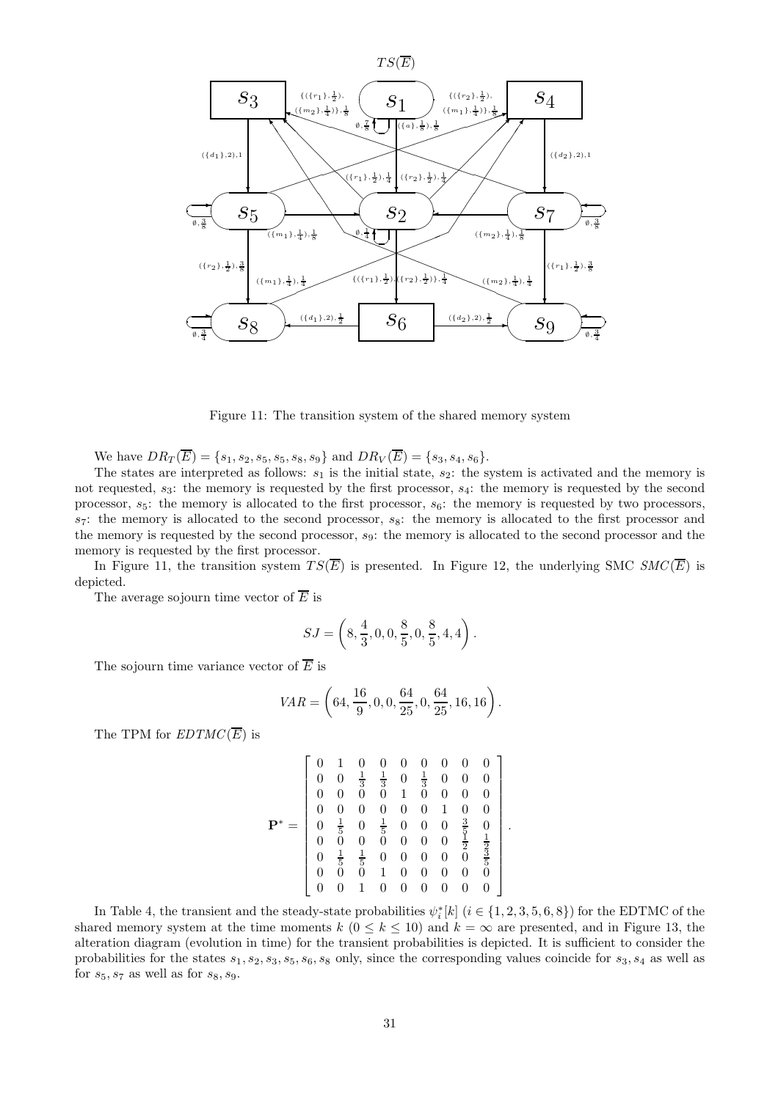

Figure 11: The transition system of the shared memory system

We have  $DR_T(\overline{E}) = \{s_1, s_2, s_5, s_5, s_8, s_9\}$  and  $DR_V(\overline{E}) = \{s_3, s_4, s_6\}.$ 

The states are interpreted as follows:  $s_1$  is the initial state,  $s_2$ : the system is activated and the memory is not requested,  $s_3$ : the memory is requested by the first processor,  $s_4$ : the memory is requested by the second processor,  $s_5$ : the memory is allocated to the first processor,  $s_6$ : the memory is requested by two processors,  $s_7$ : the memory is allocated to the second processor,  $s_8$ : the memory is allocated to the first processor and the memory is requested by the second processor, s9: the memory is allocated to the second processor and the memory is requested by the first processor.

In Figure 11, the transition system  $TS(\overline{E})$  is presented. In Figure 12, the underlying SMC  $SMC(\overline{E})$  is depicted.

The average sojourn time vector of  $\overline{E}$  is

$$
SJ = \left(8, \frac{4}{3}, 0, 0, \frac{8}{5}, 0, \frac{8}{5}, 4, 4\right).
$$

The sojourn time variance vector of  $\overline{E}$  is

$$
VAR = \left(64, \frac{16}{9}, 0, 0, \frac{64}{25}, 0, \frac{64}{25}, 16, 16\right).
$$

The TPM for  $EDTMC(\overline{E})$  is

$$
\mathbf{P}^* = \left[ \begin{array}{ccccccc} 0 & 1 & 0 & 0 & 0 & 0 & 0 & 0 & 0 \\ 0 & 0 & \frac{1}{3} & \frac{1}{3} & 0 & \frac{1}{3} & 0 & 0 & 0 \\ 0 & 0 & 0 & 0 & 1 & 0 & 0 & 0 & 0 \\ 0 & 0 & 0 & 0 & 0 & 0 & 1 & 0 & 0 \\ 0 & \frac{1}{5} & 0 & \frac{1}{5} & 0 & 0 & 0 & \frac{3}{5} & 0 \\ 0 & 0 & 0 & 0 & 0 & 0 & 0 & \frac{1}{2} & \frac{1}{2} \\ 0 & \frac{1}{5} & \frac{1}{5} & 0 & 0 & 0 & 0 & 0 & \frac{3}{5} \\ 0 & 0 & 0 & 1 & 0 & 0 & 0 & 0 & 0 \\ 0 & 0 & 1 & 0 & 0 & 0 & 0 & 0 & 0 \end{array} \right]
$$

.

In Table 4, the transient and the steady-state probabilities  $\psi_i^*[k]$   $(i \in \{1, 2, 3, 5, 6, 8\})$  for the EDTMC of the shared memory system at the time moments k  $(0 \le k \le 10)$  and  $k = \infty$  are presented, and in Figure 13, the alteration diagram (evolution in time) for the transient probabilities is depicted. It is sufficient to consider the probabilities for the states  $s_1, s_2, s_3, s_5, s_6, s_8$  only, since the corresponding values coincide for  $s_3, s_4$  as well as for  $s_5, s_7$  as well as for  $s_8, s_9$ .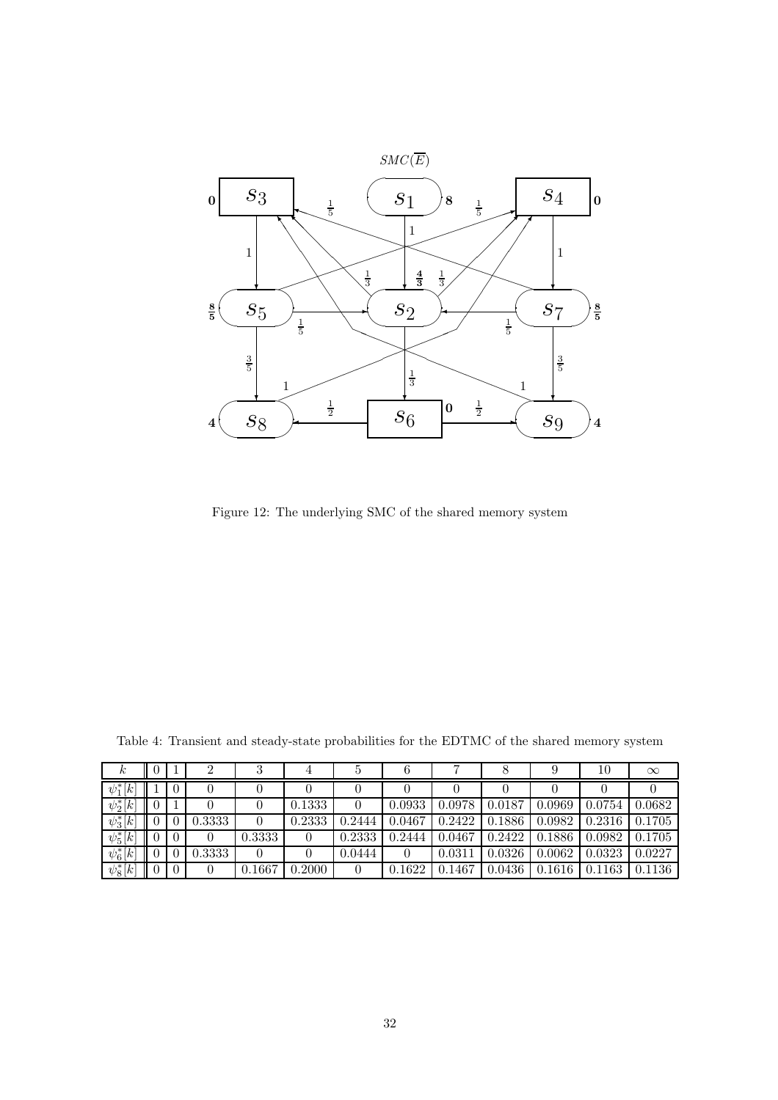

Figure 12: The underlying SMC of the shared memory system

| $\kappa$                        |  |        | υ      |        | Ð      |        |        |        |        | 10     | $\infty$ |
|---------------------------------|--|--------|--------|--------|--------|--------|--------|--------|--------|--------|----------|
| $\psi_1^*$<br>$\lceil k \rceil$ |  |        |        |        |        |        |        |        |        |        |          |
| $\overline{\psi_2^*}[k]$        |  |        |        | 0.1333 |        | 0.0933 | 0.0978 | 0.0187 | 0.0969 | 0.0754 | 0.0682   |
| $\psi_3^*[k]$                   |  | 0.3333 | 0      | 0.2333 | 0.2444 | 0.0467 | 0.2422 | 0.1886 | 0.0982 | 0.2316 | 0.1705   |
| $\psi_5^*[k]$                   |  |        | 0.3333 |        | 0.2333 | 0.2444 | 0.0467 | 0.2422 | 0.1886 | 0.0982 | 0.1705   |
| $\psi_6^*[k]$                   |  | 0.3333 | 0      |        | 0.0444 |        | 0.0311 | 0.0326 | 0.0062 | 0.0323 | 0.0227   |
| $\psi_8^*[k]$                   |  | 0      | 0.1667 | 0.2000 |        | 0.1622 | 0.1467 | 0.0436 | 0.1616 | 0.1163 | 0.1136   |

Table 4: Transient and steady-state probabilities for the EDTMC of the shared memory system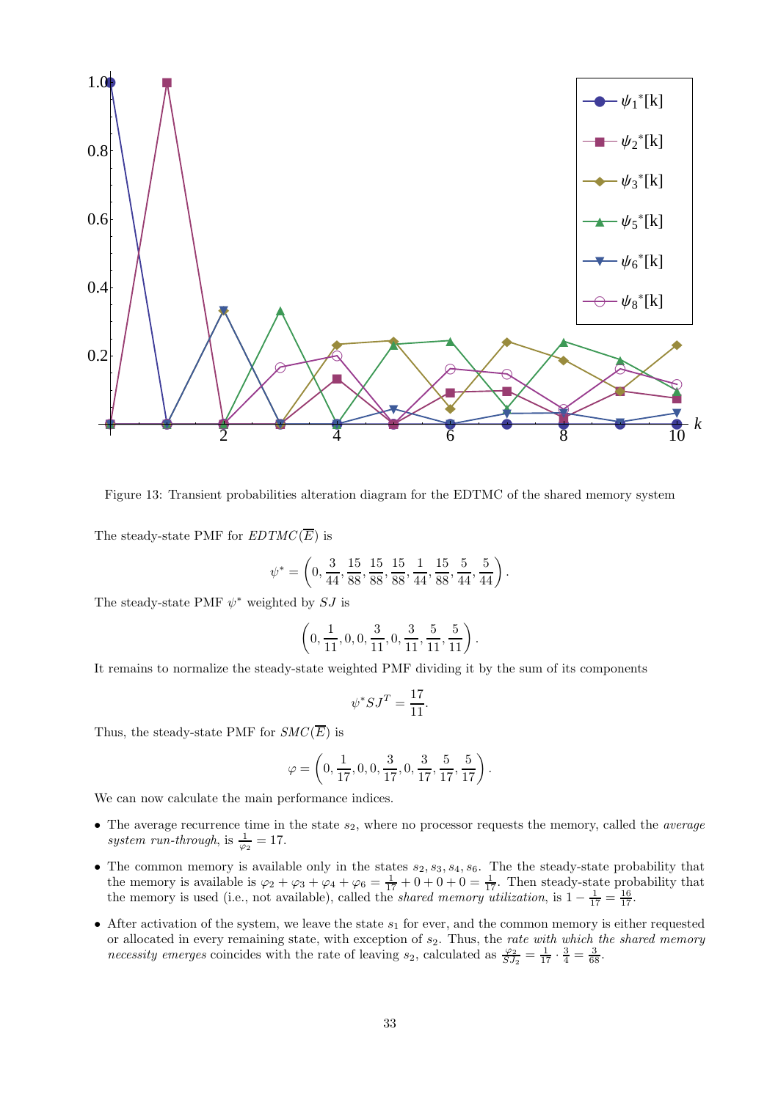

Figure 13: Transient probabilities alteration diagram for the EDTMC of the shared memory system

The steady-state PMF for  $EDTMC(\overline{E})$  is

$$
\psi^*=\left(0,\frac{3}{44},\frac{15}{88},\frac{15}{88},\frac{15}{88},\frac{1}{44},\frac{15}{88},\frac{5}{44},\frac{5}{44}\right).
$$

The steady-state PMF  $\psi^*$  weighted by  $SJ$  is

$$
\left(0,\frac{1}{11},0,0,\frac{3}{11},0,\frac{3}{11},\frac{5}{11},\frac{5}{11}\right).
$$

It remains to normalize the steady-state weighted PMF dividing it by the sum of its components

$$
\psi^* S J^T = \frac{17}{11}.
$$

Thus, the steady-state PMF for  $SMC(\overline{E})$  is

$$
\varphi = \left(0, \frac{1}{17}, 0, 0, \frac{3}{17}, 0, \frac{3}{17}, \frac{5}{17}, \frac{5}{17}\right).
$$

We can now calculate the main performance indices.

- The average recurrence time in the state  $s_2$ , where no processor requests the memory, called the *average* system run-through, is  $\frac{1}{\varphi_2} = 17$ .
- The common memory is available only in the states  $s_2, s_3, s_4, s_6$ . The the steady-state probability that the memory is available is  $\varphi_2 + \varphi_3 + \varphi_4 + \varphi_6 = \frac{1}{17} + 0 + 0 + 0 = \frac{1}{17}$ . Then steady-state probability that the memory is used (i.e., not available), called the *shared memory utilization*, is  $1 - \frac{1}{17} = \frac{16}{17}$ .
- After activation of the system, we leave the state  $s_1$  for ever, and the common memory is either requested or allocated in every remaining state, with exception of  $s_2$ . Thus, the rate with which the shared memory necessity emerges coincides with the rate of leaving  $s_2$ , calculated as  $\frac{\varphi_2}{SJ_2} = \frac{1}{17} \cdot \frac{3}{4} = \frac{3}{68}$ .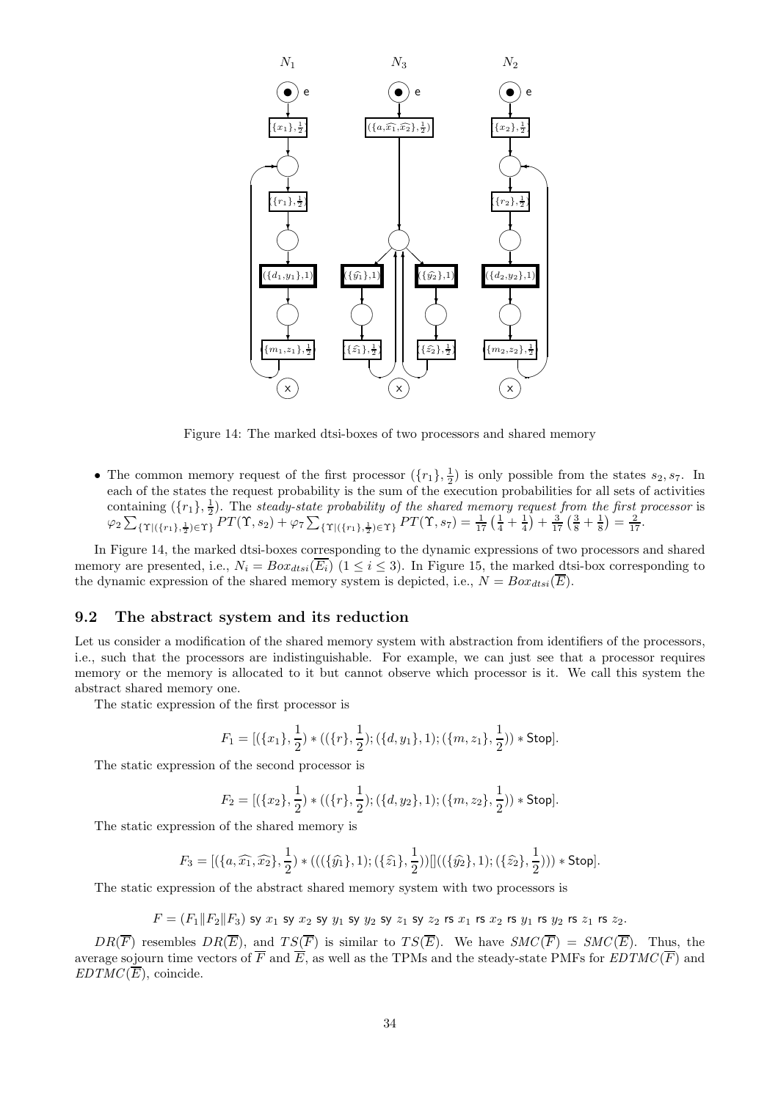

Figure 14: The marked dtsi-boxes of two processors and shared memory

• The common memory request of the first processor  $(\lbrace r_1 \rbrace, \frac{1}{2})$  is only possible from the states  $s_2, s_7$ . In each of the states the request probability is the sum of the execution probabilities for all sets of activities containing  $(\{r_1\},\frac{1}{2})$ . The steady-state probability of the shared memory request from the first processor is  $\varphi_2 \sum_{\{\Upsilon | \{(r_1),\frac{1}{2}\}\in\Upsilon\}} PT(\Upsilon,s_2) + \varphi_7 \sum_{\{\Upsilon | \{(r_1),\frac{1}{2}\}\in\Upsilon\}} PT(\Upsilon,s_7) = \frac{1}{17} \left(\frac{1}{4} + \frac{1}{4}\right) + \frac{3}{17} \left(\frac{3}{8} + \frac{1}{8}\right) = \frac{2}{17}.$ 

In Figure 14, the marked dtsi-boxes corresponding to the dynamic expressions of two processors and shared memory are presented, i.e.,  $N_i = Box_{dtsi}(\overline{E_i})$  ( $1 \leq i \leq 3$ ). In Figure 15, the marked dtsi-box corresponding to the dynamic expression of the shared memory system is depicted, i.e.,  $N = Box_{dtsi}(\overline{E})$ .

#### 9.2 The abstract system and its reduction

Let us consider a modification of the shared memory system with abstraction from identifiers of the processors, i.e., such that the processors are indistinguishable. For example, we can just see that a processor requires memory or the memory is allocated to it but cannot observe which processor is it. We call this system the abstract shared memory one.

The static expression of the first processor is

$$
F_1 = [(\{x_1\}, \frac{1}{2}) * ((\{r\}, \frac{1}{2}); (\{d, y_1\}, 1); (\{m, z_1\}, \frac{1}{2})) * \text{Stop}].
$$

The static expression of the second processor is

$$
F_2 = [(\{x_2\},\frac{1}{2}) * ((\{r\},\frac{1}{2});(\{d,y_2\},1);(\{m,z_2\},\frac{1}{2})) * \mathsf{Stop}].
$$

The static expression of the shared memory is

$$
F_3 = [(\{a,\widehat{x_1},\widehat{x_2}\},\frac{1}{2}) * (((\{\widehat{y_1}\},1);(\{\widehat{z_1}\},\frac{1}{2}))]]((\{\widehat{y_2}\},1);(\{\widehat{z_2}\},\frac{1}{2}))) * Stop].
$$

The static expression of the abstract shared memory system with two processors is

 $F = (F_1 \| F_2 \| F_3)$  sy  $x_1$  sy  $x_2$  sy  $y_1$  sy  $y_2$  sy  $z_1$  sy  $z_2$  rs  $x_1$  rs  $x_2$  rs  $y_1$  rs  $y_2$  rs  $z_1$  rs  $z_2$ .

 $DR(\overline{F})$  resembles  $DR(\overline{E})$ , and  $TS(\overline{F})$  is similar to  $TS(\overline{E})$ . We have  $SMC(\overline{F}) = SMC(\overline{E})$ . Thus, the average sojourn time vectors of  $\overline{F}$  and  $\overline{E}$ , as well as the TPMs and the steady-state PMFs for  $EDTMC(\overline{F})$  and  $EDTMC(\overline{E})$ , coincide.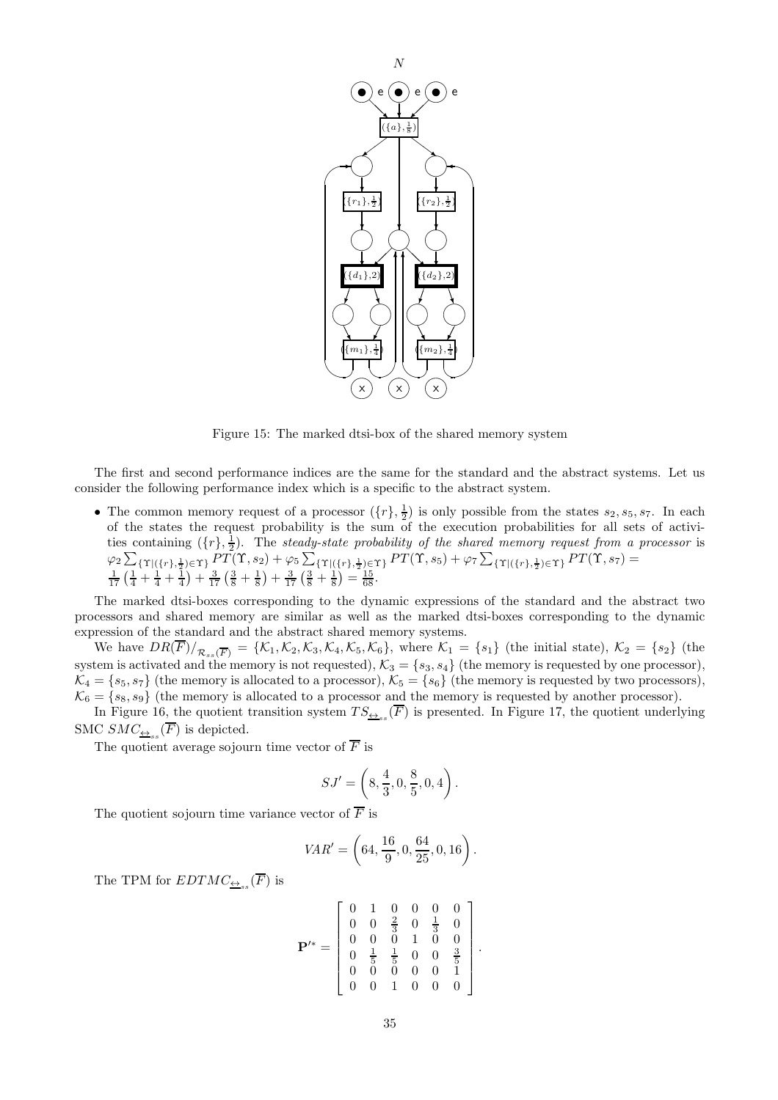

Figure 15: The marked dtsi-box of the shared memory system

The first and second performance indices are the same for the standard and the abstract systems. Let us consider the following performance index which is a specific to the abstract system.

• The common memory request of a processor  $({r}, \frac{1}{2})$  is only possible from the states  $s_2, s_5, s_7$ . In each of the states the request probability is the sum of the execution probabilities for all sets of activities containing  $({r}, \frac{1}{2})$ . The steady-state probability of the shared memory request from a processor is  $\varphi_2 \sum_{\{\Upsilon | (\{r\},\frac{1}{2}) \in \Upsilon\}} P\tilde{T}(\Upsilon,s_2) + \varphi_5 \sum_{\{\Upsilon | (\{r\},\frac{1}{2}) \in \Upsilon\}} P\tilde{T}(\Upsilon,s_5) + \varphi_7 \sum_{\{\Upsilon | (\{r\},\frac{1}{2}) \in \Upsilon\}} P\tilde{T}(\Upsilon,s_7) = \frac{1}{17} \left(\frac{1}{4} + \frac{1}{4} + \frac{1}{4}\right) + \frac{3}{17} \left(\frac{3}{8} + \frac{1}{8}\right) + \frac{3}{17} \left(\frac{3}{8} +$ 

The marked dtsi-boxes corresponding to the dynamic expressions of the standard and the abstract two processors and shared memory are similar as well as the marked dtsi-boxes corresponding to the dynamic expression of the standard and the abstract shared memory systems.

We have  $DR(F)/_{\mathcal{R}_{ss}(\overline{F})} = \{\mathcal{K}_1, \mathcal{K}_2, \mathcal{K}_3, \mathcal{K}_4, \mathcal{K}_5, \mathcal{K}_6\}$ , where  $\mathcal{K}_1 = \{s_1\}$  (the initial state),  $\mathcal{K}_2 = \{s_2\}$  (the system is activated and the memory is not requested),  $\mathcal{K}_3 = \{s_3, s_4\}$  (the memory is requested by one processor),  $\mathcal{K}_4 = \{s_5, s_7\}$  (the memory is allocated to a processor),  $\mathcal{K}_5 = \{s_6\}$  (the memory is requested by two processors),  $\mathcal{K}_6 = \{s_8, s_9\}$  (the memory is allocated to a processor and the memory is requested by another processor).

In Figure 16, the quotient transition system  $TS_{\triangleq_{ss}}(F)$  is presented. In Figure 17, the quotient underlying SMC  $SMC_{\underleftrightarrow{S}_{ss}}(F)$  is depicted.

The quotient average sojourn time vector of  $\overline{F}$  is

$$
SJ'=\left(8,\frac{4}{3},0,\frac{8}{5},0,4\right).
$$

The quotient sojourn time variance vector of  $\overline{F}$  is

$$
VAR' = \left(64, \frac{16}{9}, 0, \frac{64}{25}, 0, 16\right).
$$

The TPM for  $EDTMC_{\underline{\leftrightarrow}_{ss}}(F)$  is

$$
\mathbf{P}^{\prime*} = \left[ \begin{array}{cccccc} 0 & 1 & 0 & 0 & 0 & 0 \\ 0 & 0 & \frac{2}{3} & 0 & \frac{1}{3} & 0 \\ 0 & 0 & 0 & 1 & 0 & 0 \\ 0 & \frac{1}{5} & \frac{1}{5} & 0 & 0 & \frac{3}{5} \\ 0 & 0 & 0 & 0 & 0 & 1 \\ 0 & 0 & 1 & 0 & 0 & 0 \end{array} \right].
$$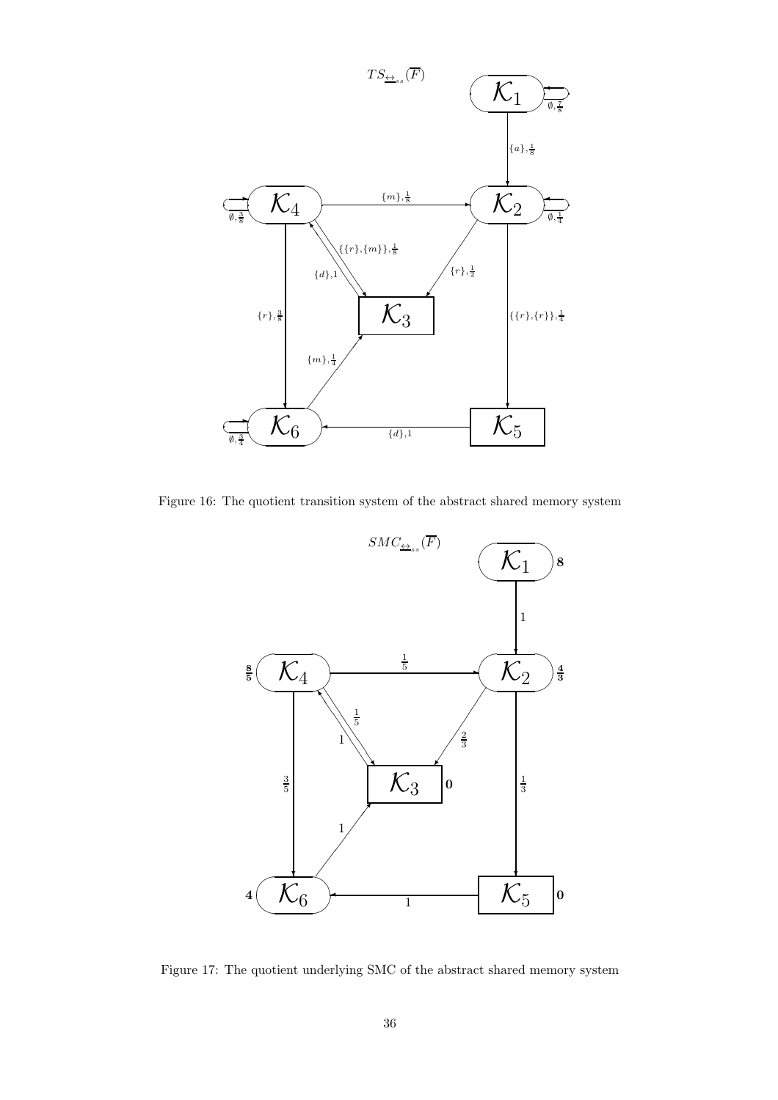

Figure 16: The quotient transition system of the abstract shared memory system



Figure 17: The quotient underlying SMC of the abstract shared memory system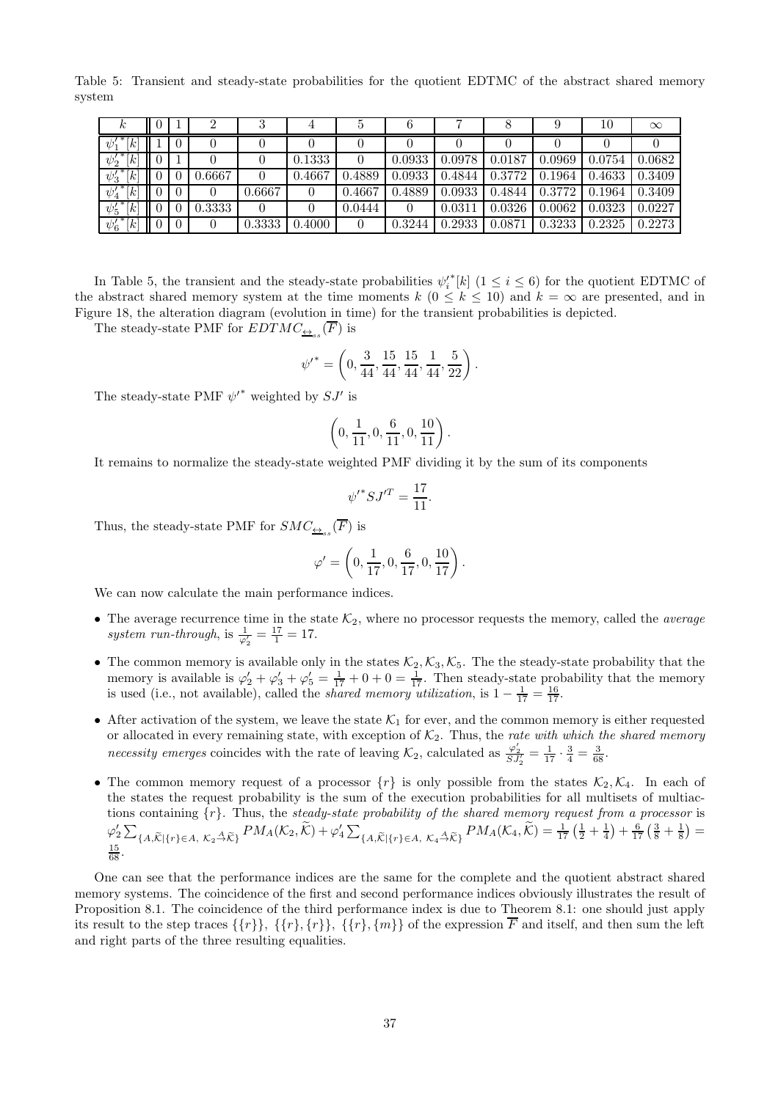Table 5: Transient and steady-state probabilities for the quotient EDTMC of the abstract shared memory system

| r                                                                                                                                                                                                                                                                                                                                                    |          |        |        |        |        |        |        |        |        | $10\,$ | $\infty$ |
|------------------------------------------------------------------------------------------------------------------------------------------------------------------------------------------------------------------------------------------------------------------------------------------------------------------------------------------------------|----------|--------|--------|--------|--------|--------|--------|--------|--------|--------|----------|
| ∗<br>$[k]% \centering \includegraphics[width=0.47\textwidth]{images/TrDiM-Architecture.png} \caption{The 3D (black) method is used to calculate the three different values of the parameter $\lambda$. The three different values of $k$-axis is shown in Fig. \ref{fig:10}. } \label{fig:TrDiM-Architecture}$<br>$\psi_1'$                          | $\theta$ |        |        |        |        |        |        |        |        |        |          |
| ${\psi'_2}^*[k]$                                                                                                                                                                                                                                                                                                                                     |          |        |        | 0.1333 |        | 0.0933 | 0.0978 | 0.0187 | 0.0969 | 0.0754 | 0.0682   |
| $\psi_3^{\prime\,*}$<br>$[k]% \centering \includegraphics[width=0.9\columnwidth]{figures/2011111111.pdf} \caption{The 3D (black) and the 4D (black) are shown in Fig. \ref{fig:10}.}% \label{fig:20}%$                                                                                                                                               | $\theta$ | 0.6667 |        | 0.4667 | 0.4889 | 0.0933 | 0.4844 | 0.3772 | 0.1964 | 0.4633 | 0.3409   |
| $\ast$<br>$[k]% \centering \includegraphics[width=0.9\columnwidth]{figures/2011111111.pdf} \caption{The 3D (black) and the 4D (black) are shown in Fig. \ref{fig:10}.}% \label{fig:20}%$<br>$\psi'_4$                                                                                                                                                | $\theta$ |        | 0.6667 |        | 0.4667 | 0.4889 | 0.0933 | 0.4844 | 0.3772 | 0.1964 | 0.3409   |
| ॱ∗<br>$[k]% \centering \includegraphics[width=0.9\columnwidth]{figures/201111111.pdf} \caption{The 3D (black) and the 4D (black) are shown in Fig. \ref{fig:10}.}% \label{fig:20}%$<br>$\psi'_5$                                                                                                                                                     | $\theta$ | 0.3333 |        |        | 0.0444 |        | 0.0311 | 0.0326 | 0.0062 | 0.0323 | 0.0227   |
| 7 *<br>$[k]% \centering \includegraphics[width=0.47\textwidth]{images/TrDiM-Architecture.png} \caption{The 3D (black) method is used for the case of the estimators. The three different values are indicated with the same parameters. The three different values are indicated with the same parameters.} \label{TrDiM-Architecture}$<br>$\psi'_6$ | $\theta$ | 0      | 0.3333 | 0.4000 | 0      | 0.3244 | 0.2933 | 0.0871 | 0.3233 | 0.2325 | 0.2273   |

In Table 5, the transient and the steady-state probabilities  $\psi_i^{*}[k]$  ( $1 \leq i \leq 6$ ) for the quotient EDTMC of the abstract shared memory system at the time moments  $k$  ( $0 \leq k \leq 10$ ) and  $k = \infty$  are presented, and in Figure 18, the alteration diagram (evolution in time) for the transient probabilities is depicted.

The steady-state PMF for  $EDTMC_{\underline{\leftrightarrow}_{ss}}(F)$  is

$$
{\psi'}^*=\left(0,\frac{3}{44},\frac{15}{44},\frac{15}{44},\frac{1}{44},\frac{5}{22}\right).
$$

The steady-state PMF  $\psi'^*$  weighted by  $SJ'$  is

$$
\left(0,\frac{1}{11},0,\frac{6}{11},0,\frac{10}{11}\right).
$$

It remains to normalize the steady-state weighted PMF dividing it by the sum of its components

$$
{\psi'}^* S J'^T = \frac{17}{11}.
$$

Thus, the steady-state PMF for  $SMC_{\underline{\leftrightarrow}_{ss}}(F)$  is

$$
\varphi'=\left(0,\frac{1}{17},0,\frac{6}{17},0,\frac{10}{17}\right).
$$

We can now calculate the main performance indices.

- The average recurrence time in the state  $\mathcal{K}_2$ , where no processor requests the memory, called the *average* system run-through, is  $\frac{1}{\varphi'_2} = \frac{17}{1} = 17$ .
- The common memory is available only in the states  $\mathcal{K}_2, \mathcal{K}_3, \mathcal{K}_5$ . The the steady-state probability that the memory is available is  $\varphi'_2 + \varphi'_3 + \varphi'_5 = \frac{1}{17} + 0 + 0 = \frac{1}{17}$ . Then steady-state probability that the memory is used (i.e., not available), called the *shared memory utilization*, is  $1 - \frac{1}{17} = \frac{16}{17}$ .
- After activation of the system, we leave the state  $\mathcal{K}_1$  for ever, and the common memory is either requested or allocated in every remaining state, with exception of  $K_2$ . Thus, the rate with which the shared memory necessity emerges coincides with the rate of leaving  $\mathcal{K}_2$ , calculated as  $\frac{\varphi'_2}{SJ'_2} = \frac{1}{17} \cdot \frac{3}{4} = \frac{3}{68}$ .
- The common memory request of a processor  $\{r\}$  is only possible from the states  $\mathcal{K}_2, \mathcal{K}_4$ . In each of the states the request probability is the sum of the execution probabilities for all multisets of multiactions containing  $\{r\}$ . Thus, the steady-state probability of the shared memory request from a processor is  $\varphi_2' \sum_{\{A, \widetilde{\mathcal{K}}\mid \{r\} \in A, \ K_2 \stackrel{A}{\to} \widetilde{\mathcal{K}}} P M_A(\mathcal{K}_2, \widetilde{\mathcal{K}}) + \varphi_4' \sum_{\{A, \widetilde{\mathcal{K}}\mid \{r\} \in A, \ K_4 \stackrel{A}{\to} \widetilde{\mathcal{K}}\}} P M_A(\mathcal{K}_4, \widetilde{\mathcal{K}}) = \frac{1}{17} \left(\frac{1}{2} + \frac{1}{4}\right) + \frac{6}{17} \left(\frac{3}{8} + \frac{1}{8}\right) =$  $\frac{15}{68}$ .

One can see that the performance indices are the same for the complete and the quotient abstract shared memory systems. The coincidence of the first and second performance indices obviously illustrates the result of Proposition 8.1. The coincidence of the third performance index is due to Theorem 8.1: one should just apply its result to the step traces  $\{\{r\}\}\$ ,  $\{\{r\}\$ ,  $\{\{r\}\}$ ,  $\{\{r\}\}$  of the expression  $\overline{F}$  and itself, and then sum the left and right parts of the three resulting equalities.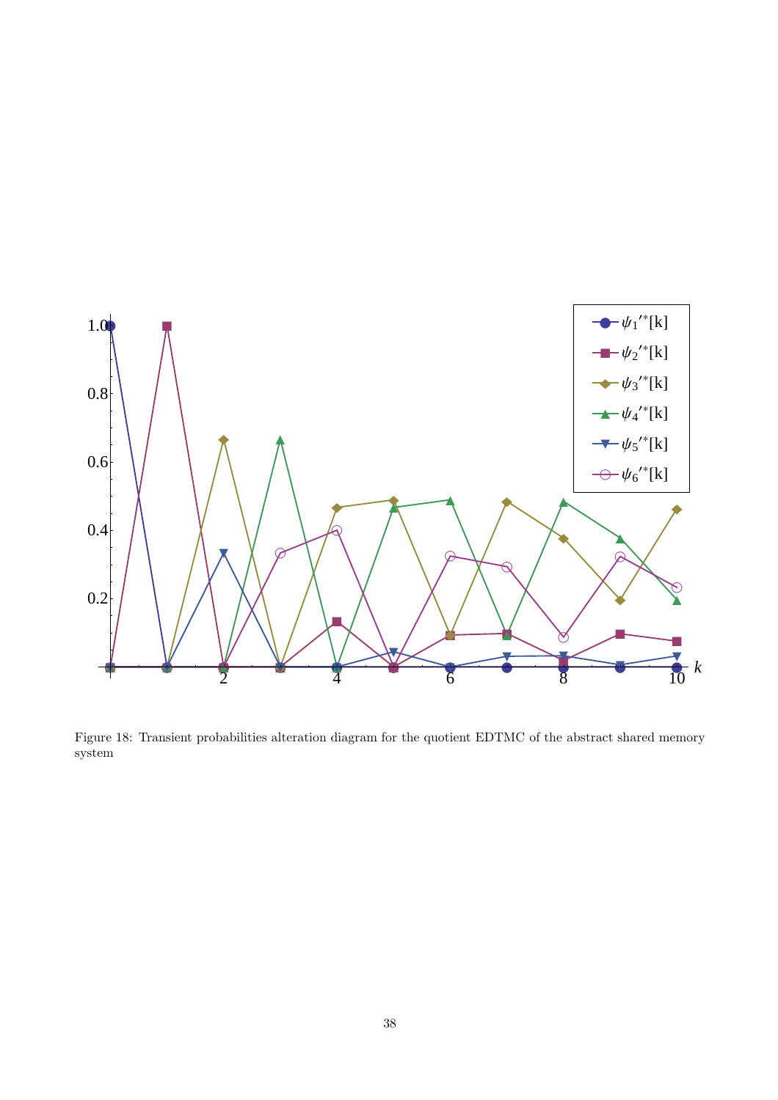

Figure 18: Transient probabilities alteration diagram for the quotient EDTMC of the abstract shared memory system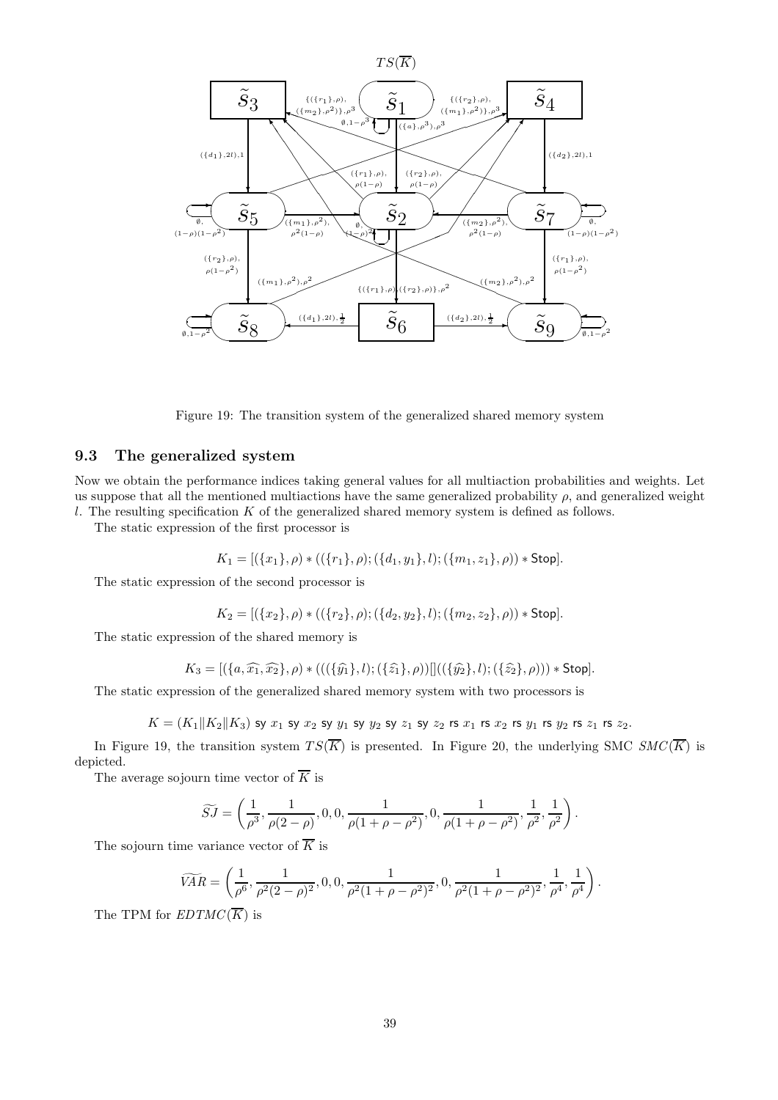

Figure 19: The transition system of the generalized shared memory system

#### 9.3 The generalized system

Now we obtain the performance indices taking general values for all multiaction probabilities and weights. Let us suppose that all the mentioned multiactions have the same generalized probability  $\rho$ , and generalized weight  $l$ . The resulting specification  $K$  of the generalized shared memory system is defined as follows.

The static expression of the first processor is

$$
K_1 = [(\{x_1\}, \rho) * ((\{r_1\}, \rho); (\{d_1, y_1\}, l); (\{m_1, z_1\}, \rho)) * Stop].
$$

The static expression of the second processor is

$$
K_2 = [(\{x_2\}, \rho) * ((\{r_2\}, \rho); (\{d_2, y_2\}, l); (\{m_2, z_2\}, \rho)) * Stop].
$$

The static expression of the shared memory is

$$
K_3 = [(\{a,\widehat{x_1},\widehat{x_2}\},\rho) * (((\{\widehat{y_1}\},l);(\{\widehat{z_1}\},\rho))]]((\{\widehat{y_2}\},l);(\{\widehat{z_2}\},\rho))) * Stop].
$$

The static expression of the generalized shared memory system with two processors is

$$
K=(K_1\|K_2\|K_3) \text{ sy } x_1 \text{ sy } x_2 \text{ sy } y_1 \text{ sy } y_2 \text{ sy } z_1 \text{ sy } z_2 \text{ rs } x_1 \text{ rs } x_2 \text{ rs } y_1 \text{ rs } y_2 \text{ rs } z_1 \text{ rs } z_2.
$$

In Figure 19, the transition system  $TS(\overline{K})$  is presented. In Figure 20, the underlying SMC  $SMC(\overline{K})$  is depicted.

The average sojourn time vector of  $\overline{K}$  is

$$
\widetilde{SJ} = \left(\frac{1}{\rho^3}, \frac{1}{\rho(2-\rho)}, 0, 0, \frac{1}{\rho(1+\rho-\rho^2)}, 0, \frac{1}{\rho(1+\rho-\rho^2)}, \frac{1}{\rho^2}, \frac{1}{\rho^2}\right).
$$

The sojourn time variance vector of  $\overline{K}$  is

$$
\widetilde{VAR} = \left(\frac{1}{\rho^6}, \frac{1}{\rho^2 (2-\rho)^2}, 0, 0, \frac{1}{\rho^2 (1+\rho-\rho^2)^2}, 0, \frac{1}{\rho^2 (1+\rho-\rho^2)^2}, \frac{1}{\rho^4}, \frac{1}{\rho^4}\right).
$$

The TPM for  $EDTMC(\overline{K})$  is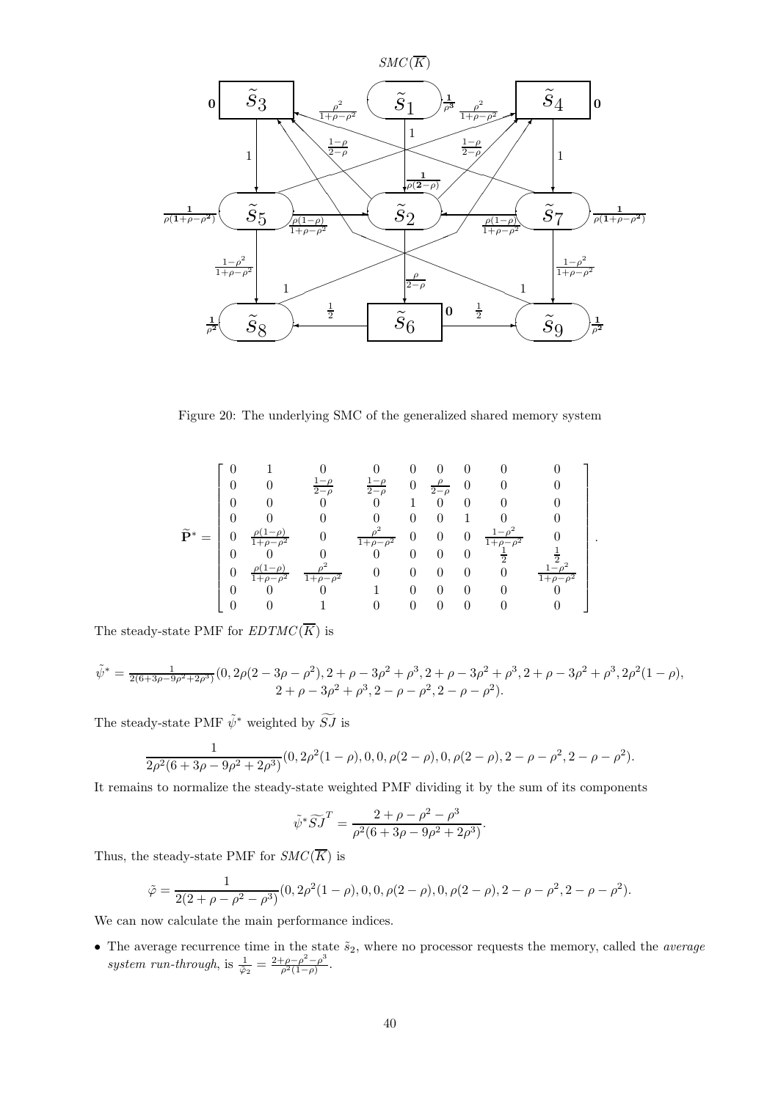

Figure 20: The underlying SMC of the generalized shared memory system

$$
\tilde{\mathbf{P}}^* = \begin{bmatrix} 0 & 1 & 0 & 0 & 0 & 0 & 0 & 0 & 0 \\ 0 & 0 & \frac{1-\rho}{2-\rho} & \frac{1-\rho}{2-\rho} & 0 & \frac{\rho}{2-\rho} & 0 & 0 & 0 \\ 0 & 0 & 0 & 0 & 1 & 0 & 0 & 0 & 0 \\ 0 & 0 & 0 & 0 & 0 & 0 & 1 & 0 & 0 \\ 0 & \frac{\rho(1-\rho)}{1+\rho-\rho^2} & 0 & \frac{\rho^2}{1+\rho-\rho^2} & 0 & 0 & 0 & \frac{1-\rho^2}{1+\rho-\rho^2} & 0 \\ 0 & 0 & 0 & 0 & 0 & 0 & 0 & \frac{1}{2} & \frac{1}{2} \\ 0 & \frac{\rho(1-\rho)}{1+\rho-\rho^2} & \frac{\rho^2}{1+\rho-\rho^2} & 0 & 0 & 0 & 0 & 0 & \frac{1-\rho^2}{1+\rho-\rho^2} \\ 0 & 0 & 0 & 1 & 0 & 0 & 0 & 0 & 0 \\ 0 & 0 & 0 & 1 & 0 & 0 & 0 & 0 & 0 \end{bmatrix}
$$

.

The steady-state PMF for  $EDTMC(\overline{K})$  is

$$
\tilde{\psi}^* = \frac{1}{2(6+3\rho-9\rho^2+2\rho^3)}(0, 2\rho(2-3\rho-\rho^2), 2+\rho-3\rho^2+\rho^3, 2+\rho-3\rho^2+\rho^3, 2+\rho-3\rho^2+\rho^3, 2\rho^2(1-\rho),
$$
  

$$
2+\rho-3\rho^2+\rho^3, 2-\rho-\rho^2, 2-\rho-\rho^2).
$$

The steady-state PMF  $\tilde{\psi}^*$  weighted by  $\widetilde{SJ}$  is

$$
\frac{1}{2\rho^2(6+3\rho-9\rho^2+2\rho^3)}(0, 2\rho^2(1-\rho), 0, 0, \rho(2-\rho), 0, \rho(2-\rho), 2-\rho-\rho^2, 2-\rho-\rho^2).
$$

It remains to normalize the steady-state weighted PMF dividing it by the sum of its components

$$
\tilde{\psi}^* \widetilde{S} \widetilde{J}^T = \frac{2 + \rho - \rho^2 - \rho^3}{\rho^2 (6 + 3\rho - 9\rho^2 + 2\rho^3)}.
$$

Thus, the steady-state PMF for  $SMC(\overline{K})$  is

$$
\tilde{\varphi} = \frac{1}{2(2+\rho-\rho^2-\rho^3)}(0, 2\rho^2(1-\rho), 0, 0, \rho(2-\rho), 0, \rho(2-\rho), 2-\rho-\rho^2, 2-\rho-\rho^2).
$$

We can now calculate the main performance indices.

• The average recurrence time in the state  $\tilde{s}_2$ , where no processor requests the memory, called the *average* system run-through, is  $\frac{1}{\tilde{\varphi}_2} = \frac{2+\rho-\rho^2-\rho^3}{\rho^2(1-\rho)}$  $\frac{\rho-\rho^{-}-\rho^{-}}{\rho^{2}(1-\rho)}$ .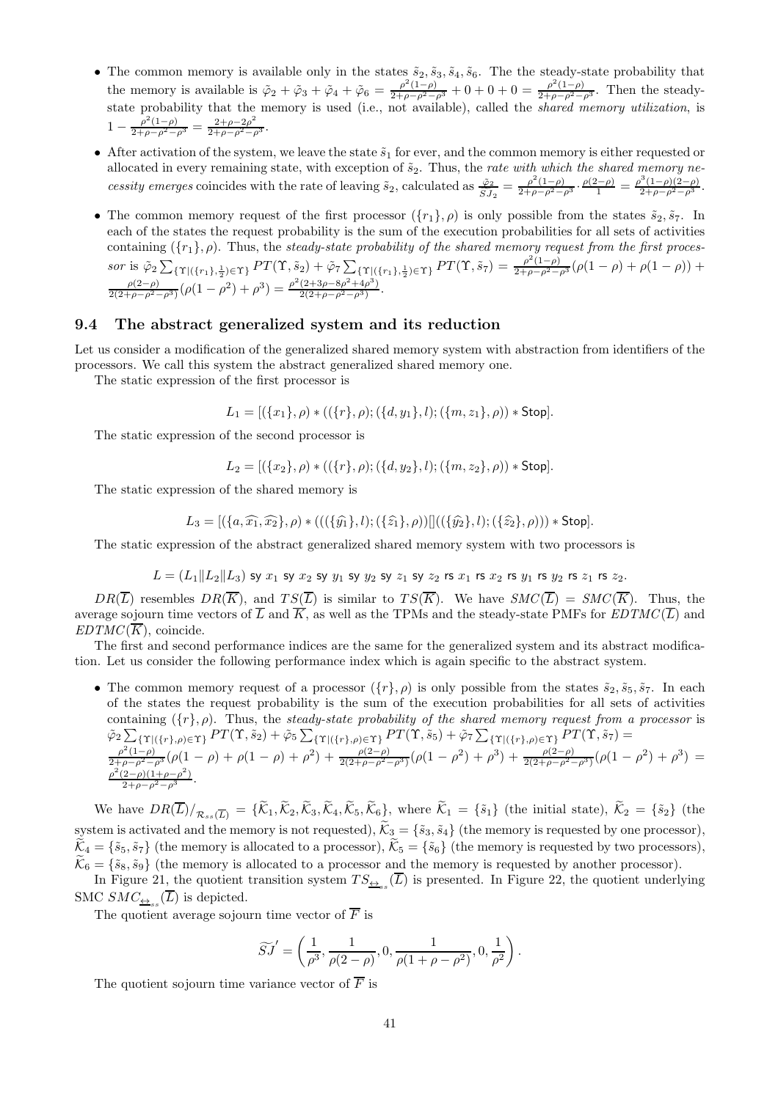- The common memory is available only in the states  $\tilde{s}_2, \tilde{s}_3, \tilde{s}_4, \tilde{s}_6$ . The the steady-state probability that the memory is available is  $\tilde{\varphi}_2 + \tilde{\varphi}_3 + \tilde{\varphi}_4 + \tilde{\varphi}_6 = \frac{\rho^2(1-\rho)}{2+\rho-\rho^2-\rho^3} + 0 + 0 + 0 = \frac{\rho^2(1-\rho)}{2+\rho-\rho^2-\rho^3}$ . Then the steadystate probability that the memory is used (i.e., not available), called the *shared memory utilization*, is  $1 - \frac{\rho^2 (1-\rho)}{2+\rho-\rho^2-\rho^3} = \frac{2+\rho-2\rho^2}{2+\rho-\rho^2-\rho^3}.$
- After activation of the system, we leave the state  $\tilde{s}_1$  for ever, and the common memory is either requested or allocated in every remaining state, with exception of  $\tilde{s}_2$ . Thus, the rate with which the shared memory necessity emerges coincides with the rate of leaving  $\tilde{s}_2$ , calculated as  $\frac{\tilde{\varphi}_2}{\tilde{S}J_2} = \frac{\rho^2(1-\rho)}{2+\rho-\rho^2-\rho^3} \cdot \frac{\rho(2-\rho)}{1} = \frac{\rho^3(1-\rho)(2-\rho)}{2+\rho-\rho^2-\rho^3}$ .
- The common memory request of the first processor  $({r_1}, \rho)$  is only possible from the states  $\tilde{s}_2, \tilde{s}_7$ . In each of the states the request probability is the sum of the execution probabilities for all sets of activities containing  $({r_1}, \rho)$ . Thus, the steady-state probability of the shared memory request from the first processor is  $\tilde{\varphi}_2 \sum_{\{\Upsilon | (\{r_1\},\frac{1}{2}) \in \Upsilon\}} PT(\Upsilon, \tilde{s}_2) + \tilde{\varphi}_7 \sum_{\{\Upsilon | (\{r_1\},\frac{1}{2}) \in \Upsilon\}} PT(\Upsilon, \tilde{s}_7) = \frac{\rho^2 (1-\rho)}{2+\rho-\rho^2-\rho^3} (\rho(1-\rho)+\rho(1-\rho)) +$  $\frac{\rho(2-\rho)}{2(2+\rho-\rho^2-\rho^3)}(\rho(1-\rho^2)+\rho^3)=\frac{\rho^2(2+3\rho-8\rho^2+4\rho^3)}{2(2+\rho-\rho^2-\rho^3)}.$

### 9.4 The abstract generalized system and its reduction

Let us consider a modification of the generalized shared memory system with abstraction from identifiers of the processors. We call this system the abstract generalized shared memory one.

The static expression of the first processor is

 $L_1 = \left[ (\{x_1\}, \rho) * ((\{r\}, \rho); (\{d, y_1\}, l); (\{m, z_1\}, \rho)) * \text{Stop} \right].$ 

The static expression of the second processor is

$$
L_2 = [(\{x_2\}, \rho) * ((\{r\}, \rho); (\{d, y_2\}, l); (\{m, z_2\}, \rho)) * \text{Stop}].
$$

The static expression of the shared memory is

$$
L_3 = [(\{a,\widehat{x_1},\widehat{x_2}\},\rho) * (((\{\widehat{y_1}\},l);(\{\widehat{z_1}\},\rho))]]((\{\widehat{y_2}\},l);(\{\widehat{z_2}\},\rho))) * Stop].
$$

The static expression of the abstract generalized shared memory system with two processors is

$$
L=(L_1\|L_2\|L_3) \text{ sy }x_1\text{ sy }x_2\text{ sy }y_1\text{ sy }y_2\text{ sy }z_1\text{ sy }z_2\text{ rs }x_1\text{ rs }x_2\text{ rs }y_1\text{ rs }y_2\text{ rs }z_1\text{ rs }z_2.
$$

 $DR(\overline{L})$  resembles  $DR(\overline{K})$ , and  $TS(\overline{L})$  is similar to  $TS(\overline{K})$ . We have  $SMC(\overline{L}) = SMC(\overline{K})$ . Thus, the average sojourn time vectors of  $\overline{L}$  and  $\overline{K}$ , as well as the TPMs and the steady-state PMFs for  $EDTMC(\overline{L})$  and  $EDTMC(K)$ , coincide.

The first and second performance indices are the same for the generalized system and its abstract modification. Let us consider the following performance index which is again specific to the abstract system.

• The common memory request of a processor  $({r}, \rho)$  is only possible from the states  $\tilde{s}_2, \tilde{s}_5, \tilde{s}_7$ . In each of the states the request probability is the sum of the execution probabilities for all sets of activities containing  $({r}, \rho)$ . Thus, the steady-state probability of the shared memory request from a processor is  $\tilde{\varphi}_2 \sum_{\{\Upsilon | (\{r\}, \rho) \in \Upsilon\}} PT(\Upsilon, \tilde{s}_2) + \tilde{\varphi}_5 \sum_{\{\Upsilon | (\{r\}, \rho) \in \Upsilon\}} PT(\Upsilon, \tilde{s}_5) + \tilde{\varphi}_7 \sum_{\{\Upsilon | (\{r\}, \rho) \in \Upsilon\}} PT(\Upsilon, \tilde{s}_7) =$  $\frac{\rho^2(1-\rho)}{2+\rho-\rho^2-\rho^3}(\rho(1-\rho)+\rho(1-\rho)+\rho^2)+\frac{\rho(2-\rho)}{2(2+\rho-\rho^2-\rho^3)}(\rho(1-\rho^2)+\rho^3)+\frac{\rho(2-\rho)}{2(2+\rho-\rho^2-\rho^3)}(\rho(1-\rho^2)+\rho^3)=$  $\frac{\rho^2(2-\rho)(1+\rho-\rho^2)}{2+\rho-\rho^2-\rho^3}.$ 

We have  $DR(\overline{L})/_{\mathcal{R}_{ss}(\overline{L})} = {\{\widetilde{\mathcal{K}}_1,\widetilde{\mathcal{K}}_2,\widetilde{\mathcal{K}}_3,\widetilde{\mathcal{K}}_4,\widetilde{\mathcal{K}}_5,\widetilde{\mathcal{K}}_6\}},$  where  $\widetilde{\mathcal{K}}_1 = {\{\widetilde{s}_1\}}$  (the initial state),  $\widetilde{\mathcal{K}}_2 = {\{\widetilde{s}_2\}}$  (the system is activated and the memory is not requested),  $\tilde{\mathcal{K}}_3 = \{\tilde{s}_3, \tilde{s}_4\}$  (the memory is requested by one processor),  $\tilde{\mathcal{K}}_4 = \{\tilde{s}_5, \tilde{s}_7\}$  (the memory is allocated to a processor),  $\tilde{\mathcal{K}}_5 = \{\tilde{s}_6\}$  (the memory is requested by two processors),  $\mathcal{K}_6 = {\tilde{s}_8, \tilde{s}_9}$  (the memory is allocated to a processor and the memory is requested by another processor).

In Figure 21, the quotient transition system  $TS_{\underleftrightarrow{s}}(L)$  is presented. In Figure 22, the quotient underlying SMC  $SMC_{\underbrace{\leftrightarrow}_{ss}}(L)$  is depicted.

The quotient average sojourn time vector of  $\overline{F}$  is

$$
\widetilde{SJ}' = \left(\frac{1}{\rho^3}, \frac{1}{\rho(2-\rho)}, 0, \frac{1}{\rho(1+\rho-\rho^2)}, 0, \frac{1}{\rho^2}\right).
$$

The quotient sojourn time variance vector of  $\overline{F}$  is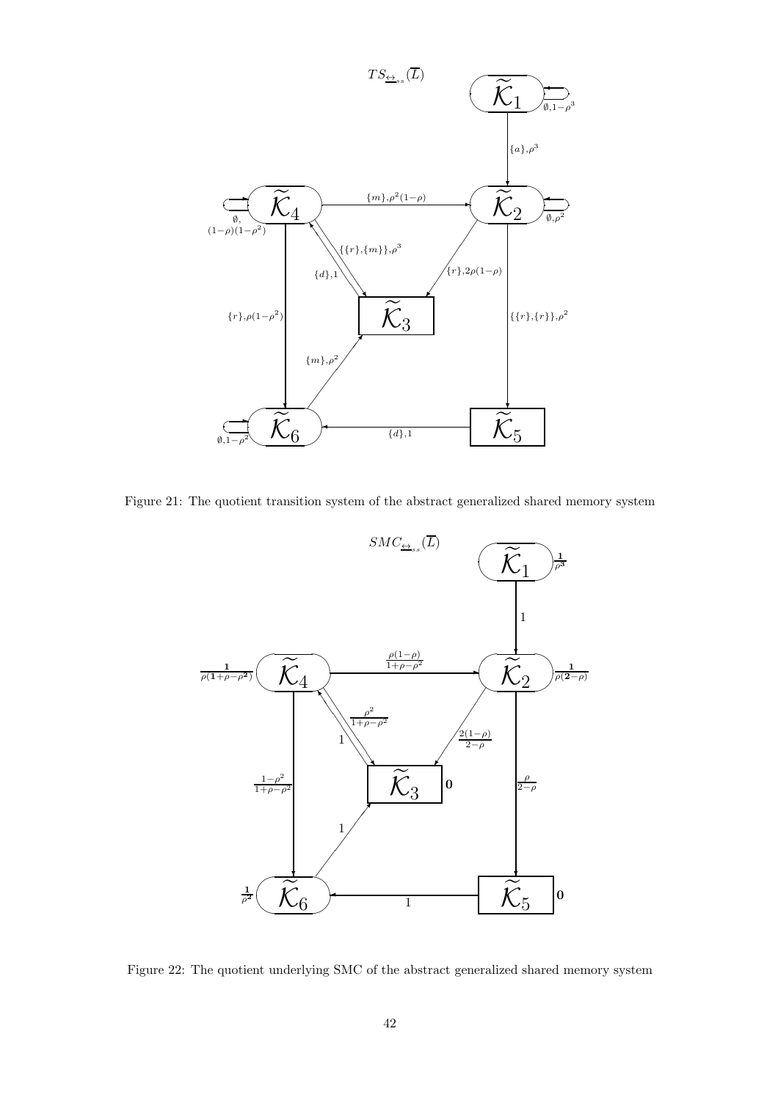

Figure 21: The quotient transition system of the abstract generalized shared memory system



Figure 22: The quotient underlying SMC of the abstract generalized shared memory system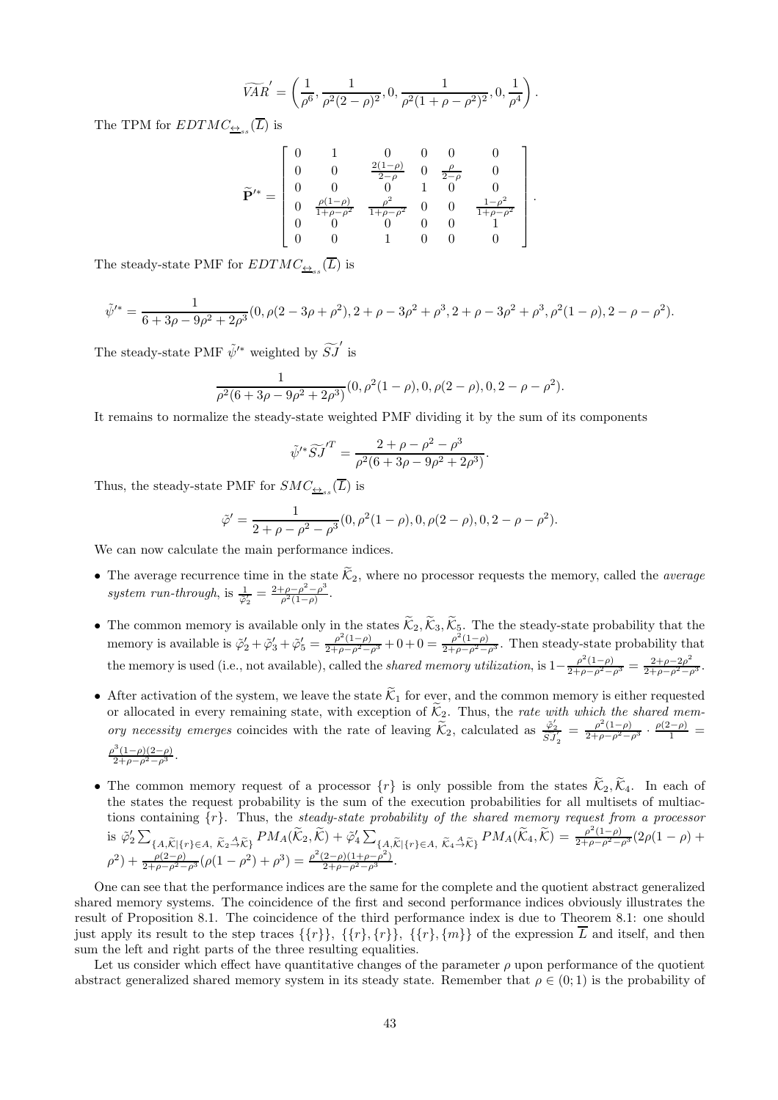$$
\widetilde{VAR}' = \left(\frac{1}{\rho^6}, \frac{1}{\rho^2 (2-\rho)^2}, 0, \frac{1}{\rho^2 (1+\rho-\rho^2)^2}, 0, \frac{1}{\rho^4}\right).
$$

The TPM for  $EDTMC_{\underline{\leftrightarrow}_{ss}}(L)$  is

$$
\widetilde{\mathbf{P}}'^{*} = \begin{bmatrix} 0 & 1 & 0 & 0 & 0 & 0 \\ 0 & 0 & \frac{2(1-\rho)}{2-\rho} & 0 & \frac{\rho}{2-\rho} & 0 \\ 0 & 0 & 0 & 1 & 0 & 0 \\ 0 & \frac{\rho(1-\rho)}{1+\rho-\rho^{2}} & \frac{\rho^{2}}{1+\rho-\rho^{2}} & 0 & 0 & \frac{1-\rho^{2}}{1+\rho-\rho^{2}} \\ 0 & 0 & 0 & 0 & 0 & 1 \\ 0 & 0 & 1 & 0 & 0 & 0 \end{bmatrix}
$$

.

The steady-state PMF for  $EDTMC_{\underline{\leftrightarrow}_{ss}}(L)$  is

$$
\tilde{\psi}'^* = \frac{1}{6 + 3\rho - 9\rho^2 + 2\rho^3} (0, \rho(2 - 3\rho + \rho^2), 2 + \rho - 3\rho^2 + \rho^3, 2 + \rho - 3\rho^2 + \rho^3, \rho^2(1 - \rho), 2 - \rho - \rho^2).
$$

The steady-state PMF  $\tilde{\psi}'^*$  weighted by  $\widetilde{SJ}'$  is

$$
\frac{1}{\rho^2(6+3\rho-9\rho^2+2\rho^3)}(0,\rho^2(1-\rho),0,\rho(2-\rho),0,2-\rho-\rho^2).
$$

It remains to normalize the steady-state weighted PMF dividing it by the sum of its components

$$
\tilde{\psi}'^* \widetilde{S} J^{'T} = \frac{2 + \rho - \rho^2 - \rho^3}{\rho^2 (6 + 3\rho - 9\rho^2 + 2\rho^3)}.
$$

Thus, the steady-state PMF for  $SMC_{\underline{\leftrightarrow}_{ss}}(L)$  is

$$
\tilde{\varphi}' = \frac{1}{2 + \rho - \rho^2 - \rho^3} (0, \rho^2 (1 - \rho), 0, \rho (2 - \rho), 0, 2 - \rho - \rho^2).
$$

We can now calculate the main performance indices.

- The average recurrence time in the state  $\mathcal{K}_2$ , where no processor requests the memory, called the *average* system run-through, is  $\frac{1}{\tilde{\varphi}_2} = \frac{2+\rho-\rho^2-\rho^3}{\rho^2(1-\rho)}$  $\frac{\rho-\rho-\rho}{\rho^2(1-\rho)}$ .
- The common memory is available only in the states  $\mathcal{K}_2, \mathcal{K}_3, \mathcal{K}_5$ . The the steady-state probability that the memory is available is  $\tilde{\varphi}'_2 + \tilde{\varphi}'_3 + \tilde{\varphi}'_5 = \frac{\rho^2(1-\rho)}{2+\rho-\rho^2-\rho^3} + 0 + 0 = \frac{\rho^2(1-\rho)}{2+\rho-\rho^2-\rho^3}$ . Then steady-state probability that the memory is used (i.e., not available), called the *shared memory utilization*, is  $1-\frac{\rho^2(1-\rho)}{2+\rho-\rho^2-\rho^3}=\frac{2+\rho-2\rho^2}{2+\rho-\rho^2-\rho^3}$ .
- After activation of the system, we leave the state  $\tilde{\mathcal{K}}_1$  for ever, and the common memory is either requested or allocated in every remaining state, with exception of  $\mathcal{K}_2$ . Thus, the rate with which the shared memory necessity emerges coincides with the rate of leaving  $\widetilde{\mathcal{K}}_2$ , calculated as  $\frac{\widetilde{\varphi}_2'}{\widetilde{SI}_2'} = \frac{\rho^2(1-\rho)}{2+\rho-\rho^2-\rho^3} \cdot \frac{\rho(2-\rho)}{1}$  $\frac{\rho^3(1-\rho)(2-\rho)}{2+\rho-\rho^2-\rho^3}.$
- The common memory request of a processor  $\{r\}$  is only possible from the states  $\widetilde{\mathcal{K}}_2, \widetilde{\mathcal{K}}_4$ . In each of the states the request probability is the sum of the execution probabilities for all multisets of multiactions containing  $\{r\}$ . Thus, the steady-state probability of the shared memory request from a processor is  $\tilde{\varphi}_2' \sum_{\{A, \tilde{\mathcal{K}} \mid \{r\} \in A, \ \tilde{\mathcal{K}}_2 \stackrel{\mathcal{A}}{\rightarrow} \tilde{\mathcal{K}}\}} PM_A(\tilde{\mathcal{K}}_2, \tilde{\mathcal{K}}) + \tilde{\varphi}_4' \sum_{\{A, \tilde{\mathcal{K}} \mid \{r\} \in A, \ \tilde{\mathcal{K}}_4 \stackrel{\mathcal{A}}{\rightarrow} \tilde{\mathcal{K}}\}} PM_A(\tilde{\mathcal{K}}_4, \tilde{\mathcal{K}}) = \frac{\rho^2(1-\rho)}{2+\rho-\rho^2-\rho^3}(2$  $\rho^2$ ) +  $\frac{\rho(2-\rho)}{2+\rho-\rho^2-\rho^3}(\rho(1-\rho^2)+\rho^3) = \frac{\rho^2(2-\rho)(1+\rho-\rho^2)}{2+\rho-\rho^2-\rho^3}.$

One can see that the performance indices are the same for the complete and the quotient abstract generalized shared memory systems. The coincidence of the first and second performance indices obviously illustrates the result of Proposition 8.1. The coincidence of the third performance index is due to Theorem 8.1: one should just apply its result to the step traces  $\{\{r\}\}, \{\{r\}, \{r\}\}, \{\{r\}, \{m\}\}\$  of the expression  $\overline{L}$  and itself, and then sum the left and right parts of the three resulting equalities.

Let us consider which effect have quantitative changes of the parameter  $\rho$  upon performance of the quotient abstract generalized shared memory system in its steady state. Remember that  $\rho \in (0, 1)$  is the probability of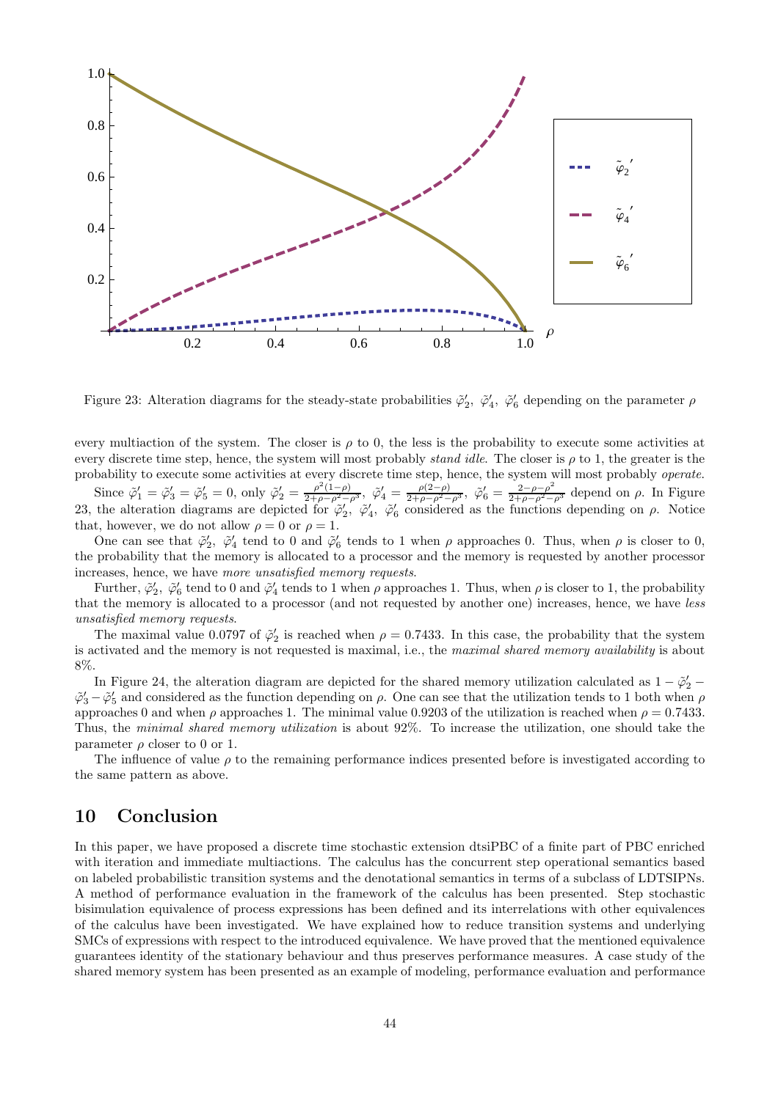

Figure 23: Alteration diagrams for the steady-state probabilities  $\tilde{\varphi}'_2$ ,  $\tilde{\varphi}'_4$ ,  $\tilde{\varphi}'_6$  depending on the parameter  $\rho$ 

every multiaction of the system. The closer is  $\rho$  to 0, the less is the probability to execute some activities at every discrete time step, hence, the system will most probably *stand idle*. The closer is  $\rho$  to 1, the greater is the probability to execute some activities at every discrete time step, hence, the system will most probably operate.

Since  $\tilde{\varphi}'_1 = \tilde{\varphi}'_3 = \tilde{\varphi}'_5 = 0$ , only  $\tilde{\varphi}'_2 = \frac{\rho^2(1-\rho)}{2+\rho-\rho^2-\rho^3}$ ,  $\tilde{\varphi}'_4 = \frac{\rho(2-\rho)}{2+\rho-\rho^2-\rho^3}$ ,  $\tilde{\varphi}'_6 = \frac{2-\rho-\rho^2}{2+\rho-\rho^2-\rho^3}$  depend on  $\rho$ . In Figure 23, the alteration diagrams are depicted for  $\tilde{\varphi}'_2$ ,  $\tilde{\varphi}'_4$ ,  $\tilde{\varphi}'_6$  considered as the functions depending on  $\rho$ . Notice that, however, we do not allow  $\rho = 0$  or  $\rho = 1$ .

One can see that  $\tilde{\varphi}'_2$ ,  $\tilde{\varphi}'_4$  tend to 0 and  $\tilde{\varphi}'_6$  tends to 1 when  $\rho$  approaches 0. Thus, when  $\rho$  is closer to 0, the probability that the memory is allocated to a processor and the memory is requested by another processor increases, hence, we have more unsatisfied memory requests.

Further,  $\tilde{\varphi}'_2$ ,  $\tilde{\varphi}'_6$  tend to 0 and  $\tilde{\varphi}'_4$  tends to 1 when  $\rho$  approaches 1. Thus, when  $\rho$  is closer to 1, the probability that the memory is allocated to a processor (and not requested by another one) increases, hence, we have less unsatisfied memory requests.

The maximal value 0.0797 of  $\tilde{\varphi}'_2$  is reached when  $\rho = 0.7433$ . In this case, the probability that the system is activated and the memory is not requested is maximal, i.e., the maximal shared memory availability is about 8%.

In Figure 24, the alteration diagram are depicted for the shared memory utilization calculated as  $1 - \tilde{\varphi}_2'$  $\tilde{\varphi}'_3-\tilde{\varphi}'_5$  and considered as the function depending on  $\rho$ . One can see that the utilization tends to 1 both when  $\rho$ approaches 0 and when  $\rho$  approaches 1. The minimal value 0.9203 of the utilization is reached when  $\rho = 0.7433$ . Thus, the minimal shared memory utilization is about 92%. To increase the utilization, one should take the parameter  $\rho$  closer to 0 or 1.

The influence of value  $\rho$  to the remaining performance indices presented before is investigated according to the same pattern as above.

# 10 Conclusion

In this paper, we have proposed a discrete time stochastic extension dtsiPBC of a finite part of PBC enriched with iteration and immediate multiactions. The calculus has the concurrent step operational semantics based on labeled probabilistic transition systems and the denotational semantics in terms of a subclass of LDTSIPNs. A method of performance evaluation in the framework of the calculus has been presented. Step stochastic bisimulation equivalence of process expressions has been defined and its interrelations with other equivalences of the calculus have been investigated. We have explained how to reduce transition systems and underlying SMCs of expressions with respect to the introduced equivalence. We have proved that the mentioned equivalence guarantees identity of the stationary behaviour and thus preserves performance measures. A case study of the shared memory system has been presented as an example of modeling, performance evaluation and performance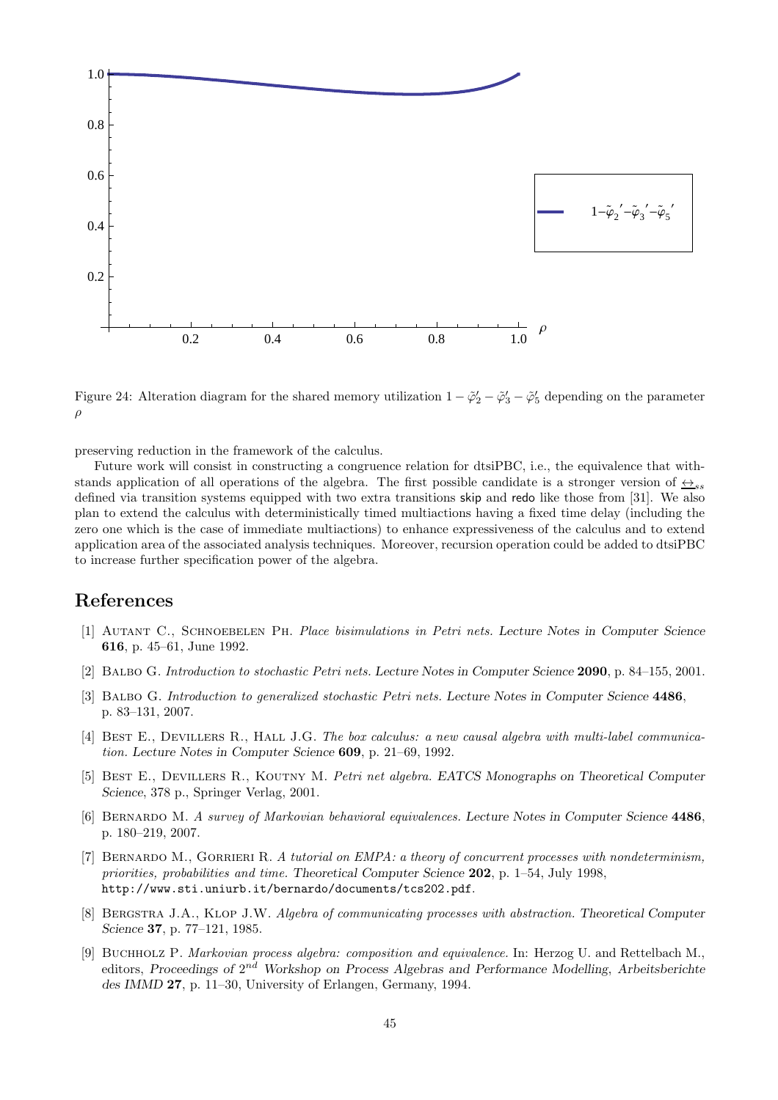

Figure 24: Alteration diagram for the shared memory utilization  $1-\tilde{\varphi}_2'-\tilde{\varphi}_3'-\tilde{\varphi}_5'$  depending on the parameter ρ

preserving reduction in the framework of the calculus.

Future work will consist in constructing a congruence relation for dtsiPBC, i.e., the equivalence that withstands application of all operations of the algebra. The first possible candidate is a stronger version of  $\leftrightarrow_{ss}$ defined via transition systems equipped with two extra transitions skip and redo like those from [31]. We also plan to extend the calculus with deterministically timed multiactions having a fixed time delay (including the zero one which is the case of immediate multiactions) to enhance expressiveness of the calculus and to extend application area of the associated analysis techniques. Moreover, recursion operation could be added to dtsiPBC to increase further specification power of the algebra.

### References

- [1] Autant C., Schnoebelen Ph. Place bisimulations in Petri nets. Lecture Notes in Computer Science 616, p. 45–61, June 1992.
- [2] Balbo G. Introduction to stochastic Petri nets. Lecture Notes in Computer Science 2090, p. 84–155, 2001.
- [3] BALBO G. Introduction to generalized stochastic Petri nets. Lecture Notes in Computer Science 4486, p. 83–131, 2007.
- [4] BEST E., DEVILLERS R., HALL J.G. The box calculus: a new causal algebra with multi-label communication. Lecture Notes in Computer Science 609, p. 21–69, 1992.
- [5] BEST E., DEVILLERS R., KOUTNY M. Petri net algebra. EATCS Monographs on Theoretical Computer Science, 378 p., Springer Verlag, 2001.
- [6] Bernardo M. A survey of Markovian behavioral equivalences. Lecture Notes in Computer Science 4486, p. 180–219, 2007.
- [7] BERNARDO M., GORRIERI R. A tutorial on EMPA: a theory of concurrent processes with nondeterminism, priorities, probabilities and time. Theoretical Computer Science 202, p. 1–54, July 1998, http://www.sti.uniurb.it/bernardo/documents/tcs202.pdf.
- [8] BERGSTRA J.A., KLOP J.W. Algebra of communicating processes with abstraction. Theoretical Computer Science 37, p. 77–121, 1985.
- [9] Buchholz P. Markovian process algebra: composition and equivalence. In: Herzog U. and Rettelbach M., editors, Proceedings of 2<sup>nd</sup> Workshop on Process Algebras and Performance Modelling, Arbeitsberichte des IMMD 27, p. 11–30, University of Erlangen, Germany, 1994.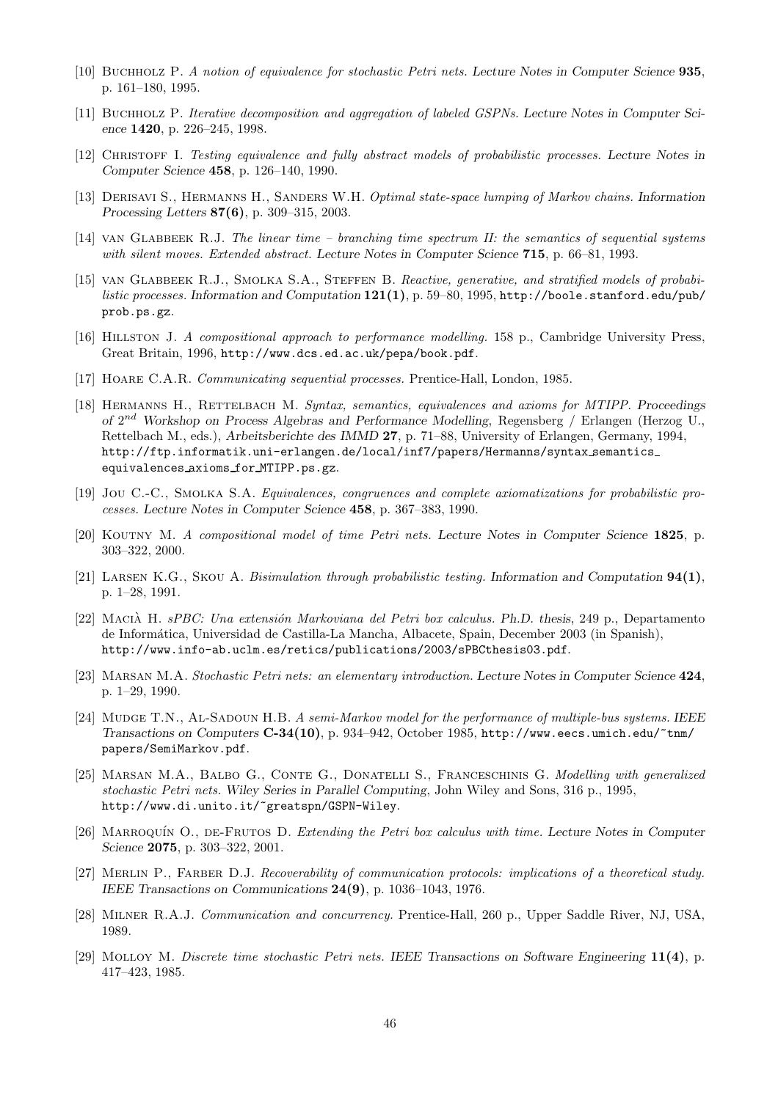- [10] Buchholz P. A notion of equivalence for stochastic Petri nets. Lecture Notes in Computer Science 935, p. 161–180, 1995.
- [11] Buchholz P. Iterative decomposition and aggregation of labeled GSPNs. Lecture Notes in Computer Science 1420, p. 226–245, 1998.
- [12] Christoff I. Testing equivalence and fully abstract models of probabilistic processes. Lecture Notes in Computer Science 458, p. 126–140, 1990.
- [13] DERISAVI S., HERMANNS H., SANDERS W.H. *Optimal state-space lumping of Markov chains.* Information Processing Letters 87(6), p. 309–315, 2003.
- [14] van Glabbeek R.J. The linear time branching time spectrum II: the semantics of sequential systems with silent moves. Extended abstract. Lecture Notes in Computer Science 715, p. 66–81, 1993.
- [15] VAN GLABBEEK R.J., SMOLKA S.A., STEFFEN B. Reactive, generative, and stratified models of probabilistic processes. Information and Computation  $121(1)$ , p. 59–80, 1995, http://boole.stanford.edu/pub/ prob.ps.gz.
- [16] Hillston J. A compositional approach to performance modelling. 158 p., Cambridge University Press, Great Britain, 1996, http://www.dcs.ed.ac.uk/pepa/book.pdf.
- [17] Hoare C.A.R. Communicating sequential processes. Prentice-Hall, London, 1985.
- [18] HERMANNS H., RETTELBACH M. Syntax, semantics, equivalences and axioms for MTIPP. Proceedings of  $2^{nd}$  Workshop on Process Algebras and Performance Modelling, Regensberg / Erlangen (Herzog U., Rettelbach M., eds.), Arbeitsberichte des IMMD 27, p. 71–88, University of Erlangen, Germany, 1994, http://ftp.informatik.uni-erlangen.de/local/inf7/papers/Hermanns/syntax semantics equivalences axioms for MTIPP.ps.gz.
- [19] JOU C.-C., SMOLKA S.A. Equivalences, congruences and complete axiomatizations for probabilistic processes. Lecture Notes in Computer Science 458, p. 367–383, 1990.
- [20] KOUTNY M. A compositional model of time Petri nets. Lecture Notes in Computer Science 1825, p. 303–322, 2000.
- [21] LARSEN K.G., SKOU A. Bisimulation through probabilistic testing. Information and Computation  $94(1)$ , p. 1–28, 1991.
- [22] MACIÀ H. sPBC: Una extensión Markoviana del Petri box calculus. Ph.D. thesis, 249 p., Departamento de Inform´atica, Universidad de Castilla-La Mancha, Albacete, Spain, December 2003 (in Spanish), http://www.info-ab.uclm.es/retics/publications/2003/sPBCthesis03.pdf.
- [23] MARSAN M.A. Stochastic Petri nets: an elementary introduction. Lecture Notes in Computer Science 424, p. 1–29, 1990.
- [24] Mudge T.N., Al-Sadoun H.B. A semi-Markov model for the performance of multiple-bus systems. IEEE Transactions on Computers C-34(10), p. 934–942, October 1985, http://www.eecs.umich.edu/~tnm/ papers/SemiMarkov.pdf.
- [25] MARSAN M.A., BALBO G., CONTE G., DONATELLI S., FRANCESCHINIS G. Modelling with generalized stochastic Petri nets. Wiley Series in Parallel Computing, John Wiley and Sons, 316 p., 1995, http://www.di.unito.it/~greatspn/GSPN-Wiley.
- [26] MARROQUÍN O., DE-FRUTOS D. Extending the Petri box calculus with time. Lecture Notes in Computer Science 2075, p. 303–322, 2001.
- [27] Merlin P., Farber D.J. Recoverability of communication protocols: implications of a theoretical study. IEEE Transactions on Communications 24(9), p. 1036–1043, 1976.
- [28] Milner R.A.J. Communication and concurrency. Prentice-Hall, 260 p., Upper Saddle River, NJ, USA, 1989.
- [29] Molloy M. Discrete time stochastic Petri nets. IEEE Transactions on Software Engineering 11(4), p. 417–423, 1985.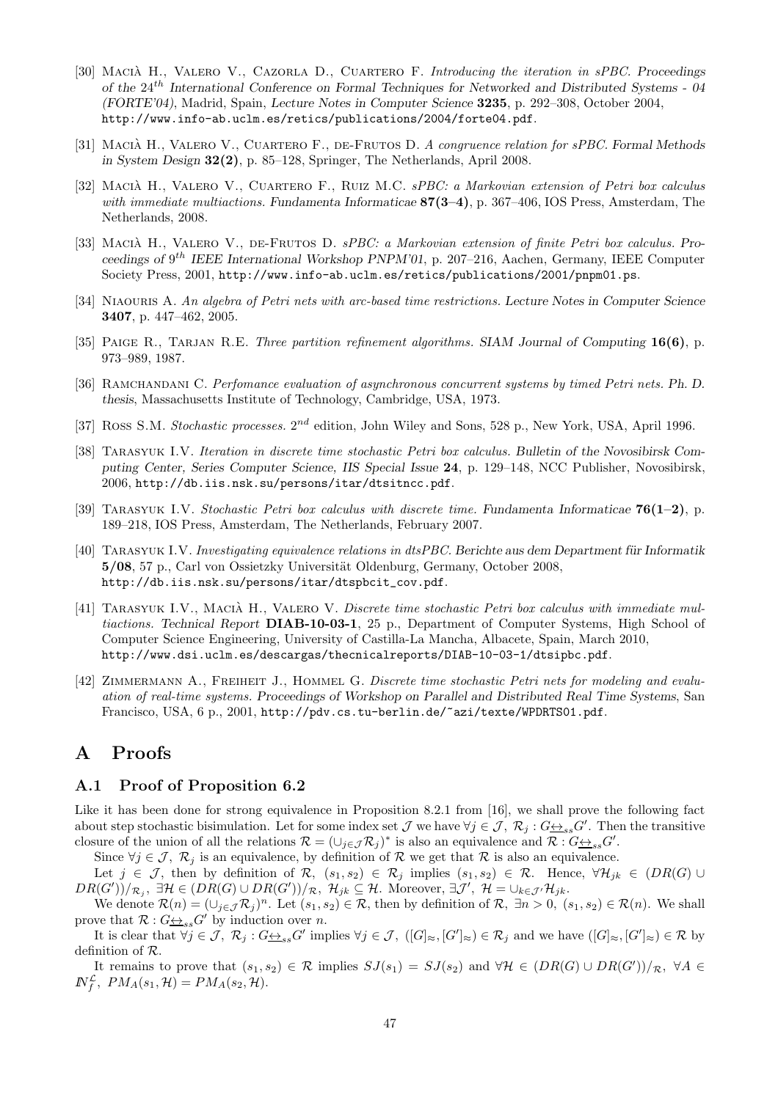- [30] MACIÀ H., VALERO V., CAZORLA D., CUARTERO F. Introducing the iteration in sPBC. Proceedings of the 24th International Conference on Formal Techniques for Networked and Distributed Systems - 04 (FORTE'04), Madrid, Spain, Lecture Notes in Computer Science 3235, p. 292–308, October 2004, http://www.info-ab.uclm.es/retics/publications/2004/forte04.pdf.
- [31] MACIÀ H., VALERO V., CUARTERO F., DE-FRUTOS D. A congruence relation for sPBC. Formal Methods in System Design 32(2), p. 85–128, Springer, The Netherlands, April 2008.
- [32] MACIÀ H., VALERO V., CUARTERO F., RUIZ M.C. sPBC: a Markovian extension of Petri box calculus with immediate multiactions. Fundamenta Informaticae  $87(3-4)$ , p. 367-406, IOS Press, Amsterdam, The Netherlands, 2008.
- [33] MACIÀ H., VALERO V., DE-FRUTOS D. sPBC: a Markovian extension of finite Petri box calculus. Proceedings of 9<sup>th</sup> IEEE International Workshop PNPM'01, p. 207-216, Aachen, Germany, IEEE Computer Society Press, 2001, http://www.info-ab.uclm.es/retics/publications/2001/pnpm01.ps.
- [34] NIAOURIS A. An algebra of Petri nets with arc-based time restrictions. Lecture Notes in Computer Science 3407, p. 447–462, 2005.
- [35] PAIGE R., TARJAN R.E. Three partition refinement algorithms. SIAM Journal of Computing  $16(6)$ , p. 973–989, 1987.
- [36] RAMCHANDANI C. Perfomance evaluation of asynchronous concurrent systems by timed Petri nets. Ph. D. thesis, Massachusetts Institute of Technology, Cambridge, USA, 1973.
- [37] Ross S.M. Stochastic processes.  $2^{nd}$  edition, John Wiley and Sons, 528 p., New York, USA, April 1996.
- [38] Tarasyuk I.V. Iteration in discrete time stochastic Petri box calculus. Bulletin of the Novosibirsk Computing Center, Series Computer Science, IIS Special Issue 24, p. 129–148, NCC Publisher, Novosibirsk, 2006, http://db.iis.nsk.su/persons/itar/dtsitncc.pdf.
- [39] TARASYUK I.V. Stochastic Petri box calculus with discrete time. Fundamenta Informaticae  $76(1-2)$ , p. 189–218, IOS Press, Amsterdam, The Netherlands, February 2007.
- [40] TARASYUK I.V. Investigating equivalence relations in dtsPBC. Berichte aus dem Department für Informatik 5/08, 57 p., Carl von Ossietzky Universität Oldenburg, Germany, October 2008, http://db.iis.nsk.su/persons/itar/dtspbcit\_cov.pdf.
- [41] TARASYUK I.V., MACIÀ H., VALERO V. Discrete time stochastic Petri box calculus with immediate multiactions. Technical Report DIAB-10-03-1, 25 p., Department of Computer Systems, High School of Computer Science Engineering, University of Castilla-La Mancha, Albacete, Spain, March 2010, http://www.dsi.uclm.es/descargas/thecnicalreports/DIAB-10-03-1/dtsipbc.pdf.
- [42] ZIMMERMANN A., FREIHEIT J., HOMMEL G. Discrete time stochastic Petri nets for modeling and evaluation of real-time systems. Proceedings of Workshop on Parallel and Distributed Real Time Systems, San Francisco, USA, 6 p., 2001, http://pdv.cs.tu-berlin.de/~azi/texte/WPDRTS01.pdf.

# A Proofs

#### A.1 Proof of Proposition 6.2

Like it has been done for strong equivalence in Proposition 8.2.1 from [16], we shall prove the following fact about step stochastic bisimulation. Let for some index set  $\mathcal J$  we have  $\forall j \in \mathcal J$ ,  $\mathcal R_j$ :  $G \underline{\leftrightarrow}_{ss} G'$ . Then the transitive closure of the union of all the relations  $\mathcal{R} = (\cup_{j \in \mathcal{J}} \mathcal{R}_j)^*$  is also an equivalence and  $\mathcal{R} : G \rightarrow S} G'$ .

Since  $\forall j \in \mathcal{J}, \mathcal{R}_j$  is an equivalence, by definition of R we get that R is also an equivalence.

Let  $j \in \mathcal{J}$ , then by definition of  $\mathcal{R}$ ,  $(s_1, s_2) \in \mathcal{R}_j$  implies  $(s_1, s_2) \in \mathcal{R}$ . Hence,  $\forall \mathcal{H}_{jk} \in (DR(G) \cup$  $DR(G'))/_{\mathcal{R}_j}$ ,  $\exists \mathcal{H} \in (DR(G) \cup DR(G'))/_{\mathcal{R}}$ ,  $\mathcal{H}_{jk} \subseteq \mathcal{H}$ . Moreover,  $\exists \mathcal{J}', \mathcal{H} = \cup_{k \in \mathcal{J}'} \mathcal{H}_{jk}$ .

We denote  $\mathcal{R}(n) = (\cup_{j \in \mathcal{J}} \mathcal{R}_j)^n$ . Let  $(s_1, s_2) \in \mathcal{R}$ , then by definition of  $\mathcal{R}, \exists n > 0, (s_1, s_2) \in \mathcal{R}(n)$ . We shall prove that  $\mathcal{R}: G \leftrightarrow_{ss} G'$  by induction over *n*.

It is clear that  $\forall j \in \mathcal{J}, \ \mathcal{R}_j : G \underline{\leftrightarrow}_{ss} G'$  implies  $\forall j \in \mathcal{J}, \ ([G]_{\approx}, [G']_{\approx}) \in \mathcal{R}_j$  and we have  $([G]_{\approx}, [G']_{\approx}) \in \mathcal{R}$  by definition of R.

It remains to prove that  $(s_1, s_2) \in \mathcal{R}$  implies  $SJ(s_1) = SJ(s_2)$  and  $\forall \mathcal{H} \in (DR(G) \cup DR(G'))/_{\mathcal{R}}$ ,  $\forall A \in$  $N_f^{\mathcal{L}}, \ PM_A(s_1, \mathcal{H}) = PM_A(s_2, \mathcal{H}).$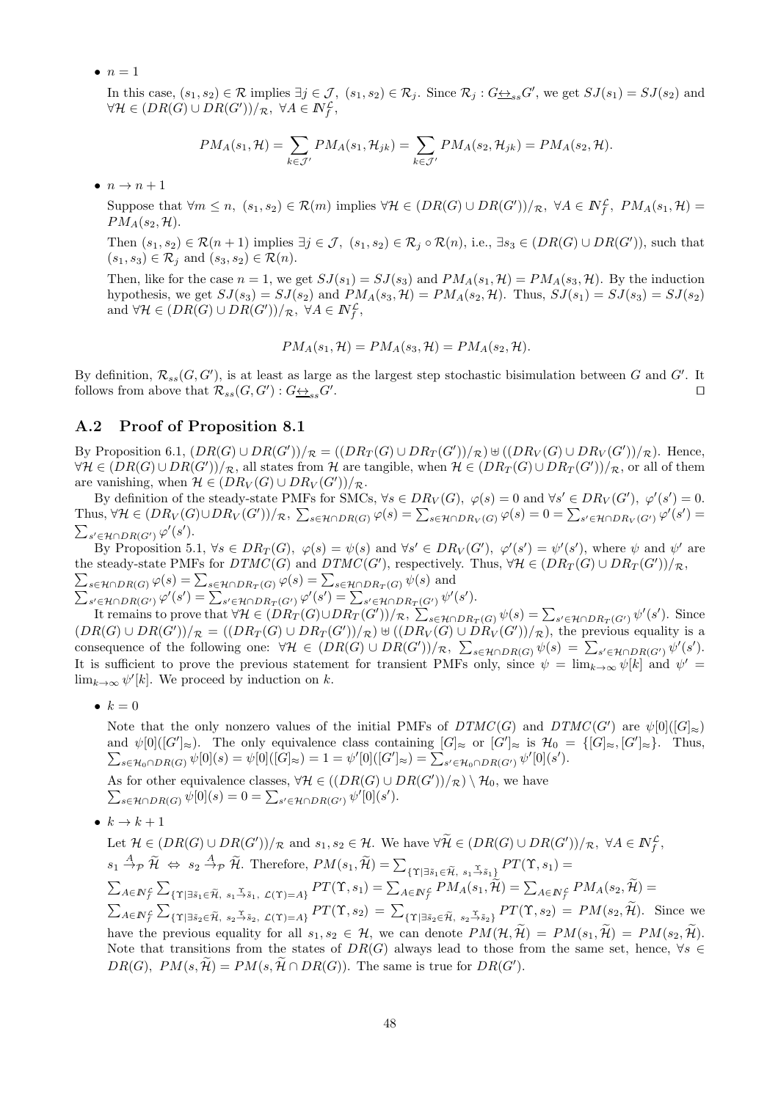$\bullet$   $n=1$ 

In this case,  $(s_1, s_2) \in \mathcal{R}$  implies  $\exists j \in \mathcal{J}$ ,  $(s_1, s_2) \in \mathcal{R}_j$ . Since  $\mathcal{R}_j : G \underline{\leftrightarrow}_{ss} G'$ , we get  $SJ(s_1) = SJ(s_2)$  and  $\forall \mathcal{H} \in (DR(G) \cup DR(G'))/\mathcal{R}, \ \forall A \in \mathbb{N}^{\mathcal{L}}_f,$ 

$$
PM_A(s_1, \mathcal{H}) = \sum_{k \in \mathcal{J}'} PM_A(s_1, \mathcal{H}_{jk}) = \sum_{k \in \mathcal{J}'} PM_A(s_2, \mathcal{H}_{jk}) = PM_A(s_2, \mathcal{H}).
$$

 $\bullet$   $n \rightarrow n+1$ 

Suppose that  $\forall m \leq n$ ,  $(s_1, s_2) \in \mathcal{R}(m)$  implies  $\forall \mathcal{H} \in (DR(G) \cup DR(G'))/\mathcal{R}$ ,  $\forall A \in \mathbb{N}_f^{\mathcal{L}}$ ,  $PM_A(s_1, \mathcal{H})$  $PM_A(s_2, \mathcal{H}).$ 

Then  $(s_1, s_2) \in \mathcal{R}(n+1)$  implies  $\exists j \in \mathcal{J}, (s_1, s_2) \in \mathcal{R}_j \circ \mathcal{R}(n)$ , i.e.,  $\exists s_3 \in (DR(G) \cup DR(G'))$ , such that  $(s_1, s_3) \in \mathcal{R}_i$  and  $(s_3, s_2) \in \mathcal{R}(n)$ .

Then, like for the case  $n = 1$ , we get  $SJ(s_1) = SJ(s_3)$  and  $PM_A(s_1, \mathcal{H}) = PM_A(s_3, \mathcal{H})$ . By the induction hypothesis, we get  $SJ(s_3) = SJ(s_2)$  and  $PM_A(s_3, \mathcal{H}) = PM_A(s_2, \mathcal{H})$ . Thus,  $SJ(s_1) = SJ(s_3) = SJ(s_2)$ and  $\forall \mathcal{H} \in (DR(G) \cup DR(G'))/\mathcal{R}, \ \forall A \in \mathbb{N}^{\mathcal{L}}_f,$ 

$$
PM_A(s_1, \mathcal{H}) = PM_A(s_3, \mathcal{H}) = PM_A(s_2, \mathcal{H}).
$$

By definition,  $\mathcal{R}_{ss}(G, G')$ , is at least as large as the largest step stochastic bisimulation between G and G'. It follows from above that  $\mathcal{R}_{ss}(G, G') : G \rightarrow S_{ss} G'$ . ⊓⊔

### A.2 Proof of Proposition 8.1

By Proposition 6.1,  $(DR(G) \cup DR(G'))/_{\mathcal{R}} = ((DR_T(G) \cup DR_T(G'))/_{\mathcal{R}}) \cup ((DR_V(G) \cup DR_V(G'))/_{\mathcal{R}})$ . Hence,  $\forall H \in (DR(G) \cup DR(G'))/R$ , all states from H are tangible, when  $\mathcal{H} \in (DR_T(G) \cup DR_T(G'))/R$ , or all of them are vanishing, when  $\mathcal{H} \in (DR_V(G) \cup DR_V(G'))/R$ .

By definition of the steady-state PMFs for SMCs,  $\forall s \in DR_V(G)$ ,  $\varphi(s) = 0$  and  $\forall s' \in DR_V(G')$ ,  $\varphi'(s') = 0$ . Thus,  $\forall \mathcal{H} \in (DR_V(G) \cup DR_V(G'))/R$ ,  $\sum_{s \in \mathcal{H} \cap DR(G)} \varphi(s) = \sum_{s \in \mathcal{H} \cap DR_V(G)} \varphi(s) = 0 = \sum_{s' \in \mathcal{H} \cap DR_V(G') } \varphi'(s') =$  $\sum_{s' \in \mathcal{H} \cap DR(G')} \varphi'(s').$ 

By Proposition 5.1,  $\forall s \in DR_T(G)$ ,  $\varphi(s) = \psi(s)$  and  $\forall s' \in DR_V(G')$ ,  $\varphi'(s') = \psi'(s')$ , where  $\psi$  and  $\psi'$  are the steady-state PMFs for  $DTMC(G)$  and  $DTMC(G')$ , respectively. Thus,  $\forall H \in (DR_T(G) \cup DR_T(G'))/R$ ,  $\sum_{s\in\mathcal{H}\cap DR(G)}\varphi(s)=\sum_{s\in\mathcal{H}\cap DR_T(G)}\varphi(s)=\sum_{s\in\mathcal{H}\cap DR_T(G)}\psi(s)$  and  $\sum_{s' \in \mathcal{H} \cap DR_{}(G')} \varphi'(s') = \sum_{s' \in \mathcal{H} \cap DR_T(G')} \varphi'(s') = \sum_{s' \in \mathcal{H} \cap DR_T(G')} \psi'(s').$ 

It remains to prove that  $\forall H \in (DR_T(G) \cup DR_T(G'))/R$ ,  $\sum_{s \in \mathcal{H} \cap DR_T(G)} \psi(s) = \sum_{s' \in \mathcal{H} \cap DR_T(G')} \psi'(s')$ . Since  $(DR(G) \cup DR(G'))/R = ((DR_T(G) \cup DR_T(G'))/R) \cup ( (DR_V(G) \cup DR_V(G'))/R)$ , the previous equality is a consequence of the following one:  $\forall H \in (DR(G) \cup DR(G'))/\mathcal{R}, \sum_{s \in \mathcal{H} \cap DR(G)} \psi(s) = \sum_{s' \in \mathcal{H} \cap DR(G')} \psi'(s')$ . It is sufficient to prove the previous statement for transient PMFs only, since  $\psi = \lim_{k\to\infty} \psi[k]$  and  $\psi' =$  $\lim_{k\to\infty}\psi'[k]$ . We proceed by induction on k.

•  $k = 0$ 

Note that the only nonzero values of the initial PMFs of  $DTMC(G)$  and  $DTMC(G')$  are  $\psi[0]([G]_{\approx})$ and  $\psi[0]([G']_{\approx})$ . The only equivalence class containing  $[G]_{\approx}$  or  $[G']_{\approx}$  is  $\mathcal{H}_0 = \{[G]_{\approx}, [G']_{\approx}\}.$  Thus,  $\sum_{s \in \mathcal{H}_0 \cap DR(G)} \psi[0](s) = \psi[0]([G]_{\approx}) = 1 = \psi'[0]([G']_{\approx}) = \sum_{s' \in \mathcal{H}_0 \cap DR(G')} \psi'[0](s').$ 

As for other equivalence classes,  $\forall H \in ((DR(G) \cup DR(G'))/\mathcal{R}) \setminus \mathcal{H}_0$ , we have  $\sum_{s \in \mathcal{H} \cap DR(G)} \psi[0](s) = 0 = \sum_{s' \in \mathcal{H} \cap DR(G')} \psi'[0](s').$ 

•  $k \to k+1$ 

Let  $\mathcal{H} \in (DR(G) \cup DR(G'))/_{\mathcal{R}}$  and  $s_1, s_2 \in \mathcal{H}$ . We have  $\forall \tilde{\mathcal{H}} \in (DR(G) \cup DR(G'))/_{\mathcal{R}}$ ,  $\forall A \in \mathbb{N}^{\mathcal{L}}_f$ ,  $s_1 \stackrel{A}{\rightarrow} p \widetilde{\mathcal{H}} \Leftrightarrow s_2 \stackrel{A}{\rightarrow} p \widetilde{\mathcal{H}}.$  Therefore,  $PM(s_1, \widetilde{\mathcal{H}}) = \sum_{\{\Upsilon \mid \exists \tilde{s}_1 \in \widetilde{\mathcal{H}}, s_1 \stackrel{\Upsilon}{\rightarrow} \tilde{s}_1\}} PT(\Upsilon, s_1) =$  $\sum_{A\in I\!\!N_f^{\mathcal{L}}}\sum_{\{\Upsilon|\exists\tilde{s}_1\in \widetilde{\mathcal{H}},\ s_1\stackrel{\Upsilon}{\to} \tilde{s}_1,\ \mathcal{L}(\Upsilon)=A\}}PT(\Upsilon,s_1)=\sum_{A\in I\!\!N_f^{\mathcal{L}}}PM_A(s_1,\widetilde{\mathcal{H}})=\sum_{A\in I\!\!N_f^{\mathcal{L}}}PM_A(s_2,\widetilde{\mathcal{H}})=\sum_{A\in I\!\!N_f^{\mathcal{L}}}PM_A(s_1,\widetilde{\mathcal{H}})=\sum_{A\in I\!\!N_f^{\mathcal{L}}}PM_A(s_2,\widet$  $\sum_{A\in\mathbb{N}_{f}^{\mathcal{L}}}\sum_{\{\Upsilon|\exists\tilde{s}_{2}\in\tilde{\mathcal{H}},\ s_{2}\stackrel{\Upsilon}{\rightarrow}\tilde{s}_{2},\ \mathcal{L}(\Upsilon)=A\}}PT(\Upsilon,s_{2})=\sum_{\{\Upsilon|\exists\tilde{s}_{2}\in\tilde{\mathcal{H}},\ s_{2}\stackrel{\Upsilon}{\rightarrow}\tilde{s}_{2}\}}PT(\Upsilon,s_{2})=PM(s_{2},\tilde{\mathcal{H}}).$  Since we have the previous equality for all  $s_1, s_2 \in \mathcal{H}$ , we can denote  $PM(\mathcal{H}, \widetilde{\mathcal{H}}) = PM(s_1, \widetilde{\mathcal{H}}) = PM(s_2, \widetilde{\mathcal{H}})$ . Note that transitions from the states of  $DR(G)$  always lead to those from the same set, hence,  $\forall s \in$  $DR(G), PM(s, \mathcal{H}) = PM(s, \mathcal{H} \cap DR(G)).$  The same is true for  $DR(G')$ .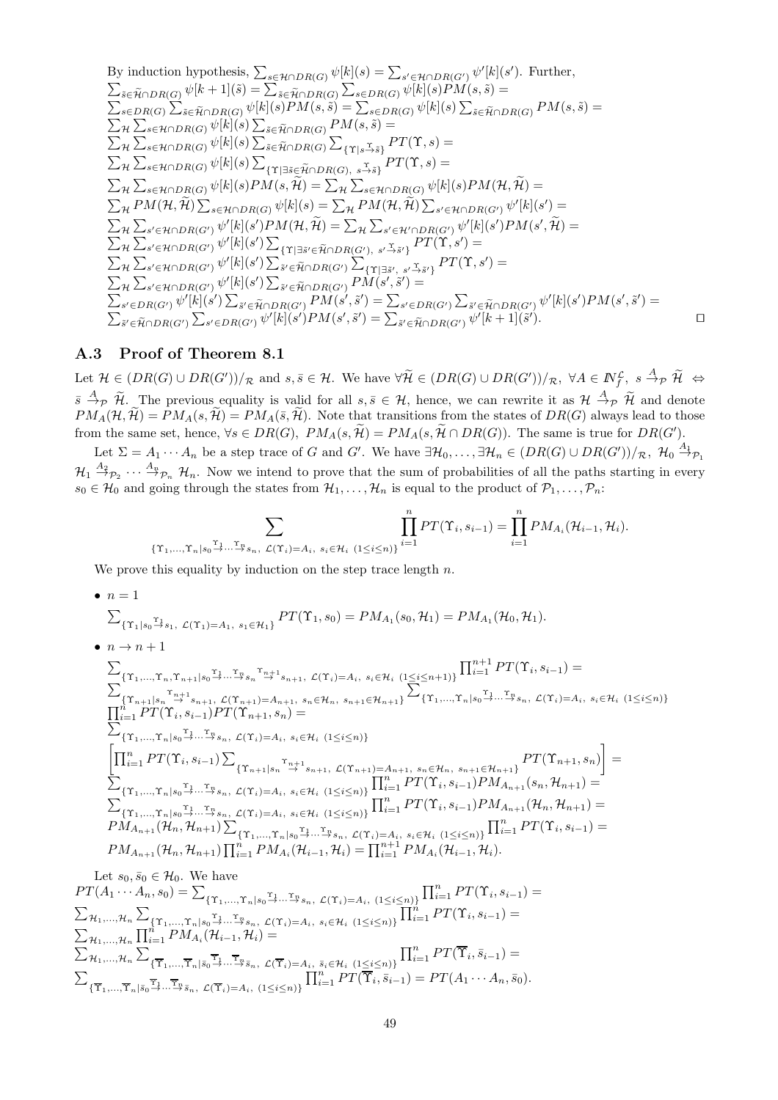By induction hypothesis, 
$$
\sum_{s \in \mathcal{H} \cap DR(G)} \psi[k](s) = \sum_{s' \in \mathcal{H} \cap DR(G')} \psi'[k](s').
$$
 Further,  
\n
$$
\sum_{\tilde{s} \in \tilde{H} \cap DR(G)} \psi[k+1](\tilde{s}) = \sum_{\tilde{s} \in \tilde{H} \cap DR(G)} \sum_{s \in D R(G)} \psi[k](s)PM(s, \tilde{s}) =
$$
\n
$$
\sum_{s \in DR(G)} \sum_{\tilde{s} \in \tilde{H} \cap DR(G)} \psi[k](s)PM(s, \tilde{s}) = \sum_{s \in DR(G)} \psi[k](s) \sum_{\tilde{s} \in \tilde{H} \cap DR(G)} \psi[k](s) \sum_{\tilde{s} \in \tilde{H} \cap DR(G)} \psi[k](s) \sum_{\tilde{s} \in \tilde{H} \cap DR(G)} \sum_{\{T|s \cdot \tilde{s}\}} PT(\Upsilon, s) =
$$
\n
$$
\sum_{\mathcal{H}} \sum_{s \in \mathcal{H} \cap DR(G)} \psi[k](s) \sum_{\tilde{s} \in \tilde{H} \cap DR(G)} \sum_{\{T|s \cdot \tilde{s}\}} PT(\Upsilon, s) =
$$
\n
$$
\sum_{\mathcal{H}} \sum_{s \in \mathcal{H} \cap DR(G)} \psi[k](s) \sum_{\{T|3\tilde{s} \in \tilde{H} \cap DR(G), s \cdot \tilde{s}\}} PT(\Upsilon, s) =
$$
\n
$$
\sum_{\mathcal{H}} \sum_{s \in \mathcal{H} \cap DR(G)} \psi[k](s)PM(s, \tilde{\mathcal{H}}) = \sum_{\mathcal{H}} \sum_{s \in \mathcal{H} \cap DR(G)} \psi[k](s)PM(\mathcal{H}, \tilde{\mathcal{H}}) =
$$
\n
$$
\sum_{\mathcal{H}} PM(\mathcal{H}, \tilde{\mathcal{H}}) \sum_{s \in \mathcal{H} \cap DR(G)} \psi'[k](s')PM(\mathcal{H}, \tilde{\mathcal{H}}) = \sum_{\mathcal{H}} \sum_{s' \in \mathcal{H} \cap DR(G')} \psi'[k](s')PM(s', \tilde{\mathcal{H}}) =
$$
\n
$$
\sum_{\mathcal{H}} \sum_{s' \in \mathcal{H} \cap DR(G')} \psi'[k](s') \sum_{\
$$

### A.3 Proof of Theorem 8.1

Let  $\mathcal{H} \in (DR(G) \cup DR(G'))/_{\mathcal{R}}$  and  $s, \overline{s} \in \mathcal{H}$ . We have  $\forall \widetilde{\mathcal{H}} \in (DR(G) \cup DR(G'))/_{\mathcal{R}}$ ,  $\forall A \in \mathbb{N}^{\mathcal{L}}_f$ ,  $s \stackrel{A}{\rightarrow} p \widetilde{\mathcal{H}} \Leftrightarrow$  $\overline{s} \stackrel{A}{\rightarrow} p \widetilde{\mathcal{H}}$ . The previous equality is valid for all  $s, \overline{s} \in \mathcal{H}$ , hence, we can rewrite it as  $\mathcal{H} \stackrel{A}{\rightarrow} p \widetilde{\mathcal{H}}$  and denote  $PM_A(\mathcal{H}, \widetilde{\mathcal{H}}) = PM_A(s, \widetilde{\mathcal{H}}) = PM_A(\overline{s}, \widetilde{\mathcal{H}})$ . Note that transitions from the states of  $DR(G)$  always lead to those from the same set, hence,  $\forall s \in DR(G), PM_A(s, \mathcal{H}) = PM_A(s, \mathcal{H} \cap DR(G)).$  The same is true for  $DR(G')$ .

Let  $\Sigma = A_1 \cdots A_n$  be a step trace of G and G'. We have  $\exists \mathcal{H}_0, \ldots, \exists \mathcal{H}_n \in (DR(G) \cup DR(G'))/R$ ,  $\mathcal{H}_0 \stackrel{A_1}{\rightarrow} \mathcal{P}_1$  $\mathcal{H}_1 \stackrel{A_2}{\to}_{\mathcal{P}_2} \cdots \stackrel{A_n}{\to}_{\mathcal{P}_n} \mathcal{H}_n$ . Now we intend to prove that the sum of probabilities of all the paths starting in every  $s_0 \in \mathcal{H}_0$  and going through the states from  $\mathcal{H}_1, \ldots, \mathcal{H}_n$  is equal to the product of  $\mathcal{P}_1, \ldots, \mathcal{P}_n$ :

$$
\sum_{\{\Upsilon_1,\ldots,\Upsilon_n|s_0\stackrel{\Upsilon_1}{\to}\ldots\stackrel{\Upsilon_n}{\to}s_n,\ \mathcal{L}(\Upsilon_i)=A_i,\ s_i\in\mathcal{H}_i}\prod_{(1\leq i\leq n)\}^nPT(\Upsilon_i,s_{i-1})=\prod_{i=1}^n PM_{A_i}(\mathcal{H}_{i-1},\mathcal{H}_i).
$$

We prove this equality by induction on the step trace length  $n$ .

 $\bullet$   $n=1$ 

$$
\sum_{\{\Upsilon_1|s_0\stackrel{\Upsilon_1}{\longrightarrow}s_1,\ \mathcal{L}(\Upsilon_1)=A_1,\ s_1\in\mathcal{H}_1\}}PT(\Upsilon_1,s_0)=PM_{A_1}(s_0,\mathcal{H}_1)=PM_{A_1}(\mathcal{H}_0,\mathcal{H}_1).
$$

 $\bullet$   $n \rightarrow n+1$ 

$$
\sum_{\{\Upsilon_{1},\dots,\Upsilon_{n},\Upsilon_{n+1}|s_{0}\xrightarrow{\Upsilon_{1}}...\xrightarrow{\Upsilon_{n}}s_{n}\xrightarrow{\Upsilon_{1}+1}s_{n+1}, \mathcal{L}(\Upsilon_{i})=A_{i}, s_{i}\in\mathcal{H}_{i}}\left(1\leq i\leq n+1\right)\}\prod_{i=1}^{n+1}PT(\Upsilon_{i},s_{i-1})=\n\sum_{\{\Upsilon_{n+1}|s_{n}\xrightarrow{\Upsilon_{1}+s_{n+1}}, \mathcal{L}(\Upsilon_{n+1})=A_{n+1}, s_{n}\in\mathcal{H}_{n}, s_{n+1}\in\mathcal{H}_{n+1}\}}\n\sum_{\{\Upsilon_{1},\dots,\Upsilon_{n}|s_{0}\xrightarrow{\Upsilon_{1}}...\xrightarrow{\Upsilon_{n}}s_{n}, \mathcal{L}(\Upsilon_{i})=A_{i}, s_{i}\in\mathcal{H}_{i}}\left(1\leq i\leq n\right)\}}\n\prod_{i=1}^{n+1}PT(\Upsilon_{i},s_{i-1})PT(\Upsilon_{n+1},s_{n})=\n\sum_{\{\Upsilon_{1},\dots,\Upsilon_{n}|s_{0}\xrightarrow{\Upsilon_{1}}...\xrightarrow{\Upsilon_{n}}s_{n}, \mathcal{L}(\Upsilon_{i})=A_{i}, s_{i}\in\mathcal{H}_{i}}\left(1\leq i\leq n\right)\}}\n\left[\n\prod_{i=1}^{n+1}PT(\Upsilon_{i},s_{i-1})\sum_{\{\Upsilon_{n+1}|s_{n}\xrightarrow{\Upsilon_{n}+1}, \mathcal{L}(\Upsilon_{n+1})=A_{n+1}, s_{n}\in\mathcal{H}_{n}, s_{n+1}\in\mathcal{H}_{n+1}\}}\n\right] =\n\sum_{\{\Upsilon_{1},\dots,\Upsilon_{n}|s_{0}\xrightarrow{\Upsilon_{1}}...\xrightarrow{\Upsilon_{n}}s_{n}, \mathcal{L}(\Upsilon_{i})=A_{i}, s_{i}\in\mathcal{H}_{i}}\left(1\leq i\leq n\right)\}}\n\left[\n\prod_{i=1}^{n+1}PT(\Upsilon_{i},s_{i-1})PM_{A_{n+1}}(s_{n},\mathcal{H}_{n+1})=\n\sum_{\{\Upsilon_{1},\dots,\Upsilon_{n}|s_{0}\xrightarrow{\Upsilon_{1}}...\xrightarrow{\Upsilon_{n}}s_{n}, \mathcal{L}(\U
$$

Let  $s_0, \bar{s}_0 \in \mathcal{H}_0$ . We have  $PT(A_1 \cdots A_n, s_0) = \sum_{\{\Upsilon_1, ..., \Upsilon_n | s_0 \stackrel{\Upsilon_1}{\rightarrow} ... \stackrel{\Upsilon_n}{\rightarrow} s_n, \ \mathcal{L}(\Upsilon_i) = A_i, \ (1 \leq i \leq n)\}} \prod_{i=1}^n PT(\Upsilon_i, s_{i-1}) =$  $\sum_{\mathcal{H}_1,...,\mathcal{H}_n} \sum_{\{\Upsilon_1,...,\Upsilon_n|s_0\}^{\Upsilon_1}...\Upsilon_n}$  or  $\sum_{i=1}^n s_i, \ \mathcal{L}(\Upsilon_i)=A_i, \ s_i\in\mathcal{H}_i \ (1\leq i\leq n)\}\prod_{i=1}^n PT(\Upsilon_i,s_{i-1})=$  $\sum_{\mathcal{H}_1,...,\mathcal{H}_n} \prod_{i=1}^n PM_{A_i}(\mathcal{H}_{i-1},\mathcal{H}_i) =$  $\sum_{\mathcal{H}_1,\dots,\mathcal{H}_n} \sum$  ${\{\overline{\Upsilon}_1,...,\overline{\Upsilon}_n | \bar{s}_0 \overset{\Upsilon_1}{\rightarrow} \cdots \overset{\Upsilon_n}{\rightarrow} \bar{s}_n, \ \mathcal{L}(\overline{\Upsilon}_i)=A_i, \ \bar{s}_i \in \mathcal{H}_i \ (1 \leq i \leq n)\}}$  $\prod_{i=1}^n PT(\overline{\Upsilon}_i, \overline{s}_{i-1}) =$  $\sum$  $\{\overline{\Upsilon}_1,...,\overline{\Upsilon}_n | \overline{s}_0 \overset{\Upsilon_1}{\rightarrow} ... \overset{\Upsilon_n}{\rightarrow} \overline{s}_n, \ \mathcal{L}(\overline{\Upsilon}_i)=A_i, \ (1 \leq i \leq n)\}\$  $\prod_{i=1}^n PT(\overline{\widetilde{\Upsilon}_i}, \overline{\widetilde{s}_{i-1}}) = PT(A_1 \cdots A_n, \overline{s}_0).$